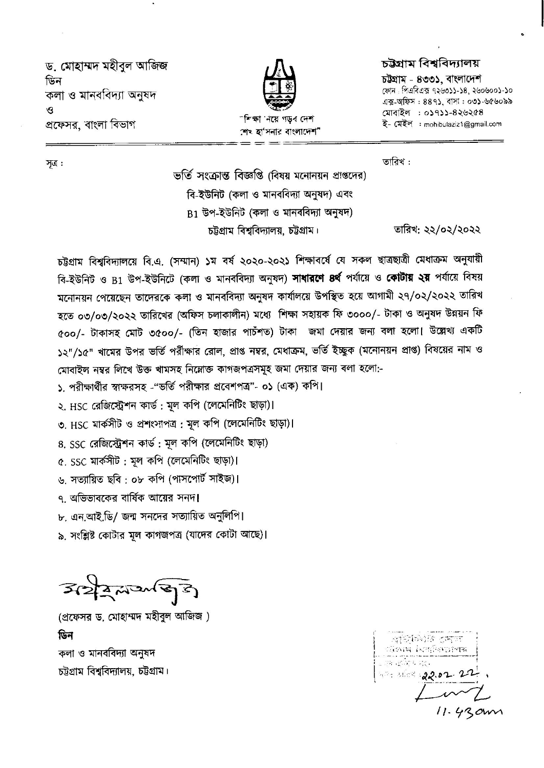ড, মোহাম্মদ মহীবল আজিজ ডিন কলা ও মানববিদ্যা অনুষদ  $\mathbf{P}$ প্রফেসর, বাংলা বিভাগ



"শিক্ষা 'নয়ে গডব দেশ শেষ হা'সনার বাংলাদেশ"

## চউগ্ৰাম বিশ্ববিদ্যালয়

চউগ্ৰাম - ৪৩৩১. বাংলাদেশ ফোন: পিএবিএক ৭২৬৩১১-১৪, ২৬০৬০০১-১০ এক্স-অফিস: ৪৪৭১, বাসা: ০৩১-৬৫৬০৯৯ মোবাইল : ০১৭১১-৪২৬২৫৪ ই- মেইল : mohibulaziz1@gmail.com

তারিখ: ২২/০২/২০২২

সত্ৰ :

তারিখ:

ভর্তি সংক্রান্ত বিজ্ঞপ্তি (বিষয় মনোনয়ন প্রাপ্তদের) বি-ইউনিট (কলা ও মানববিদ্যা অনুষদ) এবং B1 উপ-ইউনিট (কলা ও মানববিদ্যা অনুষদ) চট্টগ্রাম বিশ্ববিদ্যালয়, চট্টগ্রাম।

চট্টগ্রাম বিশ্ববিদ্যালয়ে বি.এ. (সম্মান) ১ম বর্ষ ২০২০-২০২১ শিক্ষাবর্ষে যে সকল ছাত্রছাত্রী মেধাক্রম অনুযায়ী বি-ইউনিট ও B1 উপ-ইউনিটে (কলা ও মানববিদ্যা অনুষদ) **সাধারণে ৪র্থ** পর্যায়ে ও **কোটায় ২য়** পর্যায়ে বিষয় মনোনয়ন পেয়েছেন তাদেরকে কলা ও মানববিদ্যা অনুষদ কার্যালয়ে উপস্থিত হয়ে আগামী ২৭/০২/২০২২ তারিখ হতে ০৩/০৩/২০২২ তারিখের (অফিস চলাকালীন) মধ্যে শিক্ষা সহায়ক ফি ৩০০০/- টাকা ও অনুষদ উন্নয়ন ফি ৫০০/- টাকাসহ মোট ৩৫০০/- (তিন হাজার পাচঁশত) টাকা জমা দেয়ার জন্য বলা হলো। উল্লেখ্য একটি ১২"/১৫" খামের উপর ভর্তি পরীক্ষার রোল, প্রাপ্ত নম্বর, মেধাক্রম, ভর্তি ইচ্ছুক (মনোনয়ন প্রাপ্ত) বিষয়ের নাম ও মোবাইল নম্বর লিখে উক্ত খামসহ নিম্নোক্ত কাগজপত্রসমূহ জমা দেয়ার জন্য বলা হলো:-

১. পরীক্ষার্থীর স্বাক্ষরসহ -"ভর্তি পরীক্ষার প্রবেশপত্র"- ০১ (এক) কপি।

২. HSC রেজিস্ট্রেশন কার্ড : মূল কপি (লেমেনিটিং ছাড়া)।

৩. HSC মার্কসীট ও প্রশংসাপত্র: মূল কপি (লেমেনিটিং ছাড়া)।

৪. SSC রেজিস্ট্রেশন কার্ড : মূল কপি (লেমেনিটিং ছাড়া)

৫. SSC মার্কসীট: মূল কপি (লেমেনিটিং ছাড়া)।

৬, সত্যায়িত ছবি : ০৮ কপি (পাসপোর্ট সাইজ)।

৭ অভিভাবকের বার্ষিক আয়ের সনদ।

৮. এন.আই.ডি/ জন্ম সনদের সত্যায়িত অনুলিপি।

৯, সংশ্লিষ্ট কোটার মূল কাগজপত্র (যাদের কোটা আছে)।

 $3227272733$ 

(প্রফেসর ড. মোহাম্মদ মহীবুল আজিজ) ডিন কলা ও মানববিদ্যা অনুষদ চট্টগ্রাম বিশ্ববিদ্যালয়, চট্টগ্রাম।

|      | $\sim$ | $\cdot$  |  |
|------|--------|----------|--|
|      |        | ান্দায়  |  |
| 1.11 |        |          |  |
| н.   |        | 22.82.22 |  |
|      |        |          |  |
|      |        |          |  |

 $11.43cm$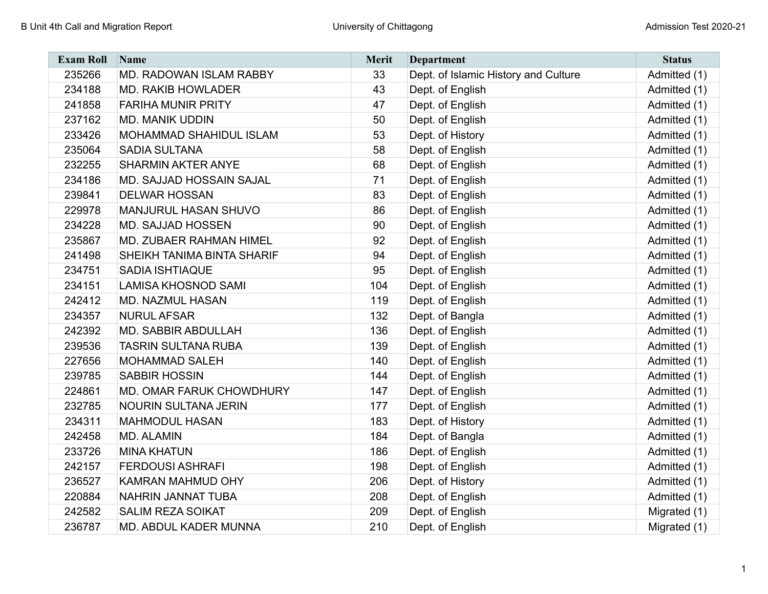| <b>Exam Roll</b> | Name                        | Merit | <b>Department</b>                    | <b>Status</b> |
|------------------|-----------------------------|-------|--------------------------------------|---------------|
| 235266           | MD. RADOWAN ISLAM RABBY     | 33    | Dept. of Islamic History and Culture | Admitted (1)  |
| 234188           | <b>MD. RAKIB HOWLADER</b>   | 43    | Dept. of English                     | Admitted (1)  |
| 241858           | <b>FARIHA MUNIR PRITY</b>   | 47    | Dept. of English                     | Admitted (1)  |
| 237162           | <b>MD. MANIK UDDIN</b>      | 50    | Dept. of English                     | Admitted (1)  |
| 233426           | MOHAMMAD SHAHIDUL ISLAM     | 53    | Dept. of History                     | Admitted (1)  |
| 235064           | <b>SADIA SULTANA</b>        | 58    | Dept. of English                     | Admitted (1)  |
| 232255           | <b>SHARMIN AKTER ANYE</b>   | 68    | Dept. of English                     | Admitted (1)  |
| 234186           | MD. SAJJAD HOSSAIN SAJAL    | 71    | Dept. of English                     | Admitted (1)  |
| 239841           | <b>DELWAR HOSSAN</b>        | 83    | Dept. of English                     | Admitted (1)  |
| 229978           | <b>MANJURUL HASAN SHUVO</b> | 86    | Dept. of English                     | Admitted (1)  |
| 234228           | <b>MD. SAJJAD HOSSEN</b>    | 90    | Dept. of English                     | Admitted (1)  |
| 235867           | MD. ZUBAER RAHMAN HIMEL     | 92    | Dept. of English                     | Admitted (1)  |
| 241498           | SHEIKH TANIMA BINTA SHARIF  | 94    | Dept. of English                     | Admitted (1)  |
| 234751           | <b>SADIA ISHTIAQUE</b>      | 95    | Dept. of English                     | Admitted (1)  |
| 234151           | <b>LAMISA KHOSNOD SAMI</b>  | 104   | Dept. of English                     | Admitted (1)  |
| 242412           | <b>MD. NAZMUL HASAN</b>     | 119   | Dept. of English                     | Admitted (1)  |
| 234357           | <b>NURUL AFSAR</b>          | 132   | Dept. of Bangla                      | Admitted (1)  |
| 242392           | <b>MD. SABBIR ABDULLAH</b>  | 136   | Dept. of English                     | Admitted (1)  |
| 239536           | <b>TASRIN SULTANA RUBA</b>  | 139   | Dept. of English                     | Admitted (1)  |
| 227656           | <b>MOHAMMAD SALEH</b>       | 140   | Dept. of English                     | Admitted (1)  |
| 239785           | <b>SABBIR HOSSIN</b>        | 144   | Dept. of English                     | Admitted (1)  |
| 224861           | MD. OMAR FARUK CHOWDHURY    | 147   | Dept. of English                     | Admitted (1)  |
| 232785           | <b>NOURIN SULTANA JERIN</b> | 177   | Dept. of English                     | Admitted (1)  |
| 234311           | <b>MAHMODUL HASAN</b>       | 183   | Dept. of History                     | Admitted (1)  |
| 242458           | <b>MD. ALAMIN</b>           | 184   | Dept. of Bangla                      | Admitted (1)  |
| 233726           | <b>MINA KHATUN</b>          | 186   | Dept. of English                     | Admitted (1)  |
| 242157           | <b>FERDOUSI ASHRAFI</b>     | 198   | Dept. of English                     | Admitted (1)  |
| 236527           | <b>KAMRAN MAHMUD OHY</b>    | 206   | Dept. of History                     | Admitted (1)  |
| 220884           | <b>NAHRIN JANNAT TUBA</b>   | 208   | Dept. of English                     | Admitted (1)  |
| 242582           | <b>SALIM REZA SOIKAT</b>    | 209   | Dept. of English                     | Migrated (1)  |
| 236787           | MD. ABDUL KADER MUNNA       | 210   | Dept. of English                     | Migrated (1)  |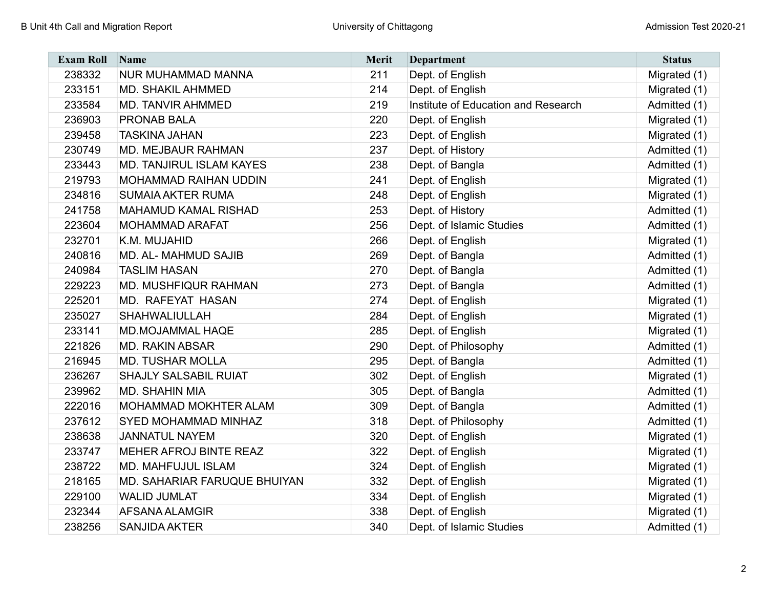| <b>Exam Roll</b> | Name                            | Merit | <b>Department</b>                   | <b>Status</b> |
|------------------|---------------------------------|-------|-------------------------------------|---------------|
| 238332           | NUR MUHAMMAD MANNA              | 211   | Dept. of English                    | Migrated (1)  |
| 233151           | <b>MD. SHAKIL AHMMED</b>        | 214   | Dept. of English                    | Migrated (1)  |
| 233584           | MD. TANVIR AHMMED               | 219   | Institute of Education and Research | Admitted (1)  |
| 236903           | PRONAB BALA                     | 220   | Dept. of English                    | Migrated (1)  |
| 239458           | <b>TASKINA JAHAN</b>            | 223   | Dept. of English                    | Migrated (1)  |
| 230749           | MD. MEJBAUR RAHMAN              | 237   | Dept. of History                    | Admitted (1)  |
| 233443           | <b>MD. TANJIRUL ISLAM KAYES</b> | 238   | Dept. of Bangla                     | Admitted (1)  |
| 219793           | <b>MOHAMMAD RAIHAN UDDIN</b>    | 241   | Dept. of English                    | Migrated (1)  |
| 234816           | <b>SUMAIA AKTER RUMA</b>        | 248   | Dept. of English                    | Migrated (1)  |
| 241758           | <b>MAHAMUD KAMAL RISHAD</b>     | 253   | Dept. of History                    | Admitted (1)  |
| 223604           | <b>MOHAMMAD ARAFAT</b>          | 256   | Dept. of Islamic Studies            | Admitted (1)  |
| 232701           | K.M. MUJAHID                    | 266   | Dept. of English                    | Migrated (1)  |
| 240816           | <b>MD. AL- MAHMUD SAJIB</b>     | 269   | Dept. of Bangla                     | Admitted (1)  |
| 240984           | <b>TASLIM HASAN</b>             | 270   | Dept. of Bangla                     | Admitted (1)  |
| 229223           | MD. MUSHFIQUR RAHMAN            | 273   | Dept. of Bangla                     | Admitted (1)  |
| 225201           | MD. RAFEYAT HASAN               | 274   | Dept. of English                    | Migrated (1)  |
| 235027           | SHAHWALIULLAH                   | 284   | Dept. of English                    | Migrated (1)  |
| 233141           | MD.MOJAMMAL HAQE                | 285   | Dept. of English                    | Migrated (1)  |
| 221826           | <b>MD. RAKIN ABSAR</b>          | 290   | Dept. of Philosophy                 | Admitted (1)  |
| 216945           | <b>MD. TUSHAR MOLLA</b>         | 295   | Dept. of Bangla                     | Admitted (1)  |
| 236267           | <b>SHAJLY SALSABIL RUIAT</b>    | 302   | Dept. of English                    | Migrated (1)  |
| 239962           | <b>MD. SHAHIN MIA</b>           | 305   | Dept. of Bangla                     | Admitted (1)  |
| 222016           | MOHAMMAD MOKHTER ALAM           | 309   | Dept. of Bangla                     | Admitted (1)  |
| 237612           | SYED MOHAMMAD MINHAZ            | 318   | Dept. of Philosophy                 | Admitted (1)  |
| 238638           | <b>JANNATUL NAYEM</b>           | 320   | Dept. of English                    | Migrated (1)  |
| 233747           | <b>MEHER AFROJ BINTE REAZ</b>   | 322   | Dept. of English                    | Migrated (1)  |
| 238722           | MD. MAHFUJUL ISLAM              | 324   | Dept. of English                    | Migrated (1)  |
| 218165           | MD. SAHARIAR FARUQUE BHUIYAN    | 332   | Dept. of English                    | Migrated (1)  |
| 229100           | <b>WALID JUMLAT</b>             | 334   | Dept. of English                    | Migrated (1)  |
| 232344           | AFSANA ALAMGIR                  | 338   | Dept. of English                    | Migrated (1)  |
| 238256           | <b>SANJIDA AKTER</b>            | 340   | Dept. of Islamic Studies            | Admitted (1)  |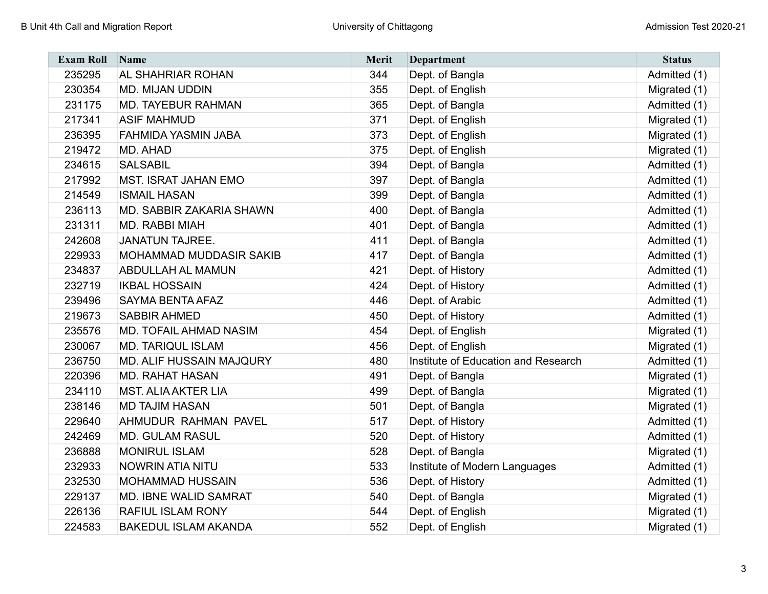| <b>Exam Roll</b> | Name                            | Merit | <b>Department</b>                   | <b>Status</b> |
|------------------|---------------------------------|-------|-------------------------------------|---------------|
| 235295           | AL SHAHRIAR ROHAN               | 344   | Dept. of Bangla                     | Admitted (1)  |
| 230354           | <b>MD. MIJAN UDDIN</b>          | 355   | Dept. of English                    | Migrated (1)  |
| 231175           | <b>MD. TAYEBUR RAHMAN</b>       | 365   | Dept. of Bangla                     | Admitted (1)  |
| 217341           | <b>ASIF MAHMUD</b>              | 371   | Dept. of English                    | Migrated (1)  |
| 236395           | FAHMIDA YASMIN JABA             | 373   | Dept. of English                    | Migrated (1)  |
| 219472           | MD. AHAD                        | 375   | Dept. of English                    | Migrated (1)  |
| 234615           | <b>SALSABIL</b>                 | 394   | Dept. of Bangla                     | Admitted (1)  |
| 217992           | <b>MST. ISRAT JAHAN EMO</b>     | 397   | Dept. of Bangla                     | Admitted (1)  |
| 214549           | <b>ISMAIL HASAN</b>             | 399   | Dept. of Bangla                     | Admitted (1)  |
| 236113           | MD. SABBIR ZAKARIA SHAWN        | 400   | Dept. of Bangla                     | Admitted (1)  |
| 231311           | <b>MD. RABBI MIAH</b>           | 401   | Dept. of Bangla                     | Admitted (1)  |
| 242608           | <b>JANATUN TAJREE.</b>          | 411   | Dept. of Bangla                     | Admitted (1)  |
| 229933           | <b>MOHAMMAD MUDDASIR SAKIB</b>  | 417   | Dept. of Bangla                     | Admitted (1)  |
| 234837           | <b>ABDULLAH AL MAMUN</b>        | 421   | Dept. of History                    | Admitted (1)  |
| 232719           | <b>IKBAL HOSSAIN</b>            | 424   | Dept. of History                    | Admitted (1)  |
| 239496           | <b>SAYMA BENTA AFAZ</b>         | 446   | Dept. of Arabic                     | Admitted (1)  |
| 219673           | <b>SABBIR AHMED</b>             | 450   | Dept. of History                    | Admitted (1)  |
| 235576           | MD. TOFAIL AHMAD NASIM          | 454   | Dept. of English                    | Migrated (1)  |
| 230067           | <b>MD. TARIQUL ISLAM</b>        | 456   | Dept. of English                    | Migrated (1)  |
| 236750           | <b>MD. ALIF HUSSAIN MAJQURY</b> | 480   | Institute of Education and Research | Admitted (1)  |
| 220396           | <b>MD. RAHAT HASAN</b>          | 491   | Dept. of Bangla                     | Migrated (1)  |
| 234110           | <b>MST. ALIA AKTER LIA</b>      | 499   | Dept. of Bangla                     | Migrated (1)  |
| 238146           | <b>MD TAJIM HASAN</b>           | 501   | Dept. of Bangla                     | Migrated (1)  |
| 229640           | AHMUDUR RAHMAN PAVEL            | 517   | Dept. of History                    | Admitted (1)  |
| 242469           | <b>MD. GULAM RASUL</b>          | 520   | Dept. of History                    | Admitted (1)  |
| 236888           | <b>MONIRUL ISLAM</b>            | 528   | Dept. of Bangla                     | Migrated (1)  |
| 232933           | NOWRIN ATIA NITU                | 533   | Institute of Modern Languages       | Admitted (1)  |
| 232530           | <b>MOHAMMAD HUSSAIN</b>         | 536   | Dept. of History                    | Admitted (1)  |
| 229137           | <b>MD. IBNE WALID SAMRAT</b>    | 540   | Dept. of Bangla                     | Migrated (1)  |
| 226136           | <b>RAFIUL ISLAM RONY</b>        | 544   | Dept. of English                    | Migrated (1)  |
| 224583           | <b>BAKEDUL ISLAM AKANDA</b>     | 552   | Dept. of English                    | Migrated (1)  |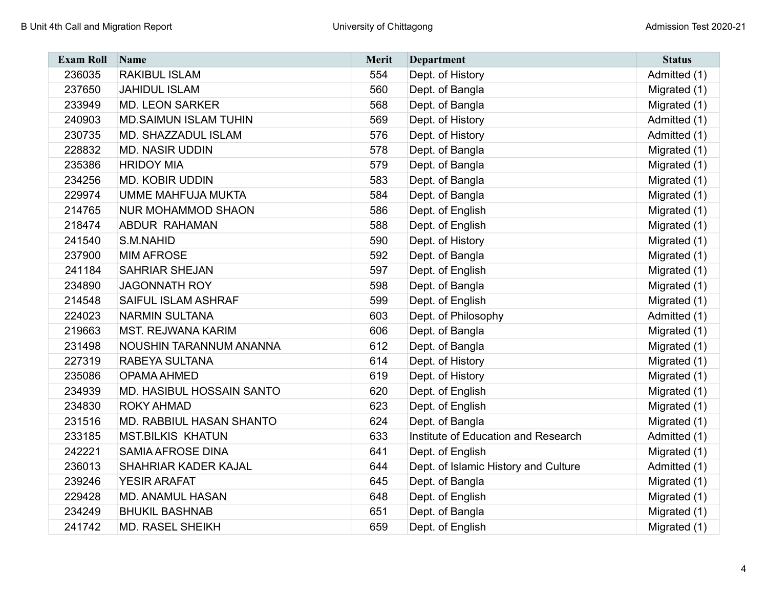| <b>Exam Roll</b> | Name                         | Merit | <b>Department</b>                    | <b>Status</b> |
|------------------|------------------------------|-------|--------------------------------------|---------------|
| 236035           | <b>RAKIBUL ISLAM</b>         | 554   | Dept. of History                     | Admitted (1)  |
| 237650           | <b>JAHIDUL ISLAM</b>         | 560   | Dept. of Bangla                      | Migrated (1)  |
| 233949           | <b>MD. LEON SARKER</b>       | 568   | Dept. of Bangla                      | Migrated (1)  |
| 240903           | <b>MD.SAIMUN ISLAM TUHIN</b> | 569   | Dept. of History                     | Admitted (1)  |
| 230735           | MD. SHAZZADUL ISLAM          | 576   | Dept. of History                     | Admitted (1)  |
| 228832           | <b>MD. NASIR UDDIN</b>       | 578   | Dept. of Bangla                      | Migrated (1)  |
| 235386           | <b>HRIDOY MIA</b>            | 579   | Dept. of Bangla                      | Migrated (1)  |
| 234256           | <b>MD. KOBIR UDDIN</b>       | 583   | Dept. of Bangla                      | Migrated (1)  |
| 229974           | <b>UMME MAHFUJA MUKTA</b>    | 584   | Dept. of Bangla                      | Migrated (1)  |
| 214765           | <b>NUR MOHAMMOD SHAON</b>    | 586   | Dept. of English                     | Migrated (1)  |
| 218474           | <b>ABDUR RAHAMAN</b>         | 588   | Dept. of English                     | Migrated (1)  |
| 241540           | S.M.NAHID                    | 590   | Dept. of History                     | Migrated (1)  |
| 237900           | <b>MIM AFROSE</b>            | 592   | Dept. of Bangla                      | Migrated (1)  |
| 241184           | <b>SAHRIAR SHEJAN</b>        | 597   | Dept. of English                     | Migrated (1)  |
| 234890           | <b>JAGONNATH ROY</b>         | 598   | Dept. of Bangla                      | Migrated (1)  |
| 214548           | SAIFUL ISLAM ASHRAF          | 599   | Dept. of English                     | Migrated (1)  |
| 224023           | <b>NARMIN SULTANA</b>        | 603   | Dept. of Philosophy                  | Admitted (1)  |
| 219663           | <b>MST. REJWANA KARIM</b>    | 606   | Dept. of Bangla                      | Migrated (1)  |
| 231498           | NOUSHIN TARANNUM ANANNA      | 612   | Dept. of Bangla                      | Migrated (1)  |
| 227319           | RABEYA SULTANA               | 614   | Dept. of History                     | Migrated (1)  |
| 235086           | <b>OPAMA AHMED</b>           | 619   | Dept. of History                     | Migrated (1)  |
| 234939           | MD. HASIBUL HOSSAIN SANTO    | 620   | Dept. of English                     | Migrated (1)  |
| 234830           | <b>ROKY AHMAD</b>            | 623   | Dept. of English                     | Migrated (1)  |
| 231516           | MD. RABBIUL HASAN SHANTO     | 624   | Dept. of Bangla                      | Migrated (1)  |
| 233185           | <b>MST.BILKIS KHATUN</b>     | 633   | Institute of Education and Research  | Admitted (1)  |
| 242221           | <b>SAMIA AFROSE DINA</b>     | 641   | Dept. of English                     | Migrated (1)  |
| 236013           | SHAHRIAR KADER KAJAL         | 644   | Dept. of Islamic History and Culture | Admitted (1)  |
| 239246           | <b>YESIR ARAFAT</b>          | 645   | Dept. of Bangla                      | Migrated (1)  |
| 229428           | <b>MD. ANAMUL HASAN</b>      | 648   | Dept. of English                     | Migrated (1)  |
| 234249           | <b>BHUKIL BASHNAB</b>        | 651   | Dept. of Bangla                      | Migrated (1)  |
| 241742           | <b>MD. RASEL SHEIKH</b>      | 659   | Dept. of English                     | Migrated (1)  |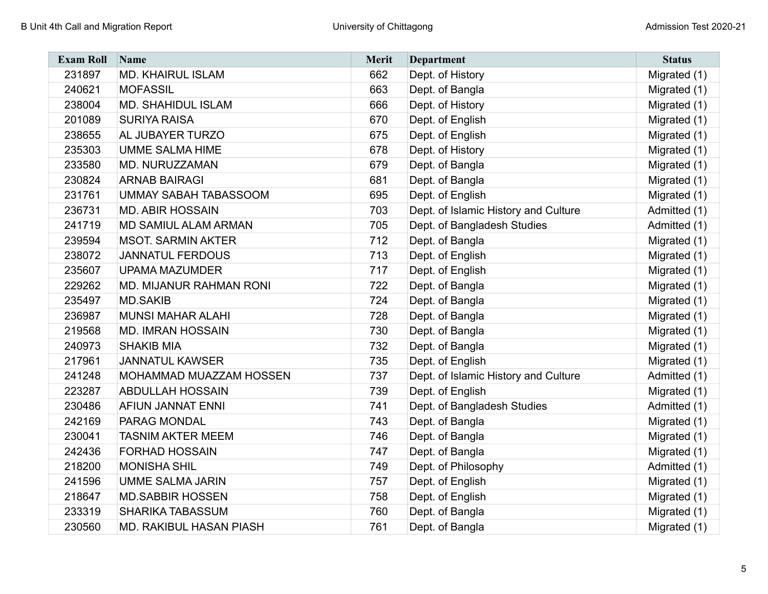| <b>Exam Roll</b> | Name                           | Merit | <b>Department</b>                    | <b>Status</b> |
|------------------|--------------------------------|-------|--------------------------------------|---------------|
| 231897           | <b>MD. KHAIRUL ISLAM</b>       | 662   | Dept. of History                     | Migrated (1)  |
| 240621           | <b>MOFASSIL</b>                | 663   | Dept. of Bangla                      | Migrated (1)  |
| 238004           | <b>MD. SHAHIDUL ISLAM</b>      | 666   | Dept. of History                     | Migrated (1)  |
| 201089           | <b>SURIYA RAISA</b>            | 670   | Dept. of English                     | Migrated (1)  |
| 238655           | AL JUBAYER TURZO               | 675   | Dept. of English                     | Migrated (1)  |
| 235303           | <b>UMME SALMA HIME</b>         | 678   | Dept. of History                     | Migrated (1)  |
| 233580           | MD. NURUZZAMAN                 | 679   | Dept. of Bangla                      | Migrated (1)  |
| 230824           | <b>ARNAB BAIRAGI</b>           | 681   | Dept. of Bangla                      | Migrated (1)  |
| 231761           | <b>UMMAY SABAH TABASSOOM</b>   | 695   | Dept. of English                     | Migrated (1)  |
| 236731           | <b>MD. ABIR HOSSAIN</b>        | 703   | Dept. of Islamic History and Culture | Admitted (1)  |
| 241719           | MD SAMIUL ALAM ARMAN           | 705   | Dept. of Bangladesh Studies          | Admitted (1)  |
| 239594           | <b>MSOT. SARMIN AKTER</b>      | 712   | Dept. of Bangla                      | Migrated (1)  |
| 238072           | <b>JANNATUL FERDOUS</b>        | 713   | Dept. of English                     | Migrated (1)  |
| 235607           | <b>UPAMA MAZUMDER</b>          | 717   | Dept. of English                     | Migrated (1)  |
| 229262           | <b>MD. MIJANUR RAHMAN RONI</b> | 722   | Dept. of Bangla                      | Migrated (1)  |
| 235497           | <b>MD.SAKIB</b>                | 724   | Dept. of Bangla                      | Migrated (1)  |
| 236987           | <b>MUNSI MAHAR ALAHI</b>       | 728   | Dept. of Bangla                      | Migrated (1)  |
| 219568           | <b>MD. IMRAN HOSSAIN</b>       | 730   | Dept. of Bangla                      | Migrated (1)  |
| 240973           | <b>SHAKIB MIA</b>              | 732   | Dept. of Bangla                      | Migrated (1)  |
| 217961           | <b>JANNATUL KAWSER</b>         | 735   | Dept. of English                     | Migrated (1)  |
| 241248           | MOHAMMAD MUAZZAM HOSSEN        | 737   | Dept. of Islamic History and Culture | Admitted (1)  |
| 223287           | <b>ABDULLAH HOSSAIN</b>        | 739   | Dept. of English                     | Migrated (1)  |
| 230486           | AFIUN JANNAT ENNI              | 741   | Dept. of Bangladesh Studies          | Admitted (1)  |
| 242169           | <b>PARAG MONDAL</b>            | 743   | Dept. of Bangla                      | Migrated (1)  |
| 230041           | <b>TASNIM AKTER MEEM</b>       | 746   | Dept. of Bangla                      | Migrated (1)  |
| 242436           | <b>FORHAD HOSSAIN</b>          | 747   | Dept. of Bangla                      | Migrated (1)  |
| 218200           | <b>MONISHA SHIL</b>            | 749   | Dept. of Philosophy                  | Admitted (1)  |
| 241596           | <b>UMME SALMA JARIN</b>        | 757   | Dept. of English                     | Migrated (1)  |
| 218647           | <b>MD.SABBIR HOSSEN</b>        | 758   | Dept. of English                     | Migrated (1)  |
| 233319           | <b>SHARIKA TABASSUM</b>        | 760   | Dept. of Bangla                      | Migrated (1)  |
| 230560           | MD. RAKIBUL HASAN PIASH        | 761   | Dept. of Bangla                      | Migrated (1)  |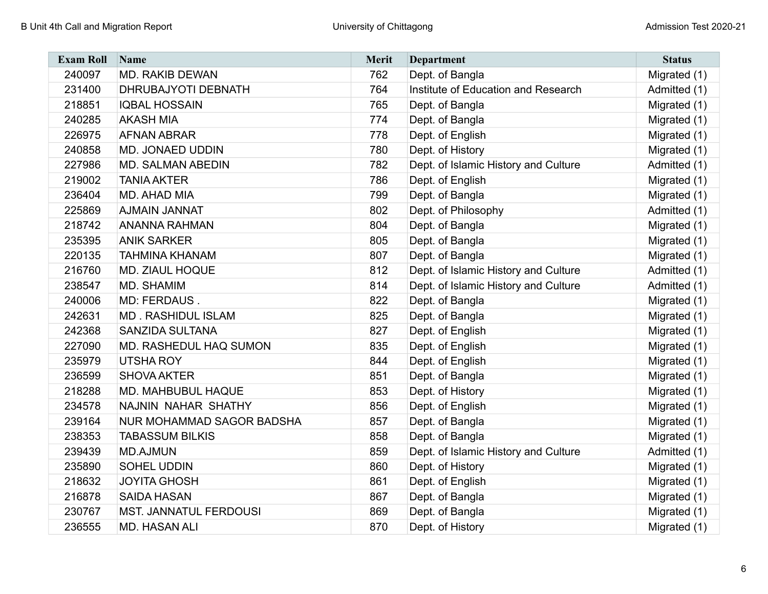| <b>Exam Roll</b> | Name                             | Merit | <b>Department</b>                    | <b>Status</b> |
|------------------|----------------------------------|-------|--------------------------------------|---------------|
| 240097           | <b>MD. RAKIB DEWAN</b>           | 762   | Dept. of Bangla                      | Migrated (1)  |
| 231400           | <b>DHRUBAJYOTI DEBNATH</b>       | 764   | Institute of Education and Research  | Admitted (1)  |
| 218851           | <b>IQBAL HOSSAIN</b>             | 765   | Dept. of Bangla                      | Migrated (1)  |
| 240285           | <b>AKASH MIA</b>                 | 774   | Dept. of Bangla                      | Migrated (1)  |
| 226975           | <b>AFNAN ABRAR</b>               | 778   | Dept. of English                     | Migrated (1)  |
| 240858           | <b>MD. JONAED UDDIN</b>          | 780   | Dept. of History                     | Migrated (1)  |
| 227986           | <b>MD. SALMAN ABEDIN</b>         | 782   | Dept. of Islamic History and Culture | Admitted (1)  |
| 219002           | <b>TANIA AKTER</b>               | 786   | Dept. of English                     | Migrated (1)  |
| 236404           | MD. AHAD MIA                     | 799   | Dept. of Bangla                      | Migrated (1)  |
| 225869           | <b>AJMAIN JANNAT</b>             | 802   | Dept. of Philosophy                  | Admitted (1)  |
| 218742           | <b>ANANNA RAHMAN</b>             | 804   | Dept. of Bangla                      | Migrated (1)  |
| 235395           | <b>ANIK SARKER</b>               | 805   | Dept. of Bangla                      | Migrated (1)  |
| 220135           | <b>TAHMINA KHANAM</b>            | 807   | Dept. of Bangla                      | Migrated (1)  |
| 216760           | <b>MD. ZIAUL HOQUE</b>           | 812   | Dept. of Islamic History and Culture | Admitted (1)  |
| 238547           | <b>MD. SHAMIM</b>                | 814   | Dept. of Islamic History and Culture | Admitted (1)  |
| 240006           | MD: FERDAUS.                     | 822   | Dept. of Bangla                      | Migrated (1)  |
| 242631           | <b>MD. RASHIDUL ISLAM</b>        | 825   | Dept. of Bangla                      | Migrated (1)  |
| 242368           | <b>SANZIDA SULTANA</b>           | 827   | Dept. of English                     | Migrated (1)  |
| 227090           | <b>MD. RASHEDUL HAQ SUMON</b>    | 835   | Dept. of English                     | Migrated (1)  |
| 235979           | <b>UTSHA ROY</b>                 | 844   | Dept. of English                     | Migrated (1)  |
| 236599           | <b>SHOVA AKTER</b>               | 851   | Dept. of Bangla                      | Migrated (1)  |
| 218288           | <b>MD. MAHBUBUL HAQUE</b>        | 853   | Dept. of History                     | Migrated (1)  |
| 234578           | NAJNIN NAHAR SHATHY              | 856   | Dept. of English                     | Migrated (1)  |
| 239164           | <b>NUR MOHAMMAD SAGOR BADSHA</b> | 857   | Dept. of Bangla                      | Migrated (1)  |
| 238353           | <b>TABASSUM BILKIS</b>           | 858   | Dept. of Bangla                      | Migrated (1)  |
| 239439           | <b>MD.AJMUN</b>                  | 859   | Dept. of Islamic History and Culture | Admitted (1)  |
| 235890           | SOHEL UDDIN                      | 860   | Dept. of History                     | Migrated (1)  |
| 218632           | <b>JOYITA GHOSH</b>              | 861   | Dept. of English                     | Migrated (1)  |
| 216878           | <b>SAIDA HASAN</b>               | 867   | Dept. of Bangla                      | Migrated (1)  |
| 230767           | <b>MST. JANNATUL FERDOUSI</b>    | 869   | Dept. of Bangla                      | Migrated (1)  |
| 236555           | <b>MD. HASAN ALI</b>             | 870   | Dept. of History                     | Migrated (1)  |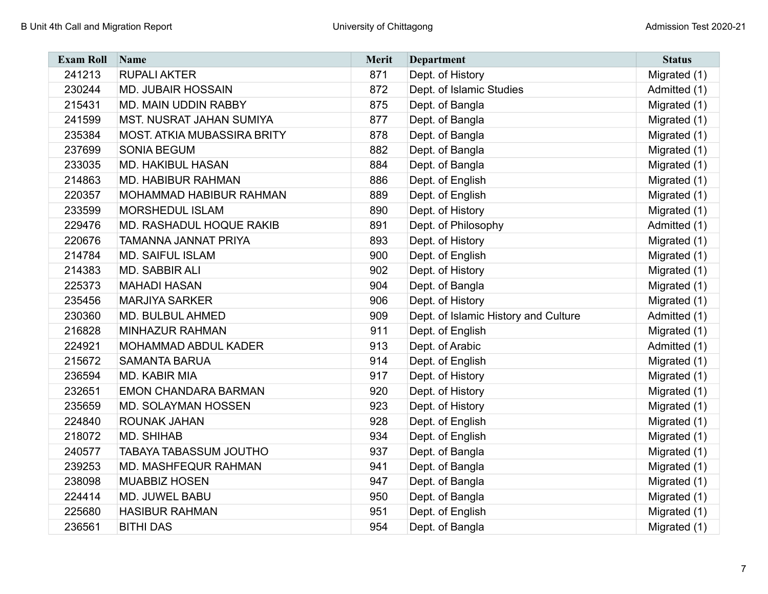| <b>Exam Roll</b> | Name                               | <b>Merit</b> | <b>Department</b>                    | <b>Status</b> |
|------------------|------------------------------------|--------------|--------------------------------------|---------------|
| 241213           | <b>RUPALI AKTER</b>                | 871          | Dept. of History                     | Migrated (1)  |
| 230244           | <b>MD. JUBAIR HOSSAIN</b>          | 872          | Dept. of Islamic Studies             | Admitted (1)  |
| 215431           | MD. MAIN UDDIN RABBY               | 875          | Dept. of Bangla                      | Migrated (1)  |
| 241599           | <b>MST. NUSRAT JAHAN SUMIYA</b>    | 877          | Dept. of Bangla                      | Migrated (1)  |
| 235384           | <b>MOST. ATKIA MUBASSIRA BRITY</b> | 878          | Dept. of Bangla                      | Migrated (1)  |
| 237699           | <b>SONIA BEGUM</b>                 | 882          | Dept. of Bangla                      | Migrated (1)  |
| 233035           | <b>MD. HAKIBUL HASAN</b>           | 884          | Dept. of Bangla                      | Migrated (1)  |
| 214863           | <b>MD. HABIBUR RAHMAN</b>          | 886          | Dept. of English                     | Migrated (1)  |
| 220357           | MOHAMMAD HABIBUR RAHMAN            | 889          | Dept. of English                     | Migrated (1)  |
| 233599           | <b>MORSHEDUL ISLAM</b>             | 890          | Dept. of History                     | Migrated (1)  |
| 229476           | MD. RASHADUL HOQUE RAKIB           | 891          | Dept. of Philosophy                  | Admitted (1)  |
| 220676           | TAMANNA JANNAT PRIYA               | 893          | Dept. of History                     | Migrated (1)  |
| 214784           | <b>MD. SAIFUL ISLAM</b>            | 900          | Dept. of English                     | Migrated (1)  |
| 214383           | <b>MD. SABBIR ALI</b>              | 902          | Dept. of History                     | Migrated (1)  |
| 225373           | <b>MAHADI HASAN</b>                | 904          | Dept. of Bangla                      | Migrated (1)  |
| 235456           | <b>MARJIYA SARKER</b>              | 906          | Dept. of History                     | Migrated (1)  |
| 230360           | <b>MD. BULBUL AHMED</b>            | 909          | Dept. of Islamic History and Culture | Admitted (1)  |
| 216828           | <b>MINHAZUR RAHMAN</b>             | 911          | Dept. of English                     | Migrated (1)  |
| 224921           | MOHAMMAD ABDUL KADER               | 913          | Dept. of Arabic                      | Admitted (1)  |
| 215672           | <b>SAMANTA BARUA</b>               | 914          | Dept. of English                     | Migrated (1)  |
| 236594           | MD. KABIR MIA                      | 917          | Dept. of History                     | Migrated (1)  |
| 232651           | <b>EMON CHANDARA BARMAN</b>        | 920          | Dept. of History                     | Migrated (1)  |
| 235659           | <b>MD. SOLAYMAN HOSSEN</b>         | 923          | Dept. of History                     | Migrated (1)  |
| 224840           | ROUNAK JAHAN                       | 928          | Dept. of English                     | Migrated (1)  |
| 218072           | <b>MD. SHIHAB</b>                  | 934          | Dept. of English                     | Migrated (1)  |
| 240577           | TABAYA TABASSUM JOUTHO             | 937          | Dept. of Bangla                      | Migrated (1)  |
| 239253           | <b>MD. MASHFEQUR RAHMAN</b>        | 941          | Dept. of Bangla                      | Migrated (1)  |
| 238098           | <b>MUABBIZ HOSEN</b>               | 947          | Dept. of Bangla                      | Migrated (1)  |
| 224414           | MD. JUWEL BABU                     | 950          | Dept. of Bangla                      | Migrated (1)  |
| 225680           | <b>HASIBUR RAHMAN</b>              | 951          | Dept. of English                     | Migrated (1)  |
| 236561           | <b>BITHI DAS</b>                   | 954          | Dept. of Bangla                      | Migrated (1)  |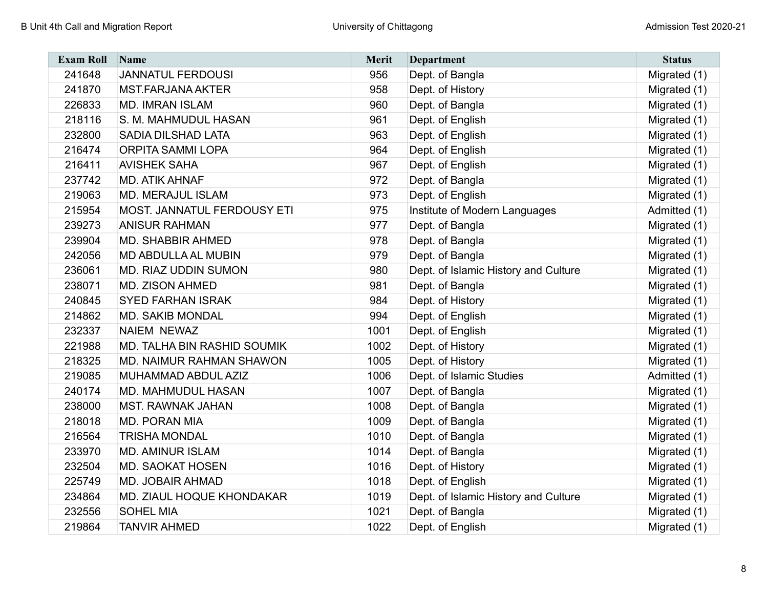| <b>Exam Roll</b> | Name                        | <b>Merit</b> | <b>Department</b>                    | <b>Status</b> |
|------------------|-----------------------------|--------------|--------------------------------------|---------------|
| 241648           | <b>JANNATUL FERDOUSI</b>    | 956          | Dept. of Bangla                      | Migrated (1)  |
| 241870           | <b>MST.FARJANA AKTER</b>    | 958          | Dept. of History                     | Migrated (1)  |
| 226833           | <b>MD. IMRAN ISLAM</b>      | 960          | Dept. of Bangla                      | Migrated (1)  |
| 218116           | S. M. MAHMUDUL HASAN        | 961          | Dept. of English                     | Migrated (1)  |
| 232800           | <b>SADIA DILSHAD LATA</b>   | 963          | Dept. of English                     | Migrated (1)  |
| 216474           | <b>ORPITA SAMMI LOPA</b>    | 964          | Dept. of English                     | Migrated (1)  |
| 216411           | <b>AVISHEK SAHA</b>         | 967          | Dept. of English                     | Migrated (1)  |
| 237742           | <b>MD. ATIK AHNAF</b>       | 972          | Dept. of Bangla                      | Migrated (1)  |
| 219063           | <b>MD. MERAJUL ISLAM</b>    | 973          | Dept. of English                     | Migrated (1)  |
| 215954           | MOST. JANNATUL FERDOUSY ETI | 975          | Institute of Modern Languages        | Admitted (1)  |
| 239273           | <b>ANISUR RAHMAN</b>        | 977          | Dept. of Bangla                      | Migrated (1)  |
| 239904           | <b>MD. SHABBIR AHMED</b>    | 978          | Dept. of Bangla                      | Migrated (1)  |
| 242056           | MD ABDULLA AL MUBIN         | 979          | Dept. of Bangla                      | Migrated (1)  |
| 236061           | MD. RIAZ UDDIN SUMON        | 980          | Dept. of Islamic History and Culture | Migrated (1)  |
| 238071           | <b>MD. ZISON AHMED</b>      | 981          | Dept. of Bangla                      | Migrated (1)  |
| 240845           | <b>SYED FARHAN ISRAK</b>    | 984          | Dept. of History                     | Migrated (1)  |
| 214862           | <b>MD. SAKIB MONDAL</b>     | 994          | Dept. of English                     | Migrated (1)  |
| 232337           | <b>NAIEM NEWAZ</b>          | 1001         | Dept. of English                     | Migrated (1)  |
| 221988           | MD. TALHA BIN RASHID SOUMIK | 1002         | Dept. of History                     | Migrated (1)  |
| 218325           | MD. NAIMUR RAHMAN SHAWON    | 1005         | Dept. of History                     | Migrated (1)  |
| 219085           | MUHAMMAD ABDUL AZIZ         | 1006         | Dept. of Islamic Studies             | Admitted (1)  |
| 240174           | <b>MD. MAHMUDUL HASAN</b>   | 1007         | Dept. of Bangla                      | Migrated (1)  |
| 238000           | <b>MST. RAWNAK JAHAN</b>    | 1008         | Dept. of Bangla                      | Migrated (1)  |
| 218018           | <b>MD. PORAN MIA</b>        | 1009         | Dept. of Bangla                      | Migrated (1)  |
| 216564           | <b>TRISHA MONDAL</b>        | 1010         | Dept. of Bangla                      | Migrated (1)  |
| 233970           | <b>MD. AMINUR ISLAM</b>     | 1014         | Dept. of Bangla                      | Migrated (1)  |
| 232504           | <b>MD. SAOKAT HOSEN</b>     | 1016         | Dept. of History                     | Migrated (1)  |
| 225749           | <b>MD. JOBAIR AHMAD</b>     | 1018         | Dept. of English                     | Migrated (1)  |
| 234864           | MD. ZIAUL HOQUE KHONDAKAR   | 1019         | Dept. of Islamic History and Culture | Migrated (1)  |
| 232556           | <b>SOHEL MIA</b>            | 1021         | Dept. of Bangla                      | Migrated (1)  |
| 219864           | <b>TANVIR AHMED</b>         | 1022         | Dept. of English                     | Migrated (1)  |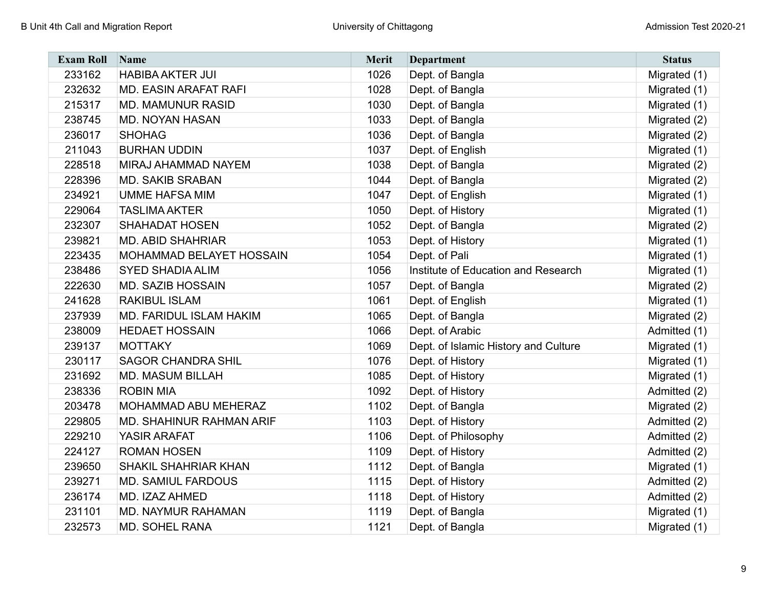| <b>Exam Roll</b> | Name                           | Merit | <b>Department</b>                    | <b>Status</b> |
|------------------|--------------------------------|-------|--------------------------------------|---------------|
| 233162           | <b>HABIBA AKTER JUI</b>        | 1026  | Dept. of Bangla                      | Migrated (1)  |
| 232632           | <b>MD. EASIN ARAFAT RAFI</b>   | 1028  | Dept. of Bangla                      | Migrated (1)  |
| 215317           | <b>MD. MAMUNUR RASID</b>       | 1030  | Dept. of Bangla                      | Migrated (1)  |
| 238745           | <b>MD. NOYAN HASAN</b>         | 1033  | Dept. of Bangla                      | Migrated (2)  |
| 236017           | <b>SHOHAG</b>                  | 1036  | Dept. of Bangla                      | Migrated (2)  |
| 211043           | <b>BURHAN UDDIN</b>            | 1037  | Dept. of English                     | Migrated (1)  |
| 228518           | MIRAJ AHAMMAD NAYEM            | 1038  | Dept. of Bangla                      | Migrated (2)  |
| 228396           | <b>MD. SAKIB SRABAN</b>        | 1044  | Dept. of Bangla                      | Migrated (2)  |
| 234921           | <b>UMME HAFSA MIM</b>          | 1047  | Dept. of English                     | Migrated (1)  |
| 229064           | <b>TASLIMA AKTER</b>           | 1050  | Dept. of History                     | Migrated (1)  |
| 232307           | <b>SHAHADAT HOSEN</b>          | 1052  | Dept. of Bangla                      | Migrated (2)  |
| 239821           | <b>MD. ABID SHAHRIAR</b>       | 1053  | Dept. of History                     | Migrated (1)  |
| 223435           | MOHAMMAD BELAYET HOSSAIN       | 1054  | Dept. of Pali                        | Migrated (1)  |
| 238486           | <b>SYED SHADIA ALIM</b>        | 1056  | Institute of Education and Research  | Migrated (1)  |
| 222630           | <b>MD. SAZIB HOSSAIN</b>       | 1057  | Dept. of Bangla                      | Migrated (2)  |
| 241628           | <b>RAKIBUL ISLAM</b>           | 1061  | Dept. of English                     | Migrated (1)  |
| 237939           | <b>MD. FARIDUL ISLAM HAKIM</b> | 1065  | Dept. of Bangla                      | Migrated (2)  |
| 238009           | <b>HEDAET HOSSAIN</b>          | 1066  | Dept. of Arabic                      | Admitted (1)  |
| 239137           | <b>MOTTAKY</b>                 | 1069  | Dept. of Islamic History and Culture | Migrated (1)  |
| 230117           | <b>SAGOR CHANDRA SHIL</b>      | 1076  | Dept. of History                     | Migrated (1)  |
| 231692           | <b>MD. MASUM BILLAH</b>        | 1085  | Dept. of History                     | Migrated (1)  |
| 238336           | <b>ROBIN MIA</b>               | 1092  | Dept. of History                     | Admitted (2)  |
| 203478           | MOHAMMAD ABU MEHERAZ           | 1102  | Dept. of Bangla                      | Migrated (2)  |
| 229805           | MD. SHAHINUR RAHMAN ARIF       | 1103  | Dept. of History                     | Admitted (2)  |
| 229210           | YASIR ARAFAT                   | 1106  | Dept. of Philosophy                  | Admitted (2)  |
| 224127           | <b>ROMAN HOSEN</b>             | 1109  | Dept. of History                     | Admitted (2)  |
| 239650           | SHAKIL SHAHRIAR KHAN           | 1112  | Dept. of Bangla                      | Migrated (1)  |
| 239271           | <b>MD. SAMIUL FARDOUS</b>      | 1115  | Dept. of History                     | Admitted (2)  |
| 236174           | MD. IZAZ AHMED                 | 1118  | Dept. of History                     | Admitted (2)  |
| 231101           | <b>MD. NAYMUR RAHAMAN</b>      | 1119  | Dept. of Bangla                      | Migrated (1)  |
| 232573           | <b>MD. SOHEL RANA</b>          | 1121  | Dept. of Bangla                      | Migrated (1)  |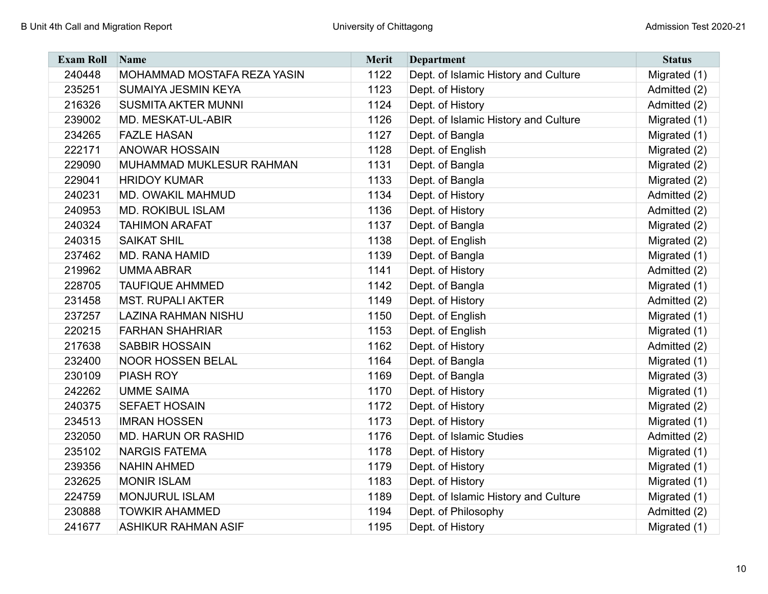| <b>Exam Roll</b> | Name                        | <b>Merit</b> | <b>Department</b>                    | <b>Status</b> |
|------------------|-----------------------------|--------------|--------------------------------------|---------------|
| 240448           | MOHAMMAD MOSTAFA REZA YASIN | 1122         | Dept. of Islamic History and Culture | Migrated (1)  |
| 235251           | SUMAIYA JESMIN KEYA         | 1123         | Dept. of History                     | Admitted (2)  |
| 216326           | <b>SUSMITA AKTER MUNNI</b>  | 1124         | Dept. of History                     | Admitted (2)  |
| 239002           | MD. MESKAT-UL-ABIR          | 1126         | Dept. of Islamic History and Culture | Migrated (1)  |
| 234265           | <b>FAZLE HASAN</b>          | 1127         | Dept. of Bangla                      | Migrated (1)  |
| 222171           | <b>ANOWAR HOSSAIN</b>       | 1128         | Dept. of English                     | Migrated (2)  |
| 229090           | MUHAMMAD MUKLESUR RAHMAN    | 1131         | Dept. of Bangla                      | Migrated (2)  |
| 229041           | <b>HRIDOY KUMAR</b>         | 1133         | Dept. of Bangla                      | Migrated (2)  |
| 240231           | MD. OWAKIL MAHMUD           | 1134         | Dept. of History                     | Admitted (2)  |
| 240953           | <b>MD. ROKIBUL ISLAM</b>    | 1136         | Dept. of History                     | Admitted (2)  |
| 240324           | <b>TAHIMON ARAFAT</b>       | 1137         | Dept. of Bangla                      | Migrated (2)  |
| 240315           | <b>SAIKAT SHIL</b>          | 1138         | Dept. of English                     | Migrated (2)  |
| 237462           | <b>MD. RANA HAMID</b>       | 1139         | Dept. of Bangla                      | Migrated (1)  |
| 219962           | <b>UMMA ABRAR</b>           | 1141         | Dept. of History                     | Admitted (2)  |
| 228705           | <b>TAUFIQUE AHMMED</b>      | 1142         | Dept. of Bangla                      | Migrated (1)  |
| 231458           | <b>MST. RUPALI AKTER</b>    | 1149         | Dept. of History                     | Admitted (2)  |
| 237257           | <b>LAZINA RAHMAN NISHU</b>  | 1150         | Dept. of English                     | Migrated (1)  |
| 220215           | <b>FARHAN SHAHRIAR</b>      | 1153         | Dept. of English                     | Migrated (1)  |
| 217638           | <b>SABBIR HOSSAIN</b>       | 1162         | Dept. of History                     | Admitted (2)  |
| 232400           | <b>NOOR HOSSEN BELAL</b>    | 1164         | Dept. of Bangla                      | Migrated (1)  |
| 230109           | PIASH ROY                   | 1169         | Dept. of Bangla                      | Migrated (3)  |
| 242262           | <b>UMME SAIMA</b>           | 1170         | Dept. of History                     | Migrated (1)  |
| 240375           | <b>SEFAET HOSAIN</b>        | 1172         | Dept. of History                     | Migrated (2)  |
| 234513           | <b>IMRAN HOSSEN</b>         | 1173         | Dept. of History                     | Migrated (1)  |
| 232050           | <b>MD. HARUN OR RASHID</b>  | 1176         | Dept. of Islamic Studies             | Admitted (2)  |
| 235102           | <b>NARGIS FATEMA</b>        | 1178         | Dept. of History                     | Migrated (1)  |
| 239356           | <b>NAHIN AHMED</b>          | 1179         | Dept. of History                     | Migrated (1)  |
| 232625           | <b>MONIR ISLAM</b>          | 1183         | Dept. of History                     | Migrated (1)  |
| 224759           | <b>MONJURUL ISLAM</b>       | 1189         | Dept. of Islamic History and Culture | Migrated (1)  |
| 230888           | <b>TOWKIR AHAMMED</b>       | 1194         | Dept. of Philosophy                  | Admitted (2)  |
| 241677           | <b>ASHIKUR RAHMAN ASIF</b>  | 1195         | Dept. of History                     | Migrated (1)  |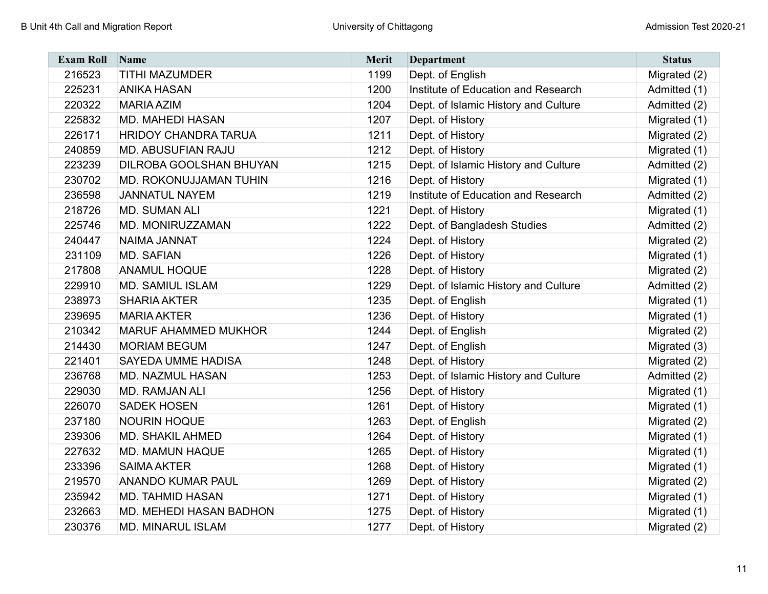| <b>Exam Roll</b> | Name                           | Merit | <b>Department</b>                    | <b>Status</b> |
|------------------|--------------------------------|-------|--------------------------------------|---------------|
| 216523           | <b>TITHI MAZUMDER</b>          | 1199  | Dept. of English                     | Migrated (2)  |
| 225231           | <b>ANIKA HASAN</b>             | 1200  | Institute of Education and Research  | Admitted (1)  |
| 220322           | <b>MARIA AZIM</b>              | 1204  | Dept. of Islamic History and Culture | Admitted (2)  |
| 225832           | <b>MD. MAHEDI HASAN</b>        | 1207  | Dept. of History                     | Migrated (1)  |
| 226171           | <b>HRIDOY CHANDRA TARUA</b>    | 1211  | Dept. of History                     | Migrated (2)  |
| 240859           | <b>MD. ABUSUFIAN RAJU</b>      | 1212  | Dept. of History                     | Migrated (1)  |
| 223239           | DILROBA GOOLSHAN BHUYAN        | 1215  | Dept. of Islamic History and Culture | Admitted (2)  |
| 230702           | MD. ROKONUJJAMAN TUHIN         | 1216  | Dept. of History                     | Migrated (1)  |
| 236598           | <b>JANNATUL NAYEM</b>          | 1219  | Institute of Education and Research  | Admitted (2)  |
| 218726           | <b>MD. SUMAN ALI</b>           | 1221  | Dept. of History                     | Migrated (1)  |
| 225746           | MD. MONIRUZZAMAN               | 1222  | Dept. of Bangladesh Studies          | Admitted (2)  |
| 240447           | NAIMA JANNAT                   | 1224  | Dept. of History                     | Migrated (2)  |
| 231109           | <b>MD. SAFIAN</b>              | 1226  | Dept. of History                     | Migrated (1)  |
| 217808           | <b>ANAMUL HOQUE</b>            | 1228  | Dept. of History                     | Migrated (2)  |
| 229910           | <b>MD. SAMIUL ISLAM</b>        | 1229  | Dept. of Islamic History and Culture | Admitted (2)  |
| 238973           | <b>SHARIA AKTER</b>            | 1235  | Dept. of English                     | Migrated (1)  |
| 239695           | <b>MARIA AKTER</b>             | 1236  | Dept. of History                     | Migrated (1)  |
| 210342           | <b>MARUF AHAMMED MUKHOR</b>    | 1244  | Dept. of English                     | Migrated (2)  |
| 214430           | <b>MORIAM BEGUM</b>            | 1247  | Dept. of English                     | Migrated (3)  |
| 221401           | <b>SAYEDA UMME HADISA</b>      | 1248  | Dept. of History                     | Migrated (2)  |
| 236768           | <b>MD. NAZMUL HASAN</b>        | 1253  | Dept. of Islamic History and Culture | Admitted (2)  |
| 229030           | <b>MD. RAMJAN ALI</b>          | 1256  | Dept. of History                     | Migrated (1)  |
| 226070           | <b>SADEK HOSEN</b>             | 1261  | Dept. of History                     | Migrated (1)  |
| 237180           | <b>NOURIN HOQUE</b>            | 1263  | Dept. of English                     | Migrated (2)  |
| 239306           | <b>MD. SHAKIL AHMED</b>        | 1264  | Dept. of History                     | Migrated (1)  |
| 227632           | <b>MD. MAMUN HAQUE</b>         | 1265  | Dept. of History                     | Migrated (1)  |
| 233396           | <b>SAIMA AKTER</b>             | 1268  | Dept. of History                     | Migrated (1)  |
| 219570           | <b>ANANDO KUMAR PAUL</b>       | 1269  | Dept. of History                     | Migrated (2)  |
| 235942           | <b>MD. TAHMID HASAN</b>        | 1271  | Dept. of History                     | Migrated (1)  |
| 232663           | <b>MD. MEHEDI HASAN BADHON</b> | 1275  | Dept. of History                     | Migrated (1)  |
| 230376           | <b>MD. MINARUL ISLAM</b>       | 1277  | Dept. of History                     | Migrated (2)  |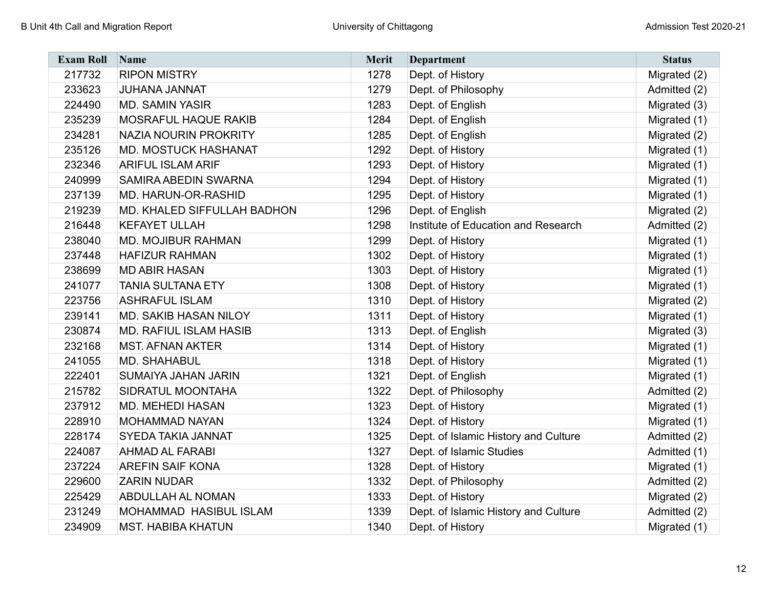| <b>Exam Roll</b> | Name                          | Merit | <b>Department</b>                    | <b>Status</b> |
|------------------|-------------------------------|-------|--------------------------------------|---------------|
| 217732           | <b>RIPON MISTRY</b>           | 1278  | Dept. of History                     | Migrated (2)  |
| 233623           | JUHANA JANNAT                 | 1279  | Dept. of Philosophy                  | Admitted (2)  |
| 224490           | <b>MD. SAMIN YASIR</b>        | 1283  | Dept. of English                     | Migrated (3)  |
| 235239           | MOSRAFUL HAQUE RAKIB          | 1284  | Dept. of English                     | Migrated (1)  |
| 234281           | <b>NAZIA NOURIN PROKRITY</b>  | 1285  | Dept. of English                     | Migrated (2)  |
| 235126           | <b>MD. MOSTUCK HASHANAT</b>   | 1292  | Dept. of History                     | Migrated (1)  |
| 232346           | <b>ARIFUL ISLAM ARIF</b>      | 1293  | Dept. of History                     | Migrated (1)  |
| 240999           | SAMIRA ABEDIN SWARNA          | 1294  | Dept. of History                     | Migrated (1)  |
| 237139           | MD. HARUN-OR-RASHID           | 1295  | Dept. of History                     | Migrated (1)  |
| 219239           | MD. KHALED SIFFULLAH BADHON   | 1296  | Dept. of English                     | Migrated (2)  |
| 216448           | <b>KEFAYET ULLAH</b>          | 1298  | Institute of Education and Research  | Admitted (2)  |
| 238040           | <b>MD. MOJIBUR RAHMAN</b>     | 1299  | Dept. of History                     | Migrated (1)  |
| 237448           | <b>HAFIZUR RAHMAN</b>         | 1302  | Dept. of History                     | Migrated (1)  |
| 238699           | <b>MD ABIR HASAN</b>          | 1303  | Dept. of History                     | Migrated (1)  |
| 241077           | <b>TANIA SULTANA ETY</b>      | 1308  | Dept. of History                     | Migrated (1)  |
| 223756           | <b>ASHRAFUL ISLAM</b>         | 1310  | Dept. of History                     | Migrated (2)  |
| 239141           | MD. SAKIB HASAN NILOY         | 1311  | Dept. of History                     | Migrated (1)  |
| 230874           | <b>MD. RAFIUL ISLAM HASIB</b> | 1313  | Dept. of English                     | Migrated (3)  |
| 232168           | <b>MST. AFNAN AKTER</b>       | 1314  | Dept. of History                     | Migrated (1)  |
| 241055           | <b>MD. SHAHABUL</b>           | 1318  | Dept. of History                     | Migrated (1)  |
| 222401           | SUMAIYA JAHAN JARIN           | 1321  | Dept. of English                     | Migrated (1)  |
| 215782           | SIDRATUL MOONTAHA             | 1322  | Dept. of Philosophy                  | Admitted (2)  |
| 237912           | <b>MD. MEHEDI HASAN</b>       | 1323  | Dept. of History                     | Migrated (1)  |
| 228910           | <b>MOHAMMAD NAYAN</b>         | 1324  | Dept. of History                     | Migrated (1)  |
| 228174           | SYEDA TAKIA JANNAT            | 1325  | Dept. of Islamic History and Culture | Admitted (2)  |
| 224087           | <b>AHMAD AL FARABI</b>        | 1327  | Dept. of Islamic Studies             | Admitted (1)  |
| 237224           | <b>AREFIN SAIF KONA</b>       | 1328  | Dept. of History                     | Migrated (1)  |
| 229600           | <b>ZARIN NUDAR</b>            | 1332  | Dept. of Philosophy                  | Admitted (2)  |
| 225429           | ABDULLAH AL NOMAN             | 1333  | Dept. of History                     | Migrated (2)  |
| 231249           | MOHAMMAD HASIBUL ISLAM        | 1339  | Dept. of Islamic History and Culture | Admitted (2)  |
| 234909           | <b>MST. HABIBA KHATUN</b>     | 1340  | Dept. of History                     | Migrated (1)  |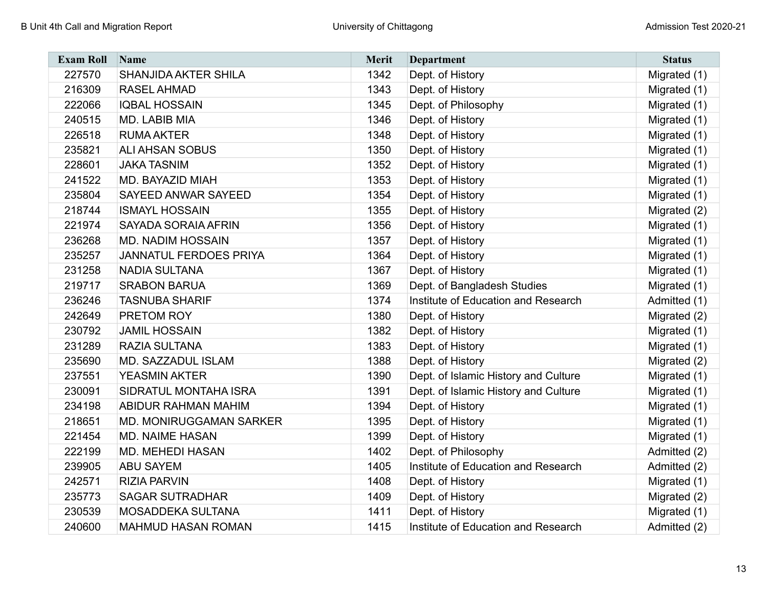| <b>Exam Roll</b> | Name                           | Merit | <b>Department</b>                    | <b>Status</b> |
|------------------|--------------------------------|-------|--------------------------------------|---------------|
| 227570           | SHANJIDA AKTER SHILA           | 1342  | Dept. of History                     | Migrated (1)  |
| 216309           | <b>RASEL AHMAD</b>             | 1343  | Dept. of History                     | Migrated (1)  |
| 222066           | <b>IQBAL HOSSAIN</b>           | 1345  | Dept. of Philosophy                  | Migrated (1)  |
| 240515           | MD. LABIB MIA                  | 1346  | Dept. of History                     | Migrated (1)  |
| 226518           | <b>RUMA AKTER</b>              | 1348  | Dept. of History                     | Migrated (1)  |
| 235821           | <b>ALI AHSAN SOBUS</b>         | 1350  | Dept. of History                     | Migrated (1)  |
| 228601           | <b>JAKA TASNIM</b>             | 1352  | Dept. of History                     | Migrated (1)  |
| 241522           | <b>MD. BAYAZID MIAH</b>        | 1353  | Dept. of History                     | Migrated (1)  |
| 235804           | SAYEED ANWAR SAYEED            | 1354  | Dept. of History                     | Migrated (1)  |
| 218744           | <b>ISMAYL HOSSAIN</b>          | 1355  | Dept. of History                     | Migrated (2)  |
| 221974           | <b>SAYADA SORAIA AFRIN</b>     | 1356  | Dept. of History                     | Migrated (1)  |
| 236268           | <b>MD. NADIM HOSSAIN</b>       | 1357  | Dept. of History                     | Migrated (1)  |
| 235257           | <b>JANNATUL FERDOES PRIYA</b>  | 1364  | Dept. of History                     | Migrated (1)  |
| 231258           | <b>NADIA SULTANA</b>           | 1367  | Dept. of History                     | Migrated (1)  |
| 219717           | <b>SRABON BARUA</b>            | 1369  | Dept. of Bangladesh Studies          | Migrated (1)  |
| 236246           | <b>TASNUBA SHARIF</b>          | 1374  | Institute of Education and Research  | Admitted (1)  |
| 242649           | PRETOM ROY                     | 1380  | Dept. of History                     | Migrated (2)  |
| 230792           | <b>JAMIL HOSSAIN</b>           | 1382  | Dept. of History                     | Migrated (1)  |
| 231289           | RAZIA SULTANA                  | 1383  | Dept. of History                     | Migrated (1)  |
| 235690           | MD. SAZZADUL ISLAM             | 1388  | Dept. of History                     | Migrated (2)  |
| 237551           | <b>YEASMIN AKTER</b>           | 1390  | Dept. of Islamic History and Culture | Migrated (1)  |
| 230091           | SIDRATUL MONTAHA ISRA          | 1391  | Dept. of Islamic History and Culture | Migrated (1)  |
| 234198           | ABIDUR RAHMAN MAHIM            | 1394  | Dept. of History                     | Migrated (1)  |
| 218651           | <b>MD. MONIRUGGAMAN SARKER</b> | 1395  | Dept. of History                     | Migrated (1)  |
| 221454           | <b>MD. NAIME HASAN</b>         | 1399  | Dept. of History                     | Migrated (1)  |
| 222199           | <b>MD. MEHEDI HASAN</b>        | 1402  | Dept. of Philosophy                  | Admitted (2)  |
| 239905           | <b>ABU SAYEM</b>               | 1405  | Institute of Education and Research  | Admitted (2)  |
| 242571           | <b>RIZIA PARVIN</b>            | 1408  | Dept. of History                     | Migrated (1)  |
| 235773           | <b>SAGAR SUTRADHAR</b>         | 1409  | Dept. of History                     | Migrated (2)  |
| 230539           | MOSADDEKA SULTANA              | 1411  | Dept. of History                     | Migrated (1)  |
| 240600           | <b>MAHMUD HASAN ROMAN</b>      | 1415  | Institute of Education and Research  | Admitted (2)  |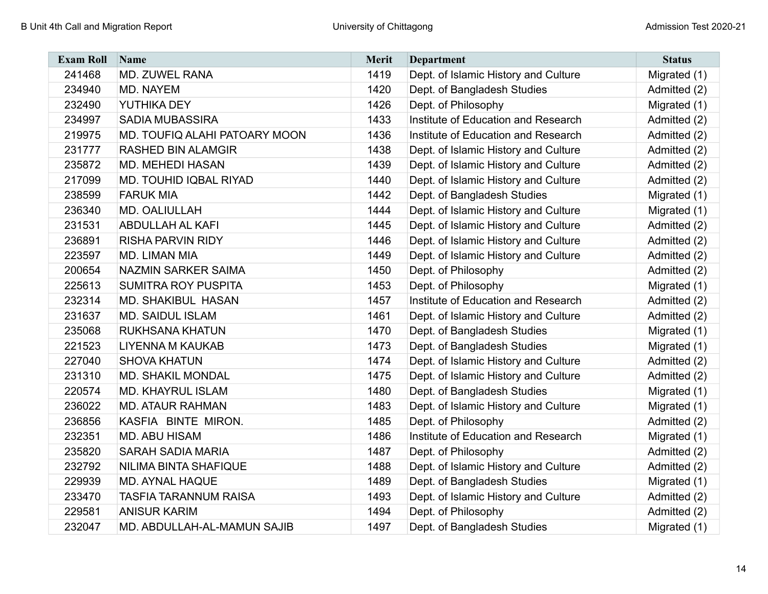| <b>Exam Roll</b> | Name                          | <b>Merit</b> | <b>Department</b>                    | <b>Status</b> |
|------------------|-------------------------------|--------------|--------------------------------------|---------------|
| 241468           | <b>MD. ZUWEL RANA</b>         | 1419         | Dept. of Islamic History and Culture | Migrated (1)  |
| 234940           | MD. NAYEM                     | 1420         | Dept. of Bangladesh Studies          | Admitted (2)  |
| 232490           | YUTHIKA DEY                   | 1426         | Dept. of Philosophy                  | Migrated (1)  |
| 234997           | <b>SADIA MUBASSIRA</b>        | 1433         | Institute of Education and Research  | Admitted (2)  |
| 219975           | MD. TOUFIQ ALAHI PATOARY MOON | 1436         | Institute of Education and Research  | Admitted (2)  |
| 231777           | <b>RASHED BIN ALAMGIR</b>     | 1438         | Dept. of Islamic History and Culture | Admitted (2)  |
| 235872           | <b>MD. MEHEDI HASAN</b>       | 1439         | Dept. of Islamic History and Culture | Admitted (2)  |
| 217099           | <b>MD. TOUHID IQBAL RIYAD</b> | 1440         | Dept. of Islamic History and Culture | Admitted (2)  |
| 238599           | <b>FARUK MIA</b>              | 1442         | Dept. of Bangladesh Studies          | Migrated (1)  |
| 236340           | MD. OALIULLAH                 | 1444         | Dept. of Islamic History and Culture | Migrated (1)  |
| 231531           | <b>ABDULLAH AL KAFI</b>       | 1445         | Dept. of Islamic History and Culture | Admitted (2)  |
| 236891           | <b>RISHA PARVIN RIDY</b>      | 1446         | Dept. of Islamic History and Culture | Admitted (2)  |
| 223597           | MD. LIMAN MIA                 | 1449         | Dept. of Islamic History and Culture | Admitted (2)  |
| 200654           | <b>NAZMIN SARKER SAIMA</b>    | 1450         | Dept. of Philosophy                  | Admitted (2)  |
| 225613           | <b>SUMITRA ROY PUSPITA</b>    | 1453         | Dept. of Philosophy                  | Migrated (1)  |
| 232314           | <b>MD. SHAKIBUL HASAN</b>     | 1457         | Institute of Education and Research  | Admitted (2)  |
| 231637           | <b>MD. SAIDUL ISLAM</b>       | 1461         | Dept. of Islamic History and Culture | Admitted (2)  |
| 235068           | RUKHSANA KHATUN               | 1470         | Dept. of Bangladesh Studies          | Migrated (1)  |
| 221523           | <b>LIYENNA M KAUKAB</b>       | 1473         | Dept. of Bangladesh Studies          | Migrated (1)  |
| 227040           | <b>SHOVA KHATUN</b>           | 1474         | Dept. of Islamic History and Culture | Admitted (2)  |
| 231310           | <b>MD. SHAKIL MONDAL</b>      | 1475         | Dept. of Islamic History and Culture | Admitted (2)  |
| 220574           | <b>MD. KHAYRUL ISLAM</b>      | 1480         | Dept. of Bangladesh Studies          | Migrated (1)  |
| 236022           | <b>MD. ATAUR RAHMAN</b>       | 1483         | Dept. of Islamic History and Culture | Migrated (1)  |
| 236856           | KASFIA BINTE MIRON.           | 1485         | Dept. of Philosophy                  | Admitted (2)  |
| 232351           | <b>MD. ABU HISAM</b>          | 1486         | Institute of Education and Research  | Migrated (1)  |
| 235820           | <b>SARAH SADIA MARIA</b>      | 1487         | Dept. of Philosophy                  | Admitted (2)  |
| 232792           | NILIMA BINTA SHAFIQUE         | 1488         | Dept. of Islamic History and Culture | Admitted (2)  |
| 229939           | <b>MD. AYNAL HAQUE</b>        | 1489         | Dept. of Bangladesh Studies          | Migrated (1)  |
| 233470           | <b>TASFIA TARANNUM RAISA</b>  | 1493         | Dept. of Islamic History and Culture | Admitted (2)  |
| 229581           | <b>ANISUR KARIM</b>           | 1494         | Dept. of Philosophy                  | Admitted (2)  |
| 232047           | MD. ABDULLAH-AL-MAMUN SAJIB   | 1497         | Dept. of Bangladesh Studies          | Migrated (1)  |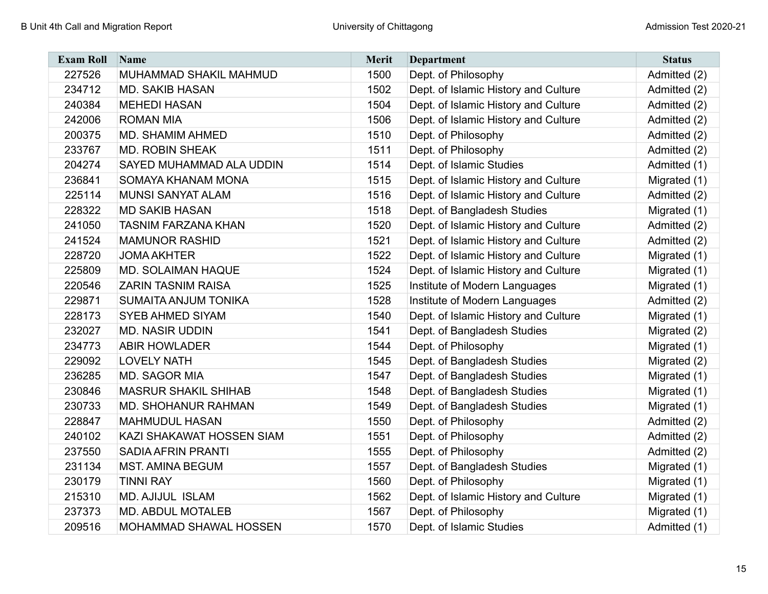| <b>Exam Roll</b> | Name                        | <b>Merit</b> | <b>Department</b>                    | <b>Status</b> |
|------------------|-----------------------------|--------------|--------------------------------------|---------------|
| 227526           | MUHAMMAD SHAKIL MAHMUD      | 1500         | Dept. of Philosophy                  | Admitted (2)  |
| 234712           | <b>MD. SAKIB HASAN</b>      | 1502         | Dept. of Islamic History and Culture | Admitted (2)  |
| 240384           | <b>MEHEDI HASAN</b>         | 1504         | Dept. of Islamic History and Culture | Admitted (2)  |
| 242006           | <b>ROMAN MIA</b>            | 1506         | Dept. of Islamic History and Culture | Admitted (2)  |
| 200375           | <b>MD. SHAMIM AHMED</b>     | 1510         | Dept. of Philosophy                  | Admitted (2)  |
| 233767           | <b>MD. ROBIN SHEAK</b>      | 1511         | Dept. of Philosophy                  | Admitted (2)  |
| 204274           | SAYED MUHAMMAD ALA UDDIN    | 1514         | Dept. of Islamic Studies             | Admitted (1)  |
| 236841           | SOMAYA KHANAM MONA          | 1515         | Dept. of Islamic History and Culture | Migrated (1)  |
| 225114           | <b>MUNSI SANYAT ALAM</b>    | 1516         | Dept. of Islamic History and Culture | Admitted (2)  |
| 228322           | <b>MD SAKIB HASAN</b>       | 1518         | Dept. of Bangladesh Studies          | Migrated (1)  |
| 241050           | <b>TASNIM FARZANA KHAN</b>  | 1520         | Dept. of Islamic History and Culture | Admitted (2)  |
| 241524           | <b>MAMUNOR RASHID</b>       | 1521         | Dept. of Islamic History and Culture | Admitted (2)  |
| 228720           | <b>JOMA AKHTER</b>          | 1522         | Dept. of Islamic History and Culture | Migrated (1)  |
| 225809           | <b>MD. SOLAIMAN HAQUE</b>   | 1524         | Dept. of Islamic History and Culture | Migrated (1)  |
| 220546           | <b>ZARIN TASNIM RAISA</b>   | 1525         | Institute of Modern Languages        | Migrated (1)  |
| 229871           | <b>SUMAITA ANJUM TONIKA</b> | 1528         | Institute of Modern Languages        | Admitted (2)  |
| 228173           | <b>SYEB AHMED SIYAM</b>     | 1540         | Dept. of Islamic History and Culture | Migrated (1)  |
| 232027           | <b>MD. NASIR UDDIN</b>      | 1541         | Dept. of Bangladesh Studies          | Migrated (2)  |
| 234773           | <b>ABIR HOWLADER</b>        | 1544         | Dept. of Philosophy                  | Migrated (1)  |
| 229092           | <b>LOVELY NATH</b>          | 1545         | Dept. of Bangladesh Studies          | Migrated (2)  |
| 236285           | MD. SAGOR MIA               | 1547         | Dept. of Bangladesh Studies          | Migrated (1)  |
| 230846           | <b>MASRUR SHAKIL SHIHAB</b> | 1548         | Dept. of Bangladesh Studies          | Migrated (1)  |
| 230733           | <b>MD. SHOHANUR RAHMAN</b>  | 1549         | Dept. of Bangladesh Studies          | Migrated (1)  |
| 228847           | <b>MAHMUDUL HASAN</b>       | 1550         | Dept. of Philosophy                  | Admitted (2)  |
| 240102           | KAZI SHAKAWAT HOSSEN SIAM   | 1551         | Dept. of Philosophy                  | Admitted (2)  |
| 237550           | SADIA AFRIN PRANTI          | 1555         | Dept. of Philosophy                  | Admitted (2)  |
| 231134           | <b>MST. AMINA BEGUM</b>     | 1557         | Dept. of Bangladesh Studies          | Migrated (1)  |
| 230179           | <b>TINNI RAY</b>            | 1560         | Dept. of Philosophy                  | Migrated (1)  |
| 215310           | <b>MD. AJIJUL ISLAM</b>     | 1562         | Dept. of Islamic History and Culture | Migrated (1)  |
| 237373           | <b>MD. ABDUL MOTALEB</b>    | 1567         | Dept. of Philosophy                  | Migrated (1)  |
| 209516           | MOHAMMAD SHAWAL HOSSEN      | 1570         | Dept. of Islamic Studies             | Admitted (1)  |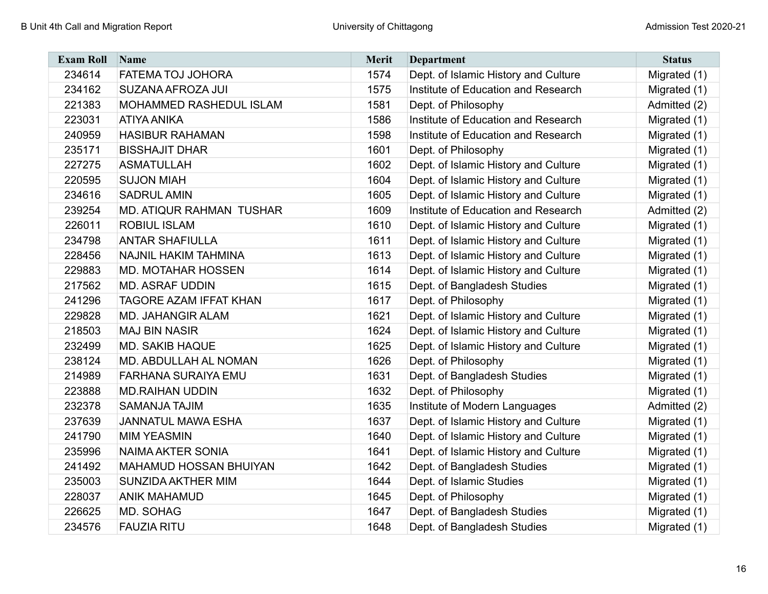| <b>Exam Roll</b> | Name                            | <b>Merit</b> | <b>Department</b>                    | <b>Status</b> |
|------------------|---------------------------------|--------------|--------------------------------------|---------------|
| 234614           | FATEMA TOJ JOHORA               | 1574         | Dept. of Islamic History and Culture | Migrated (1)  |
| 234162           | SUZANA AFROZA JUI               | 1575         | Institute of Education and Research  | Migrated (1)  |
| 221383           | MOHAMMED RASHEDUL ISLAM         | 1581         | Dept. of Philosophy                  | Admitted (2)  |
| 223031           | <b>ATIYA ANIKA</b>              | 1586         | Institute of Education and Research  | Migrated (1)  |
| 240959           | <b>HASIBUR RAHAMAN</b>          | 1598         | Institute of Education and Research  | Migrated (1)  |
| 235171           | <b>BISSHAJIT DHAR</b>           | 1601         | Dept. of Philosophy                  | Migrated (1)  |
| 227275           | <b>ASMATULLAH</b>               | 1602         | Dept. of Islamic History and Culture | Migrated (1)  |
| 220595           | <b>SUJON MIAH</b>               | 1604         | Dept. of Islamic History and Culture | Migrated (1)  |
| 234616           | <b>SADRUL AMIN</b>              | 1605         | Dept. of Islamic History and Culture | Migrated (1)  |
| 239254           | <b>MD. ATIQUR RAHMAN TUSHAR</b> | 1609         | Institute of Education and Research  | Admitted (2)  |
| 226011           | <b>ROBIUL ISLAM</b>             | 1610         | Dept. of Islamic History and Culture | Migrated (1)  |
| 234798           | <b>ANTAR SHAFIULLA</b>          | 1611         | Dept. of Islamic History and Culture | Migrated (1)  |
| 228456           | NAJNIL HAKIM TAHMINA            | 1613         | Dept. of Islamic History and Culture | Migrated (1)  |
| 229883           | <b>MD. MOTAHAR HOSSEN</b>       | 1614         | Dept. of Islamic History and Culture | Migrated (1)  |
| 217562           | <b>MD. ASRAF UDDIN</b>          | 1615         | Dept. of Bangladesh Studies          | Migrated (1)  |
| 241296           | TAGORE AZAM IFFAT KHAN          | 1617         | Dept. of Philosophy                  | Migrated (1)  |
| 229828           | <b>MD. JAHANGIR ALAM</b>        | 1621         | Dept. of Islamic History and Culture | Migrated (1)  |
| 218503           | <b>MAJ BIN NASIR</b>            | 1624         | Dept. of Islamic History and Culture | Migrated (1)  |
| 232499           | <b>MD. SAKIB HAQUE</b>          | 1625         | Dept. of Islamic History and Culture | Migrated (1)  |
| 238124           | MD. ABDULLAH AL NOMAN           | 1626         | Dept. of Philosophy                  | Migrated (1)  |
| 214989           | <b>FARHANA SURAIYA EMU</b>      | 1631         | Dept. of Bangladesh Studies          | Migrated (1)  |
| 223888           | <b>MD.RAIHAN UDDIN</b>          | 1632         | Dept. of Philosophy                  | Migrated (1)  |
| 232378           | <b>SAMANJA TAJIM</b>            | 1635         | Institute of Modern Languages        | Admitted (2)  |
| 237639           | <b>JANNATUL MAWA ESHA</b>       | 1637         | Dept. of Islamic History and Culture | Migrated (1)  |
| 241790           | <b>MIM YEASMIN</b>              | 1640         | Dept. of Islamic History and Culture | Migrated (1)  |
| 235996           | <b>NAIMA AKTER SONIA</b>        | 1641         | Dept. of Islamic History and Culture | Migrated (1)  |
| 241492           | MAHAMUD HOSSAN BHUIYAN          | 1642         | Dept. of Bangladesh Studies          | Migrated (1)  |
| 235003           | SUNZIDA AKTHER MIM              | 1644         | Dept. of Islamic Studies             | Migrated (1)  |
| 228037           | <b>ANIK MAHAMUD</b>             | 1645         | Dept. of Philosophy                  | Migrated (1)  |
| 226625           | MD. SOHAG                       | 1647         | Dept. of Bangladesh Studies          | Migrated (1)  |
| 234576           | <b>FAUZIA RITU</b>              | 1648         | Dept. of Bangladesh Studies          | Migrated (1)  |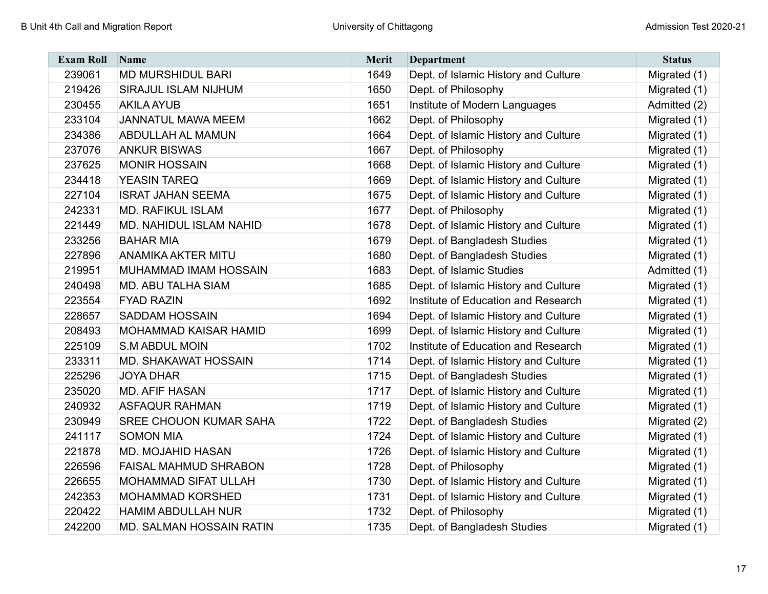| <b>Exam Roll</b> | Name                            | <b>Merit</b> | <b>Department</b>                    | <b>Status</b> |
|------------------|---------------------------------|--------------|--------------------------------------|---------------|
| 239061           | <b>MD MURSHIDUL BARI</b>        | 1649         | Dept. of Islamic History and Culture | Migrated (1)  |
| 219426           | <b>SIRAJUL ISLAM NIJHUM</b>     | 1650         | Dept. of Philosophy                  | Migrated (1)  |
| 230455           | <b>AKILA AYUB</b>               | 1651         | Institute of Modern Languages        | Admitted (2)  |
| 233104           | <b>JANNATUL MAWA MEEM</b>       | 1662         | Dept. of Philosophy                  | Migrated (1)  |
| 234386           | <b>ABDULLAH AL MAMUN</b>        | 1664         | Dept. of Islamic History and Culture | Migrated (1)  |
| 237076           | <b>ANKUR BISWAS</b>             | 1667         | Dept. of Philosophy                  | Migrated (1)  |
| 237625           | <b>MONIR HOSSAIN</b>            | 1668         | Dept. of Islamic History and Culture | Migrated (1)  |
| 234418           | <b>YEASIN TAREQ</b>             | 1669         | Dept. of Islamic History and Culture | Migrated (1)  |
| 227104           | <b>ISRAT JAHAN SEEMA</b>        | 1675         | Dept. of Islamic History and Culture | Migrated (1)  |
| 242331           | <b>MD. RAFIKUL ISLAM</b>        | 1677         | Dept. of Philosophy                  | Migrated (1)  |
| 221449           | <b>MD. NAHIDUL ISLAM NAHID</b>  | 1678         | Dept. of Islamic History and Culture | Migrated (1)  |
| 233256           | <b>BAHAR MIA</b>                | 1679         | Dept. of Bangladesh Studies          | Migrated (1)  |
| 227896           | <b>ANAMIKA AKTER MITU</b>       | 1680         | Dept. of Bangladesh Studies          | Migrated (1)  |
| 219951           | MUHAMMAD IMAM HOSSAIN           | 1683         | Dept. of Islamic Studies             | Admitted (1)  |
| 240498           | <b>MD. ABU TALHA SIAM</b>       | 1685         | Dept. of Islamic History and Culture | Migrated (1)  |
| 223554           | <b>FYAD RAZIN</b>               | 1692         | Institute of Education and Research  | Migrated (1)  |
| 228657           | <b>SADDAM HOSSAIN</b>           | 1694         | Dept. of Islamic History and Culture | Migrated (1)  |
| 208493           | <b>MOHAMMAD KAISAR HAMID</b>    | 1699         | Dept. of Islamic History and Culture | Migrated (1)  |
| 225109           | <b>S.M ABDUL MOIN</b>           | 1702         | Institute of Education and Research  | Migrated (1)  |
| 233311           | <b>MD. SHAKAWAT HOSSAIN</b>     | 1714         | Dept. of Islamic History and Culture | Migrated (1)  |
| 225296           | <b>JOYA DHAR</b>                | 1715         | Dept. of Bangladesh Studies          | Migrated (1)  |
| 235020           | <b>MD. AFIF HASAN</b>           | 1717         | Dept. of Islamic History and Culture | Migrated (1)  |
| 240932           | <b>ASFAQUR RAHMAN</b>           | 1719         | Dept. of Islamic History and Culture | Migrated (1)  |
| 230949           | <b>SREE CHOUON KUMAR SAHA</b>   | 1722         | Dept. of Bangladesh Studies          | Migrated (2)  |
| 241117           | <b>SOMON MIA</b>                | 1724         | Dept. of Islamic History and Culture | Migrated (1)  |
| 221878           | <b>MD. MOJAHID HASAN</b>        | 1726         | Dept. of Islamic History and Culture | Migrated (1)  |
| 226596           | <b>FAISAL MAHMUD SHRABON</b>    | 1728         | Dept. of Philosophy                  | Migrated (1)  |
| 226655           | <b>MOHAMMAD SIFAT ULLAH</b>     | 1730         | Dept. of Islamic History and Culture | Migrated (1)  |
| 242353           | <b>MOHAMMAD KORSHED</b>         | 1731         | Dept. of Islamic History and Culture | Migrated (1)  |
| 220422           | <b>HAMIM ABDULLAH NUR</b>       | 1732         | Dept. of Philosophy                  | Migrated (1)  |
| 242200           | <b>MD. SALMAN HOSSAIN RATIN</b> | 1735         | Dept. of Bangladesh Studies          | Migrated (1)  |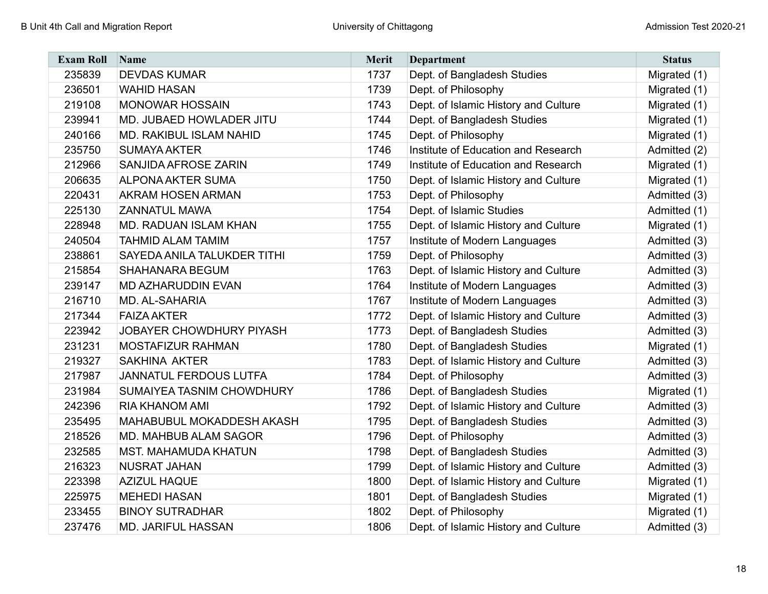| <b>Exam Roll</b> | Name                            | <b>Merit</b> | <b>Department</b>                    | <b>Status</b> |
|------------------|---------------------------------|--------------|--------------------------------------|---------------|
| 235839           | <b>DEVDAS KUMAR</b>             | 1737         | Dept. of Bangladesh Studies          | Migrated (1)  |
| 236501           | <b>WAHID HASAN</b>              | 1739         | Dept. of Philosophy                  | Migrated (1)  |
| 219108           | <b>MONOWAR HOSSAIN</b>          | 1743         | Dept. of Islamic History and Culture | Migrated (1)  |
| 239941           | MD. JUBAED HOWLADER JITU        | 1744         | Dept. of Bangladesh Studies          | Migrated (1)  |
| 240166           | MD. RAKIBUL ISLAM NAHID         | 1745         | Dept. of Philosophy                  | Migrated (1)  |
| 235750           | <b>SUMAYA AKTER</b>             | 1746         | Institute of Education and Research  | Admitted (2)  |
| 212966           | SANJIDA AFROSE ZARIN            | 1749         | Institute of Education and Research  | Migrated (1)  |
| 206635           | <b>ALPONA AKTER SUMA</b>        | 1750         | Dept. of Islamic History and Culture | Migrated (1)  |
| 220431           | AKRAM HOSEN ARMAN               | 1753         | Dept. of Philosophy                  | Admitted (3)  |
| 225130           | <b>ZANNATUL MAWA</b>            | 1754         | Dept. of Islamic Studies             | Admitted (1)  |
| 228948           | MD. RADUAN ISLAM KHAN           | 1755         | Dept. of Islamic History and Culture | Migrated (1)  |
| 240504           | <b>TAHMID ALAM TAMIM</b>        | 1757         | Institute of Modern Languages        | Admitted (3)  |
| 238861           | SAYEDA ANILA TALUKDER TITHI     | 1759         | Dept. of Philosophy                  | Admitted (3)  |
| 215854           | <b>SHAHANARA BEGUM</b>          | 1763         | Dept. of Islamic History and Culture | Admitted (3)  |
| 239147           | MD AZHARUDDIN EVAN              | 1764         | Institute of Modern Languages        | Admitted (3)  |
| 216710           | <b>MD. AL-SAHARIA</b>           | 1767         | Institute of Modern Languages        | Admitted (3)  |
| 217344           | <b>FAIZA AKTER</b>              | 1772         | Dept. of Islamic History and Culture | Admitted (3)  |
| 223942           | <b>JOBAYER CHOWDHURY PIYASH</b> | 1773         | Dept. of Bangladesh Studies          | Admitted (3)  |
| 231231           | <b>MOSTAFIZUR RAHMAN</b>        | 1780         | Dept. of Bangladesh Studies          | Migrated (1)  |
| 219327           | <b>SAKHINA AKTER</b>            | 1783         | Dept. of Islamic History and Culture | Admitted (3)  |
| 217987           | <b>JANNATUL FERDOUS LUTFA</b>   | 1784         | Dept. of Philosophy                  | Admitted (3)  |
| 231984           | SUMAIYEA TASNIM CHOWDHURY       | 1786         | Dept. of Bangladesh Studies          | Migrated (1)  |
| 242396           | <b>RIA KHANOM AMI</b>           | 1792         | Dept. of Islamic History and Culture | Admitted (3)  |
| 235495           | MAHABUBUL MOKADDESH AKASH       | 1795         | Dept. of Bangladesh Studies          | Admitted (3)  |
| 218526           | MD. MAHBUB ALAM SAGOR           | 1796         | Dept. of Philosophy                  | Admitted (3)  |
| 232585           | <b>MST. MAHAMUDA KHATUN</b>     | 1798         | Dept. of Bangladesh Studies          | Admitted (3)  |
| 216323           | <b>NUSRAT JAHAN</b>             | 1799         | Dept. of Islamic History and Culture | Admitted (3)  |
| 223398           | <b>AZIZUL HAQUE</b>             | 1800         | Dept. of Islamic History and Culture | Migrated (1)  |
| 225975           | <b>MEHEDI HASAN</b>             | 1801         | Dept. of Bangladesh Studies          | Migrated (1)  |
| 233455           | <b>BINOY SUTRADHAR</b>          | 1802         | Dept. of Philosophy                  | Migrated (1)  |
| 237476           | <b>MD. JARIFUL HASSAN</b>       | 1806         | Dept. of Islamic History and Culture | Admitted (3)  |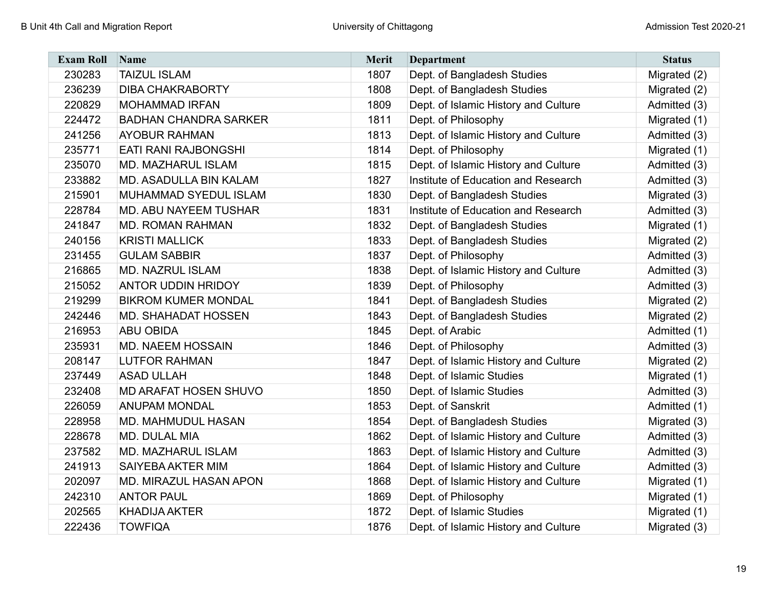| <b>Exam Roll</b> | Name                         | <b>Merit</b> | <b>Department</b>                    | <b>Status</b> |
|------------------|------------------------------|--------------|--------------------------------------|---------------|
| 230283           | <b>TAIZUL ISLAM</b>          | 1807         | Dept. of Bangladesh Studies          | Migrated (2)  |
| 236239           | <b>DIBA CHAKRABORTY</b>      | 1808         | Dept. of Bangladesh Studies          | Migrated (2)  |
| 220829           | <b>MOHAMMAD IRFAN</b>        | 1809         | Dept. of Islamic History and Culture | Admitted (3)  |
| 224472           | <b>BADHAN CHANDRA SARKER</b> | 1811         | Dept. of Philosophy                  | Migrated (1)  |
| 241256           | <b>AYOBUR RAHMAN</b>         | 1813         | Dept. of Islamic History and Culture | Admitted (3)  |
| 235771           | <b>EATI RANI RAJBONGSHI</b>  | 1814         | Dept. of Philosophy                  | Migrated (1)  |
| 235070           | MD. MAZHARUL ISLAM           | 1815         | Dept. of Islamic History and Culture | Admitted (3)  |
| 233882           | MD. ASADULLA BIN KALAM       | 1827         | Institute of Education and Research  | Admitted (3)  |
| 215901           | MUHAMMAD SYEDUL ISLAM        | 1830         | Dept. of Bangladesh Studies          | Migrated (3)  |
| 228784           | <b>MD. ABU NAYEEM TUSHAR</b> | 1831         | Institute of Education and Research  | Admitted (3)  |
| 241847           | <b>MD. ROMAN RAHMAN</b>      | 1832         | Dept. of Bangladesh Studies          | Migrated (1)  |
| 240156           | <b>KRISTI MALLICK</b>        | 1833         | Dept. of Bangladesh Studies          | Migrated (2)  |
| 231455           | <b>GULAM SABBIR</b>          | 1837         | Dept. of Philosophy                  | Admitted (3)  |
| 216865           | <b>MD. NAZRUL ISLAM</b>      | 1838         | Dept. of Islamic History and Culture | Admitted (3)  |
| 215052           | <b>ANTOR UDDIN HRIDOY</b>    | 1839         | Dept. of Philosophy                  | Admitted (3)  |
| 219299           | <b>BIKROM KUMER MONDAL</b>   | 1841         | Dept. of Bangladesh Studies          | Migrated (2)  |
| 242446           | <b>MD. SHAHADAT HOSSEN</b>   | 1843         | Dept. of Bangladesh Studies          | Migrated (2)  |
| 216953           | <b>ABU OBIDA</b>             | 1845         | Dept. of Arabic                      | Admitted (1)  |
| 235931           | <b>MD. NAEEM HOSSAIN</b>     | 1846         | Dept. of Philosophy                  | Admitted (3)  |
| 208147           | <b>LUTFOR RAHMAN</b>         | 1847         | Dept. of Islamic History and Culture | Migrated (2)  |
| 237449           | <b>ASAD ULLAH</b>            | 1848         | Dept. of Islamic Studies             | Migrated (1)  |
| 232408           | <b>MD ARAFAT HOSEN SHUVO</b> | 1850         | Dept. of Islamic Studies             | Admitted (3)  |
| 226059           | <b>ANUPAM MONDAL</b>         | 1853         | Dept. of Sanskrit                    | Admitted (1)  |
| 228958           | <b>MD. MAHMUDUL HASAN</b>    | 1854         | Dept. of Bangladesh Studies          | Migrated (3)  |
| 228678           | <b>MD. DULAL MIA</b>         | 1862         | Dept. of Islamic History and Culture | Admitted (3)  |
| 237582           | MD. MAZHARUL ISLAM           | 1863         | Dept. of Islamic History and Culture | Admitted (3)  |
| 241913           | SAIYEBA AKTER MIM            | 1864         | Dept. of Islamic History and Culture | Admitted (3)  |
| 202097           | MD. MIRAZUL HASAN APON       | 1868         | Dept. of Islamic History and Culture | Migrated (1)  |
| 242310           | <b>ANTOR PAUL</b>            | 1869         | Dept. of Philosophy                  | Migrated (1)  |
| 202565           | <b>KHADIJA AKTER</b>         | 1872         | Dept. of Islamic Studies             | Migrated (1)  |
| 222436           | <b>TOWFIQA</b>               | 1876         | Dept. of Islamic History and Culture | Migrated (3)  |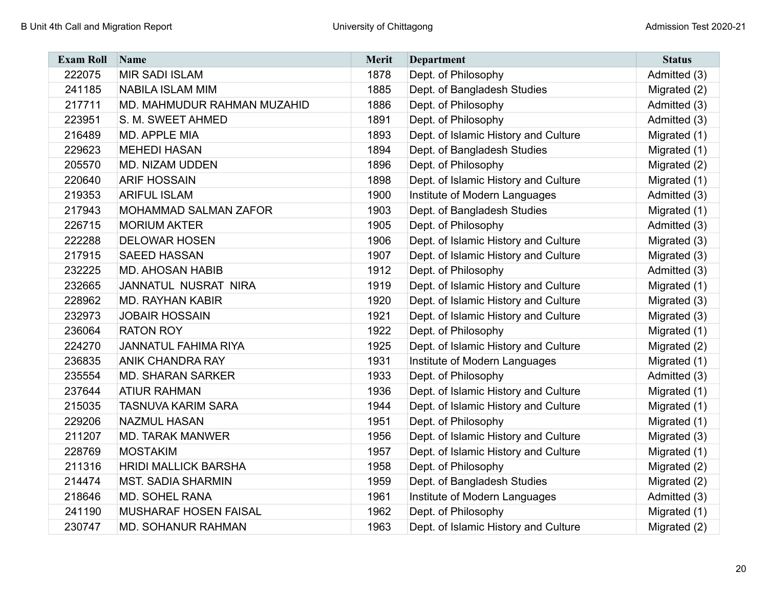| <b>Exam Roll</b> | Name                         | <b>Merit</b> | <b>Department</b>                    | <b>Status</b> |
|------------------|------------------------------|--------------|--------------------------------------|---------------|
| 222075           | <b>MIR SADI ISLAM</b>        | 1878         | Dept. of Philosophy                  | Admitted (3)  |
| 241185           | <b>NABILA ISLAM MIM</b>      | 1885         | Dept. of Bangladesh Studies          | Migrated (2)  |
| 217711           | MD. MAHMUDUR RAHMAN MUZAHID  | 1886         | Dept. of Philosophy                  | Admitted (3)  |
| 223951           | S. M. SWEET AHMED            | 1891         | Dept. of Philosophy                  | Admitted (3)  |
| 216489           | <b>MD. APPLE MIA</b>         | 1893         | Dept. of Islamic History and Culture | Migrated (1)  |
| 229623           | <b>MEHEDI HASAN</b>          | 1894         | Dept. of Bangladesh Studies          | Migrated (1)  |
| 205570           | <b>MD. NIZAM UDDEN</b>       | 1896         | Dept. of Philosophy                  | Migrated (2)  |
| 220640           | <b>ARIF HOSSAIN</b>          | 1898         | Dept. of Islamic History and Culture | Migrated (1)  |
| 219353           | <b>ARIFUL ISLAM</b>          | 1900         | Institute of Modern Languages        | Admitted (3)  |
| 217943           | <b>MOHAMMAD SALMAN ZAFOR</b> | 1903         | Dept. of Bangladesh Studies          | Migrated (1)  |
| 226715           | <b>MORIUM AKTER</b>          | 1905         | Dept. of Philosophy                  | Admitted (3)  |
| 222288           | <b>DELOWAR HOSEN</b>         | 1906         | Dept. of Islamic History and Culture | Migrated (3)  |
| 217915           | <b>SAEED HASSAN</b>          | 1907         | Dept. of Islamic History and Culture | Migrated (3)  |
| 232225           | <b>MD. AHOSAN HABIB</b>      | 1912         | Dept. of Philosophy                  | Admitted (3)  |
| 232665           | JANNATUL NUSRAT NIRA         | 1919         | Dept. of Islamic History and Culture | Migrated (1)  |
| 228962           | <b>MD. RAYHAN KABIR</b>      | 1920         | Dept. of Islamic History and Culture | Migrated (3)  |
| 232973           | <b>JOBAIR HOSSAIN</b>        | 1921         | Dept. of Islamic History and Culture | Migrated (3)  |
| 236064           | <b>RATON ROY</b>             | 1922         | Dept. of Philosophy                  | Migrated (1)  |
| 224270           | <b>JANNATUL FAHIMA RIYA</b>  | 1925         | Dept. of Islamic History and Culture | Migrated (2)  |
| 236835           | <b>ANIK CHANDRA RAY</b>      | 1931         | Institute of Modern Languages        | Migrated (1)  |
| 235554           | <b>MD. SHARAN SARKER</b>     | 1933         | Dept. of Philosophy                  | Admitted (3)  |
| 237644           | <b>ATIUR RAHMAN</b>          | 1936         | Dept. of Islamic History and Culture | Migrated (1)  |
| 215035           | <b>TASNUVA KARIM SARA</b>    | 1944         | Dept. of Islamic History and Culture | Migrated (1)  |
| 229206           | <b>NAZMUL HASAN</b>          | 1951         | Dept. of Philosophy                  | Migrated (1)  |
| 211207           | <b>MD. TARAK MANWER</b>      | 1956         | Dept. of Islamic History and Culture | Migrated (3)  |
| 228769           | <b>MOSTAKIM</b>              | 1957         | Dept. of Islamic History and Culture | Migrated (1)  |
| 211316           | <b>HRIDI MALLICK BARSHA</b>  | 1958         | Dept. of Philosophy                  | Migrated (2)  |
| 214474           | <b>MST. SADIA SHARMIN</b>    | 1959         | Dept. of Bangladesh Studies          | Migrated (2)  |
| 218646           | <b>MD. SOHEL RANA</b>        | 1961         | Institute of Modern Languages        | Admitted (3)  |
| 241190           | <b>MUSHARAF HOSEN FAISAL</b> | 1962         | Dept. of Philosophy                  | Migrated (1)  |
| 230747           | <b>MD. SOHANUR RAHMAN</b>    | 1963         | Dept. of Islamic History and Culture | Migrated (2)  |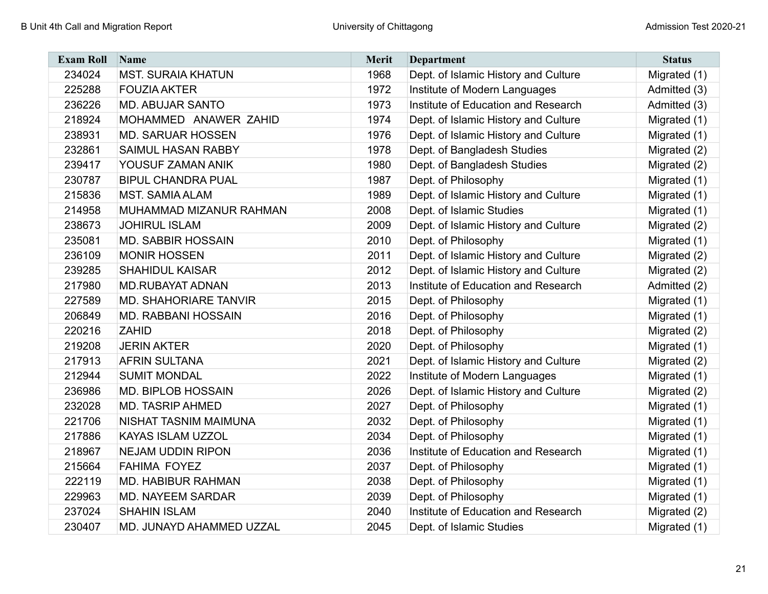| <b>Exam Roll</b> | Name                         | <b>Merit</b> | <b>Department</b>                    | <b>Status</b> |
|------------------|------------------------------|--------------|--------------------------------------|---------------|
| 234024           | <b>MST. SURAIA KHATUN</b>    | 1968         | Dept. of Islamic History and Culture | Migrated (1)  |
| 225288           | <b>FOUZIA AKTER</b>          | 1972         | Institute of Modern Languages        | Admitted (3)  |
| 236226           | <b>MD. ABUJAR SANTO</b>      | 1973         | Institute of Education and Research  | Admitted (3)  |
| 218924           | MOHAMMED ANAWER ZAHID        | 1974         | Dept. of Islamic History and Culture | Migrated (1)  |
| 238931           | <b>MD. SARUAR HOSSEN</b>     | 1976         | Dept. of Islamic History and Culture | Migrated (1)  |
| 232861           | <b>SAIMUL HASAN RABBY</b>    | 1978         | Dept. of Bangladesh Studies          | Migrated (2)  |
| 239417           | YOUSUF ZAMAN ANIK            | 1980         | Dept. of Bangladesh Studies          | Migrated (2)  |
| 230787           | <b>BIPUL CHANDRA PUAL</b>    | 1987         | Dept. of Philosophy                  | Migrated (1)  |
| 215836           | <b>MST. SAMIA ALAM</b>       | 1989         | Dept. of Islamic History and Culture | Migrated (1)  |
| 214958           | MUHAMMAD MIZANUR RAHMAN      | 2008         | Dept. of Islamic Studies             | Migrated (1)  |
| 238673           | <b>JOHIRUL ISLAM</b>         | 2009         | Dept. of Islamic History and Culture | Migrated (2)  |
| 235081           | <b>MD. SABBIR HOSSAIN</b>    | 2010         | Dept. of Philosophy                  | Migrated (1)  |
| 236109           | <b>MONIR HOSSEN</b>          | 2011         | Dept. of Islamic History and Culture | Migrated (2)  |
| 239285           | <b>SHAHIDUL KAISAR</b>       | 2012         | Dept. of Islamic History and Culture | Migrated (2)  |
| 217980           | <b>MD.RUBAYAT ADNAN</b>      | 2013         | Institute of Education and Research  | Admitted (2)  |
| 227589           | <b>MD. SHAHORIARE TANVIR</b> | 2015         | Dept. of Philosophy                  | Migrated (1)  |
| 206849           | <b>MD. RABBANI HOSSAIN</b>   | 2016         | Dept. of Philosophy                  | Migrated (1)  |
| 220216           | <b>ZAHID</b>                 | 2018         | Dept. of Philosophy                  | Migrated (2)  |
| 219208           | <b>JERIN AKTER</b>           | 2020         | Dept. of Philosophy                  | Migrated (1)  |
| 217913           | <b>AFRIN SULTANA</b>         | 2021         | Dept. of Islamic History and Culture | Migrated (2)  |
| 212944           | <b>SUMIT MONDAL</b>          | 2022         | Institute of Modern Languages        | Migrated (1)  |
| 236986           | <b>MD. BIPLOB HOSSAIN</b>    | 2026         | Dept. of Islamic History and Culture | Migrated (2)  |
| 232028           | <b>MD. TASRIP AHMED</b>      | 2027         | Dept. of Philosophy                  | Migrated (1)  |
| 221706           | NISHAT TASNIM MAIMUNA        | 2032         | Dept. of Philosophy                  | Migrated (1)  |
| 217886           | KAYAS ISLAM UZZOL            | 2034         | Dept. of Philosophy                  | Migrated (1)  |
| 218967           | <b>NEJAM UDDIN RIPON</b>     | 2036         | Institute of Education and Research  | Migrated (1)  |
| 215664           | <b>FAHIMA FOYEZ</b>          | 2037         | Dept. of Philosophy                  | Migrated (1)  |
| 222119           | <b>MD. HABIBUR RAHMAN</b>    | 2038         | Dept. of Philosophy                  | Migrated (1)  |
| 229963           | <b>MD. NAYEEM SARDAR</b>     | 2039         | Dept. of Philosophy                  | Migrated (1)  |
| 237024           | <b>SHAHIN ISLAM</b>          | 2040         | Institute of Education and Research  | Migrated (2)  |
| 230407           | MD. JUNAYD AHAMMED UZZAL     | 2045         | Dept. of Islamic Studies             | Migrated (1)  |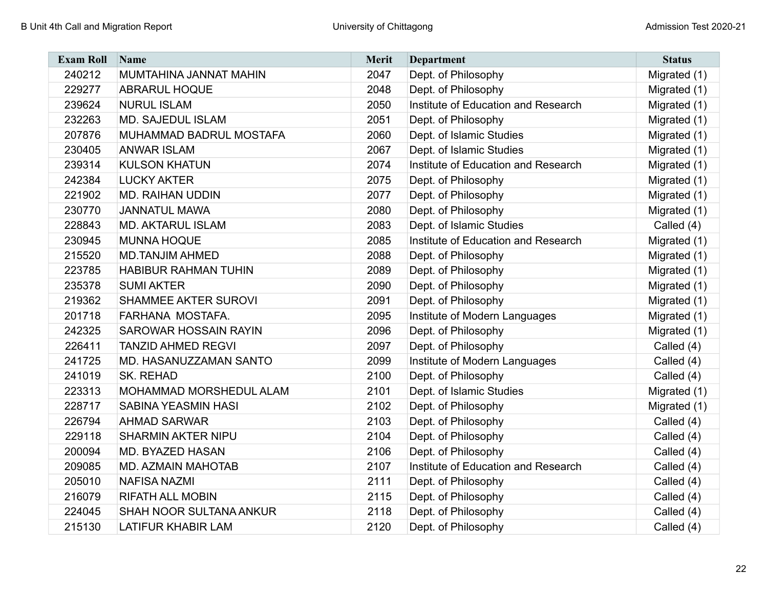| <b>Exam Roll</b> | Name                           | <b>Merit</b> | <b>Department</b>                   | <b>Status</b> |
|------------------|--------------------------------|--------------|-------------------------------------|---------------|
| 240212           | MUMTAHINA JANNAT MAHIN         | 2047         | Dept. of Philosophy                 | Migrated (1)  |
| 229277           | <b>ABRARUL HOQUE</b>           | 2048         | Dept. of Philosophy                 | Migrated (1)  |
| 239624           | <b>NURUL ISLAM</b>             | 2050         | Institute of Education and Research | Migrated (1)  |
| 232263           | MD. SAJEDUL ISLAM              | 2051         | Dept. of Philosophy                 | Migrated (1)  |
| 207876           | MUHAMMAD BADRUL MOSTAFA        | 2060         | Dept. of Islamic Studies            | Migrated (1)  |
| 230405           | <b>ANWAR ISLAM</b>             | 2067         | Dept. of Islamic Studies            | Migrated (1)  |
| 239314           | <b>KULSON KHATUN</b>           | 2074         | Institute of Education and Research | Migrated (1)  |
| 242384           | <b>LUCKY AKTER</b>             | 2075         | Dept. of Philosophy                 | Migrated (1)  |
| 221902           | <b>MD. RAIHAN UDDIN</b>        | 2077         | Dept. of Philosophy                 | Migrated (1)  |
| 230770           | <b>JANNATUL MAWA</b>           | 2080         | Dept. of Philosophy                 | Migrated (1)  |
| 228843           | <b>MD. AKTARUL ISLAM</b>       | 2083         | Dept. of Islamic Studies            | Called (4)    |
| 230945           | <b>MUNNA HOQUE</b>             | 2085         | Institute of Education and Research | Migrated (1)  |
| 215520           | <b>MD.TANJIM AHMED</b>         | 2088         | Dept. of Philosophy                 | Migrated (1)  |
| 223785           | <b>HABIBUR RAHMAN TUHIN</b>    | 2089         | Dept. of Philosophy                 | Migrated (1)  |
| 235378           | <b>SUMI AKTER</b>              | 2090         | Dept. of Philosophy                 | Migrated (1)  |
| 219362           | <b>SHAMMEE AKTER SUROVI</b>    | 2091         | Dept. of Philosophy                 | Migrated (1)  |
| 201718           | FARHANA MOSTAFA.               | 2095         | Institute of Modern Languages       | Migrated (1)  |
| 242325           | <b>SAROWAR HOSSAIN RAYIN</b>   | 2096         | Dept. of Philosophy                 | Migrated (1)  |
| 226411           | <b>TANZID AHMED REGVI</b>      | 2097         | Dept. of Philosophy                 | Called (4)    |
| 241725           | MD. HASANUZZAMAN SANTO         | 2099         | Institute of Modern Languages       | Called (4)    |
| 241019           | <b>SK. REHAD</b>               | 2100         | Dept. of Philosophy                 | Called (4)    |
| 223313           | MOHAMMAD MORSHEDUL ALAM        | 2101         | Dept. of Islamic Studies            | Migrated (1)  |
| 228717           | <b>SABINA YEASMIN HASI</b>     | 2102         | Dept. of Philosophy                 | Migrated (1)  |
| 226794           | <b>AHMAD SARWAR</b>            | 2103         | Dept. of Philosophy                 | Called (4)    |
| 229118           | <b>SHARMIN AKTER NIPU</b>      | 2104         | Dept. of Philosophy                 | Called (4)    |
| 200094           | <b>MD. BYAZED HASAN</b>        | 2106         | Dept. of Philosophy                 | Called (4)    |
| 209085           | MD. AZMAIN MAHOTAB             | 2107         | Institute of Education and Research | Called (4)    |
| 205010           | <b>NAFISA NAZMI</b>            | 2111         | Dept. of Philosophy                 | Called (4)    |
| 216079           | <b>RIFATH ALL MOBIN</b>        | 2115         | Dept. of Philosophy                 | Called (4)    |
| 224045           | <b>SHAH NOOR SULTANA ANKUR</b> | 2118         | Dept. of Philosophy                 | Called (4)    |
| 215130           | <b>LATIFUR KHABIR LAM</b>      | 2120         | Dept. of Philosophy                 | Called (4)    |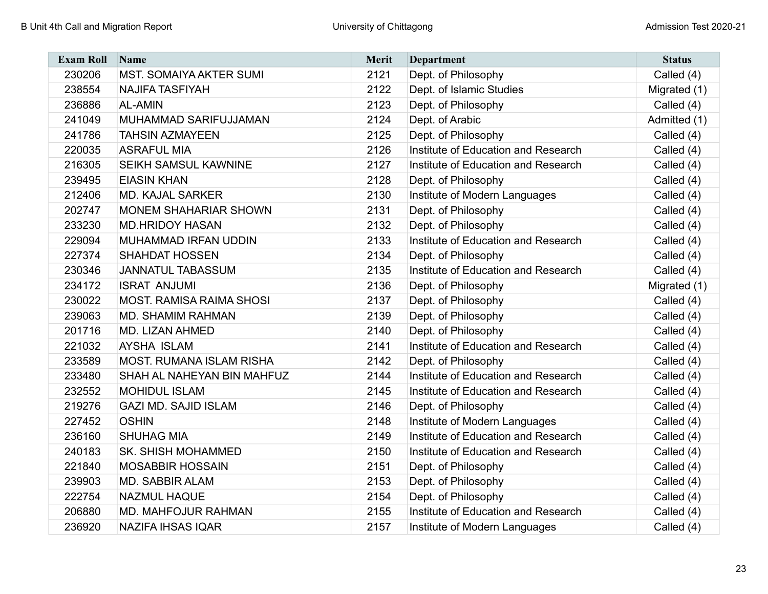| <b>Exam Roll</b> | Name                            | <b>Merit</b> | <b>Department</b>                   | <b>Status</b> |
|------------------|---------------------------------|--------------|-------------------------------------|---------------|
| 230206           | <b>MST. SOMAIYA AKTER SUMI</b>  | 2121         | Dept. of Philosophy                 | Called (4)    |
| 238554           | <b>NAJIFA TASFIYAH</b>          | 2122         | Dept. of Islamic Studies            | Migrated (1)  |
| 236886           | <b>AL-AMIN</b>                  | 2123         | Dept. of Philosophy                 | Called (4)    |
| 241049           | MUHAMMAD SARIFUJJAMAN           | 2124         | Dept. of Arabic                     | Admitted (1)  |
| 241786           | <b>TAHSIN AZMAYEEN</b>          | 2125         | Dept. of Philosophy                 | Called (4)    |
| 220035           | <b>ASRAFUL MIA</b>              | 2126         | Institute of Education and Research | Called (4)    |
| 216305           | SEIKH SAMSUL KAWNINE            | 2127         | Institute of Education and Research | Called (4)    |
| 239495           | <b>EIASIN KHAN</b>              | 2128         | Dept. of Philosophy                 | Called (4)    |
| 212406           | <b>MD. KAJAL SARKER</b>         | 2130         | Institute of Modern Languages       | Called (4)    |
| 202747           | <b>MONEM SHAHARIAR SHOWN</b>    | 2131         | Dept. of Philosophy                 | Called (4)    |
| 233230           | <b>MD.HRIDOY HASAN</b>          | 2132         | Dept. of Philosophy                 | Called (4)    |
| 229094           | MUHAMMAD IRFAN UDDIN            | 2133         | Institute of Education and Research | Called (4)    |
| 227374           | <b>SHAHDAT HOSSEN</b>           | 2134         | Dept. of Philosophy                 | Called (4)    |
| 230346           | <b>JANNATUL TABASSUM</b>        | 2135         | Institute of Education and Research | Called (4)    |
| 234172           | <b>ISRAT ANJUMI</b>             | 2136         | Dept. of Philosophy                 | Migrated (1)  |
| 230022           | <b>MOST. RAMISA RAIMA SHOSI</b> | 2137         | Dept. of Philosophy                 | Called (4)    |
| 239063           | <b>MD. SHAMIM RAHMAN</b>        | 2139         | Dept. of Philosophy                 | Called (4)    |
| 201716           | <b>MD. LIZAN AHMED</b>          | 2140         | Dept. of Philosophy                 | Called (4)    |
| 221032           | <b>AYSHA ISLAM</b>              | 2141         | Institute of Education and Research | Called (4)    |
| 233589           | <b>MOST. RUMANA ISLAM RISHA</b> | 2142         | Dept. of Philosophy                 | Called (4)    |
| 233480           | SHAH AL NAHEYAN BIN MAHFUZ      | 2144         | Institute of Education and Research | Called (4)    |
| 232552           | <b>MOHIDUL ISLAM</b>            | 2145         | Institute of Education and Research | Called (4)    |
| 219276           | <b>GAZI MD. SAJID ISLAM</b>     | 2146         | Dept. of Philosophy                 | Called (4)    |
| 227452           | <b>OSHIN</b>                    | 2148         | Institute of Modern Languages       | Called (4)    |
| 236160           | <b>SHUHAG MIA</b>               | 2149         | Institute of Education and Research | Called (4)    |
| 240183           | <b>SK. SHISH MOHAMMED</b>       | 2150         | Institute of Education and Research | Called (4)    |
| 221840           | <b>MOSABBIR HOSSAIN</b>         | 2151         | Dept. of Philosophy                 | Called (4)    |
| 239903           | <b>MD. SABBIR ALAM</b>          | 2153         | Dept. of Philosophy                 | Called (4)    |
| 222754           | <b>NAZMUL HAQUE</b>             | 2154         | Dept. of Philosophy                 | Called (4)    |
| 206880           | MD. MAHFOJUR RAHMAN             | 2155         | Institute of Education and Research | Called (4)    |
| 236920           | <b>NAZIFA IHSAS IQAR</b>        | 2157         | Institute of Modern Languages       | Called (4)    |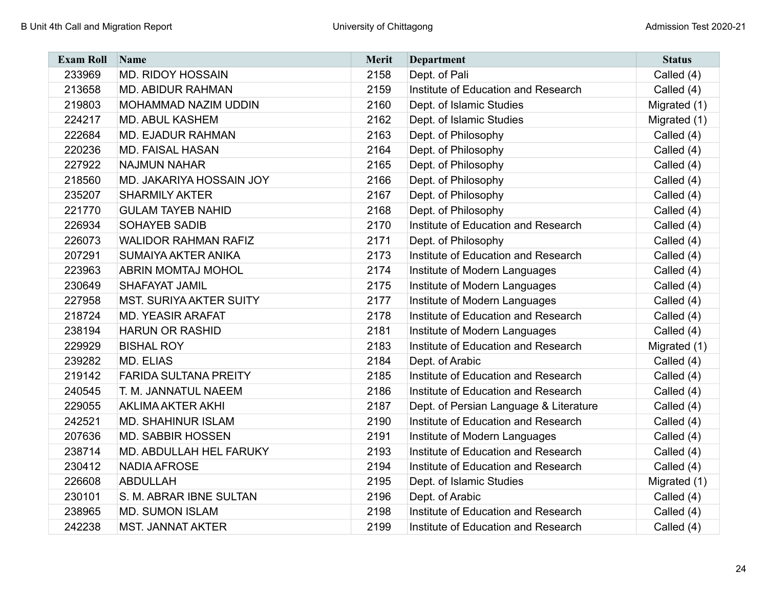| <b>Exam Roll</b> | Name                            | Merit | Department                             | <b>Status</b> |
|------------------|---------------------------------|-------|----------------------------------------|---------------|
| 233969           | <b>MD. RIDOY HOSSAIN</b>        | 2158  | Dept. of Pali                          | Called (4)    |
| 213658           | <b>MD. ABIDUR RAHMAN</b>        | 2159  | Institute of Education and Research    | Called (4)    |
| 219803           | MOHAMMAD NAZIM UDDIN            | 2160  | Dept. of Islamic Studies               | Migrated (1)  |
| 224217           | <b>MD. ABUL KASHEM</b>          | 2162  | Dept. of Islamic Studies               | Migrated (1)  |
| 222684           | <b>MD. EJADUR RAHMAN</b>        | 2163  | Dept. of Philosophy                    | Called (4)    |
| 220236           | <b>MD. FAISAL HASAN</b>         | 2164  | Dept. of Philosophy                    | Called (4)    |
| 227922           | <b>NAJMUN NAHAR</b>             | 2165  | Dept. of Philosophy                    | Called (4)    |
| 218560           | <b>MD. JAKARIYA HOSSAIN JOY</b> | 2166  | Dept. of Philosophy                    | Called (4)    |
| 235207           | <b>SHARMILY AKTER</b>           | 2167  | Dept. of Philosophy                    | Called (4)    |
| 221770           | <b>GULAM TAYEB NAHID</b>        | 2168  | Dept. of Philosophy                    | Called (4)    |
| 226934           | <b>SOHAYEB SADIB</b>            | 2170  | Institute of Education and Research    | Called (4)    |
| 226073           | <b>WALIDOR RAHMAN RAFIZ</b>     | 2171  | Dept. of Philosophy                    | Called (4)    |
| 207291           | SUMAIYA AKTER ANIKA             | 2173  | Institute of Education and Research    | Called (4)    |
| 223963           | <b>ABRIN MOMTAJ MOHOL</b>       | 2174  | Institute of Modern Languages          | Called (4)    |
| 230649           | <b>SHAFAYAT JAMIL</b>           | 2175  | Institute of Modern Languages          | Called (4)    |
| 227958           | <b>MST. SURIYA AKTER SUITY</b>  | 2177  | Institute of Modern Languages          | Called (4)    |
| 218724           | <b>MD. YEASIR ARAFAT</b>        | 2178  | Institute of Education and Research    | Called (4)    |
| 238194           | <b>HARUN OR RASHID</b>          | 2181  | Institute of Modern Languages          | Called (4)    |
| 229929           | <b>BISHAL ROY</b>               | 2183  | Institute of Education and Research    | Migrated (1)  |
| 239282           | <b>MD. ELIAS</b>                | 2184  | Dept. of Arabic                        | Called (4)    |
| 219142           | <b>FARIDA SULTANA PREITY</b>    | 2185  | Institute of Education and Research    | Called (4)    |
| 240545           | T. M. JANNATUL NAEEM            | 2186  | Institute of Education and Research    | Called (4)    |
| 229055           | <b>AKLIMA AKTER AKHI</b>        | 2187  | Dept. of Persian Language & Literature | Called (4)    |
| 242521           | <b>MD. SHAHINUR ISLAM</b>       | 2190  | Institute of Education and Research    | Called (4)    |
| 207636           | <b>MD. SABBIR HOSSEN</b>        | 2191  | Institute of Modern Languages          | Called (4)    |
| 238714           | MD. ABDULLAH HEL FARUKY         | 2193  | Institute of Education and Research    | Called (4)    |
| 230412           | <b>NADIA AFROSE</b>             | 2194  | Institute of Education and Research    | Called (4)    |
| 226608           | <b>ABDULLAH</b>                 | 2195  | Dept. of Islamic Studies               | Migrated (1)  |
| 230101           | S. M. ABRAR IBNE SULTAN         | 2196  | Dept. of Arabic                        | Called (4)    |
| 238965           | <b>MD. SUMON ISLAM</b>          | 2198  | Institute of Education and Research    | Called (4)    |
| 242238           | <b>MST. JANNAT AKTER</b>        | 2199  | Institute of Education and Research    | Called (4)    |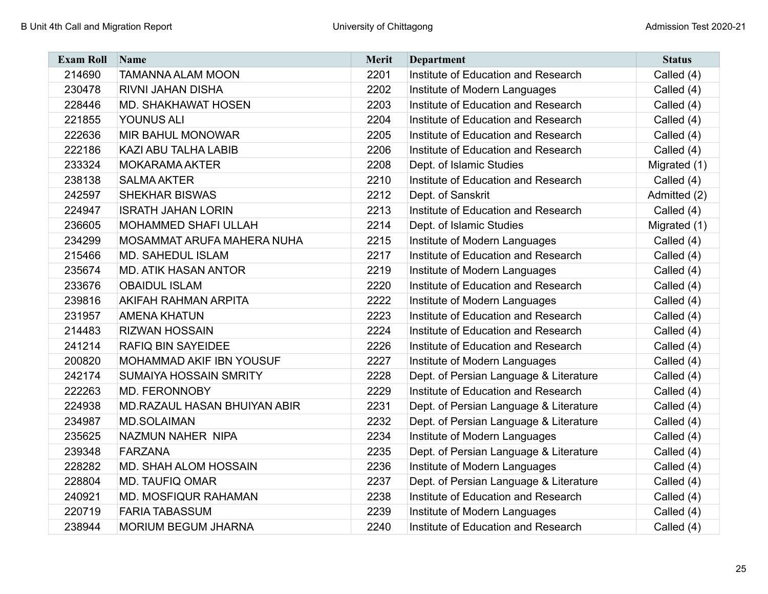| <b>Exam Roll</b> | Name                                | <b>Merit</b> | <b>Department</b>                      | <b>Status</b> |
|------------------|-------------------------------------|--------------|----------------------------------------|---------------|
| 214690           | <b>TAMANNA ALAM MOON</b>            | 2201         | Institute of Education and Research    | Called (4)    |
| 230478           | <b>RIVNI JAHAN DISHA</b>            | 2202         | Institute of Modern Languages          | Called (4)    |
| 228446           | <b>MD. SHAKHAWAT HOSEN</b>          | 2203         | Institute of Education and Research    | Called (4)    |
| 221855           | <b>YOUNUS ALI</b>                   | 2204         | Institute of Education and Research    | Called (4)    |
| 222636           | <b>MIR BAHUL MONOWAR</b>            | 2205         | Institute of Education and Research    | Called (4)    |
| 222186           | <b>KAZI ABU TALHA LABIB</b>         | 2206         | Institute of Education and Research    | Called (4)    |
| 233324           | <b>MOKARAMA AKTER</b>               | 2208         | Dept. of Islamic Studies               | Migrated (1)  |
| 238138           | <b>SALMA AKTER</b>                  | 2210         | Institute of Education and Research    | Called (4)    |
| 242597           | <b>SHEKHAR BISWAS</b>               | 2212         | Dept. of Sanskrit                      | Admitted (2)  |
| 224947           | <b>ISRATH JAHAN LORIN</b>           | 2213         | Institute of Education and Research    | Called (4)    |
| 236605           | <b>MOHAMMED SHAFI ULLAH</b>         | 2214         | Dept. of Islamic Studies               | Migrated (1)  |
| 234299           | MOSAMMAT ARUFA MAHERA NUHA          | 2215         | Institute of Modern Languages          | Called (4)    |
| 215466           | <b>MD. SAHEDUL ISLAM</b>            | 2217         | Institute of Education and Research    | Called (4)    |
| 235674           | <b>MD. ATIK HASAN ANTOR</b>         | 2219         | Institute of Modern Languages          | Called (4)    |
| 233676           | <b>OBAIDUL ISLAM</b>                | 2220         | Institute of Education and Research    | Called (4)    |
| 239816           | <b>AKIFAH RAHMAN ARPITA</b>         | 2222         | Institute of Modern Languages          | Called (4)    |
| 231957           | <b>AMENA KHATUN</b>                 | 2223         | Institute of Education and Research    | Called (4)    |
| 214483           | <b>RIZWAN HOSSAIN</b>               | 2224         | Institute of Education and Research    | Called (4)    |
| 241214           | <b>RAFIQ BIN SAYEIDEE</b>           | 2226         | Institute of Education and Research    | Called (4)    |
| 200820           | <b>MOHAMMAD AKIF IBN YOUSUF</b>     | 2227         | Institute of Modern Languages          | Called (4)    |
| 242174           | <b>SUMAIYA HOSSAIN SMRITY</b>       | 2228         | Dept. of Persian Language & Literature | Called (4)    |
| 222263           | <b>MD. FERONNOBY</b>                | 2229         | Institute of Education and Research    | Called (4)    |
| 224938           | <b>MD.RAZAUL HASAN BHUIYAN ABIR</b> | 2231         | Dept. of Persian Language & Literature | Called (4)    |
| 234987           | <b>MD.SOLAIMAN</b>                  | 2232         | Dept. of Persian Language & Literature | Called (4)    |
| 235625           | NAZMUN NAHER NIPA                   | 2234         | Institute of Modern Languages          | Called (4)    |
| 239348           | <b>FARZANA</b>                      | 2235         | Dept. of Persian Language & Literature | Called (4)    |
| 228282           | <b>MD. SHAH ALOM HOSSAIN</b>        | 2236         | Institute of Modern Languages          | Called (4)    |
| 228804           | <b>MD. TAUFIQ OMAR</b>              | 2237         | Dept. of Persian Language & Literature | Called (4)    |
| 240921           | <b>MD. MOSFIQUR RAHAMAN</b>         | 2238         | Institute of Education and Research    | Called (4)    |
| 220719           | <b>FARIA TABASSUM</b>               | 2239         | Institute of Modern Languages          | Called (4)    |
| 238944           | <b>MORIUM BEGUM JHARNA</b>          | 2240         | Institute of Education and Research    | Called (4)    |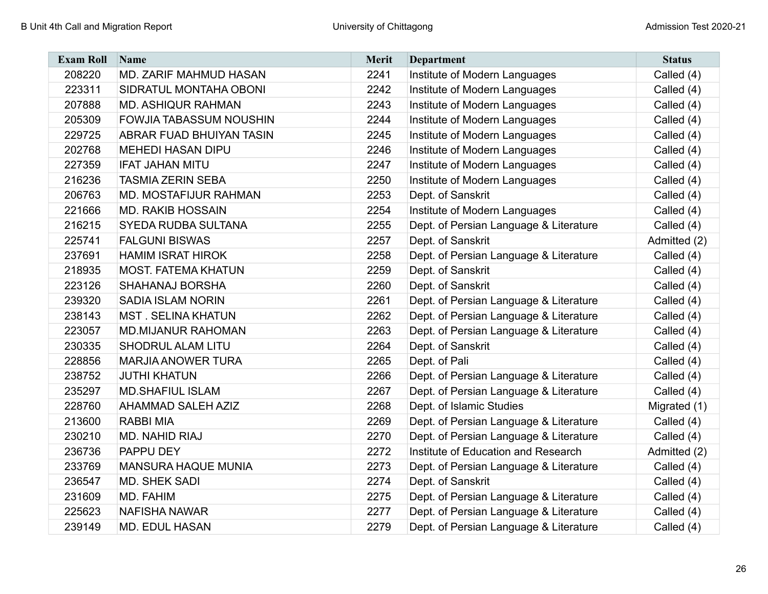| <b>Exam Roll</b> | Name                           | <b>Merit</b> | <b>Department</b>                      | <b>Status</b> |
|------------------|--------------------------------|--------------|----------------------------------------|---------------|
| 208220           | MD. ZARIF MAHMUD HASAN         | 2241         | Institute of Modern Languages          | Called (4)    |
| 223311           | SIDRATUL MONTAHA OBONI         | 2242         | Institute of Modern Languages          | Called (4)    |
| 207888           | <b>MD. ASHIQUR RAHMAN</b>      | 2243         | Institute of Modern Languages          | Called (4)    |
| 205309           | <b>FOWJIA TABASSUM NOUSHIN</b> | 2244         | Institute of Modern Languages          | Called (4)    |
| 229725           | ABRAR FUAD BHUIYAN TASIN       | 2245         | Institute of Modern Languages          | Called (4)    |
| 202768           | <b>MEHEDI HASAN DIPU</b>       | 2246         | Institute of Modern Languages          | Called (4)    |
| 227359           | <b>IFAT JAHAN MITU</b>         | 2247         | Institute of Modern Languages          | Called (4)    |
| 216236           | <b>TASMIA ZERIN SEBA</b>       | 2250         | Institute of Modern Languages          | Called (4)    |
| 206763           | MD. MOSTAFIJUR RAHMAN          | 2253         | Dept. of Sanskrit                      | Called (4)    |
| 221666           | <b>MD. RAKIB HOSSAIN</b>       | 2254         | Institute of Modern Languages          | Called (4)    |
| 216215           | <b>SYEDA RUDBA SULTANA</b>     | 2255         | Dept. of Persian Language & Literature | Called (4)    |
| 225741           | <b>FALGUNI BISWAS</b>          | 2257         | Dept. of Sanskrit                      | Admitted (2)  |
| 237691           | <b>HAMIM ISRAT HIROK</b>       | 2258         | Dept. of Persian Language & Literature | Called (4)    |
| 218935           | <b>MOST. FATEMA KHATUN</b>     | 2259         | Dept. of Sanskrit                      | Called (4)    |
| 223126           | <b>SHAHANAJ BORSHA</b>         | 2260         | Dept. of Sanskrit                      | Called (4)    |
| 239320           | <b>SADIA ISLAM NORIN</b>       | 2261         | Dept. of Persian Language & Literature | Called (4)    |
| 238143           | <b>MST. SELINA KHATUN</b>      | 2262         | Dept. of Persian Language & Literature | Called (4)    |
| 223057           | <b>MD.MIJANUR RAHOMAN</b>      | 2263         | Dept. of Persian Language & Literature | Called (4)    |
| 230335           | <b>SHODRUL ALAM LITU</b>       | 2264         | Dept. of Sanskrit                      | Called (4)    |
| 228856           | <b>MARJIA ANOWER TURA</b>      | 2265         | Dept. of Pali                          | Called (4)    |
| 238752           | <b>JUTHI KHATUN</b>            | 2266         | Dept. of Persian Language & Literature | Called (4)    |
| 235297           | <b>MD.SHAFIUL ISLAM</b>        | 2267         | Dept. of Persian Language & Literature | Called (4)    |
| 228760           | <b>AHAMMAD SALEH AZIZ</b>      | 2268         | Dept. of Islamic Studies               | Migrated (1)  |
| 213600           | <b>RABBI MIA</b>               | 2269         | Dept. of Persian Language & Literature | Called (4)    |
| 230210           | <b>MD. NAHID RIAJ</b>          | 2270         | Dept. of Persian Language & Literature | Called (4)    |
| 236736           | PAPPU DEY                      | 2272         | Institute of Education and Research    | Admitted (2)  |
| 233769           | <b>MANSURA HAQUE MUNIA</b>     | 2273         | Dept. of Persian Language & Literature | Called (4)    |
| 236547           | <b>MD. SHEK SADI</b>           | 2274         | Dept. of Sanskrit                      | Called (4)    |
| 231609           | MD. FAHIM                      | 2275         | Dept. of Persian Language & Literature | Called (4)    |
| 225623           | <b>NAFISHA NAWAR</b>           | 2277         | Dept. of Persian Language & Literature | Called (4)    |
| 239149           | <b>MD. EDUL HASAN</b>          | 2279         | Dept. of Persian Language & Literature | Called (4)    |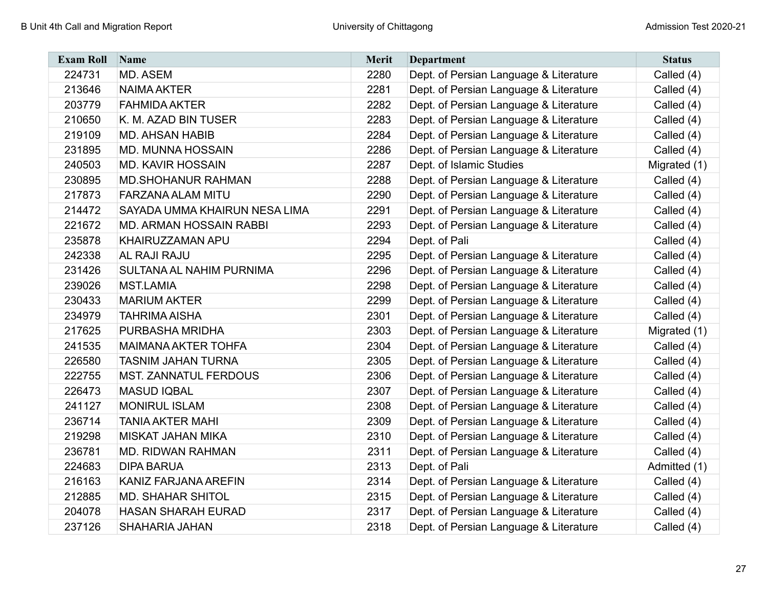| <b>Exam Roll</b> | <b>Name</b>                     | <b>Merit</b> | <b>Department</b>                      | <b>Status</b> |
|------------------|---------------------------------|--------------|----------------------------------------|---------------|
| 224731           | MD. ASEM                        | 2280         | Dept. of Persian Language & Literature | Called (4)    |
| 213646           | <b>NAIMA AKTER</b>              | 2281         | Dept. of Persian Language & Literature | Called (4)    |
| 203779           | <b>FAHMIDA AKTER</b>            | 2282         | Dept. of Persian Language & Literature | Called (4)    |
| 210650           | K. M. AZAD BIN TUSER            | 2283         | Dept. of Persian Language & Literature | Called (4)    |
| 219109           | <b>MD. AHSAN HABIB</b>          | 2284         | Dept. of Persian Language & Literature | Called (4)    |
| 231895           | <b>MD. MUNNA HOSSAIN</b>        | 2286         | Dept. of Persian Language & Literature | Called (4)    |
| 240503           | <b>MD. KAVIR HOSSAIN</b>        | 2287         | Dept. of Islamic Studies               | Migrated (1)  |
| 230895           | <b>MD.SHOHANUR RAHMAN</b>       | 2288         | Dept. of Persian Language & Literature | Called (4)    |
| 217873           | <b>FARZANA ALAM MITU</b>        | 2290         | Dept. of Persian Language & Literature | Called (4)    |
| 214472           | SAYADA UMMA KHAIRUN NESA LIMA   | 2291         | Dept. of Persian Language & Literature | Called (4)    |
| 221672           | <b>MD. ARMAN HOSSAIN RABBI</b>  | 2293         | Dept. of Persian Language & Literature | Called (4)    |
| 235878           | KHAIRUZZAMAN APU                | 2294         | Dept. of Pali                          | Called (4)    |
| 242338           | <b>AL RAJI RAJU</b>             | 2295         | Dept. of Persian Language & Literature | Called (4)    |
| 231426           | <b>SULTANA AL NAHIM PURNIMA</b> | 2296         | Dept. of Persian Language & Literature | Called (4)    |
| 239026           | <b>MST.LAMIA</b>                | 2298         | Dept. of Persian Language & Literature | Called (4)    |
| 230433           | <b>MARIUM AKTER</b>             | 2299         | Dept. of Persian Language & Literature | Called (4)    |
| 234979           | <b>TAHRIMA AISHA</b>            | 2301         | Dept. of Persian Language & Literature | Called (4)    |
| 217625           | PURBASHA MRIDHA                 | 2303         | Dept. of Persian Language & Literature | Migrated (1)  |
| 241535           | <b>MAIMANA AKTER TOHFA</b>      | 2304         | Dept. of Persian Language & Literature | Called (4)    |
| 226580           | <b>TASNIM JAHAN TURNA</b>       | 2305         | Dept. of Persian Language & Literature | Called (4)    |
| 222755           | <b>MST. ZANNATUL FERDOUS</b>    | 2306         | Dept. of Persian Language & Literature | Called (4)    |
| 226473           | <b>MASUD IQBAL</b>              | 2307         | Dept. of Persian Language & Literature | Called (4)    |
| 241127           | <b>MONIRUL ISLAM</b>            | 2308         | Dept. of Persian Language & Literature | Called (4)    |
| 236714           | <b>TANIA AKTER MAHI</b>         | 2309         | Dept. of Persian Language & Literature | Called (4)    |
| 219298           | <b>MISKAT JAHAN MIKA</b>        | 2310         | Dept. of Persian Language & Literature | Called (4)    |
| 236781           | <b>MD. RIDWAN RAHMAN</b>        | 2311         | Dept. of Persian Language & Literature | Called (4)    |
| 224683           | <b>DIPA BARUA</b>               | 2313         | Dept. of Pali                          | Admitted (1)  |
| 216163           | KANIZ FARJANA AREFIN            | 2314         | Dept. of Persian Language & Literature | Called (4)    |
| 212885           | <b>MD. SHAHAR SHITOL</b>        | 2315         | Dept. of Persian Language & Literature | Called (4)    |
| 204078           | <b>HASAN SHARAH EURAD</b>       | 2317         | Dept. of Persian Language & Literature | Called (4)    |
| 237126           | SHAHARIA JAHAN                  | 2318         | Dept. of Persian Language & Literature | Called (4)    |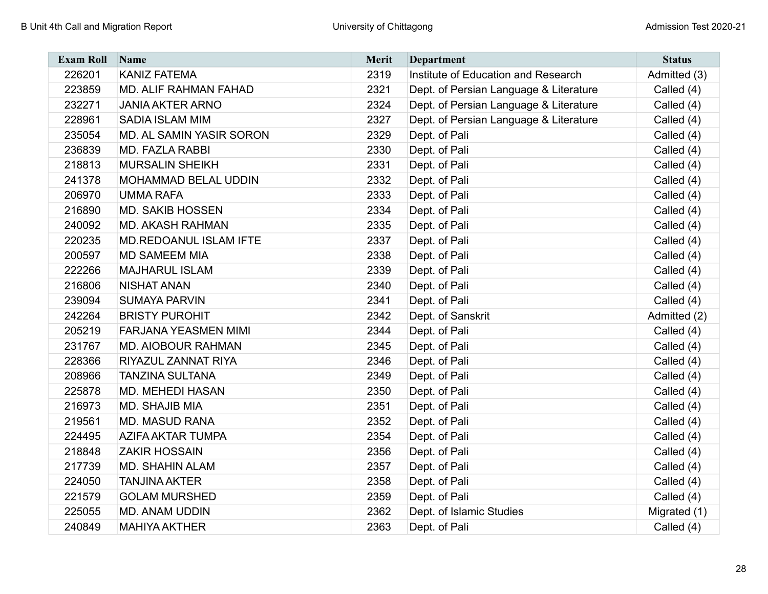| <b>Exam Roll</b> | Name                         | <b>Merit</b> | <b>Department</b>                      | <b>Status</b> |
|------------------|------------------------------|--------------|----------------------------------------|---------------|
| 226201           | <b>KANIZ FATEMA</b>          | 2319         | Institute of Education and Research    | Admitted (3)  |
| 223859           | <b>MD. ALIF RAHMAN FAHAD</b> | 2321         | Dept. of Persian Language & Literature | Called (4)    |
| 232271           | <b>JANIA AKTER ARNO</b>      | 2324         | Dept. of Persian Language & Literature | Called (4)    |
| 228961           | SADIA ISLAM MIM              | 2327         | Dept. of Persian Language & Literature | Called (4)    |
| 235054           | MD. AL SAMIN YASIR SORON     | 2329         | Dept. of Pali                          | Called (4)    |
| 236839           | MD. FAZLA RABBI              | 2330         | Dept. of Pali                          | Called (4)    |
| 218813           | <b>MURSALIN SHEIKH</b>       | 2331         | Dept. of Pali                          | Called (4)    |
| 241378           | <b>MOHAMMAD BELAL UDDIN</b>  | 2332         | Dept. of Pali                          | Called (4)    |
| 206970           | <b>UMMA RAFA</b>             | 2333         | Dept. of Pali                          | Called (4)    |
| 216890           | <b>MD. SAKIB HOSSEN</b>      | 2334         | Dept. of Pali                          | Called (4)    |
| 240092           | <b>MD. AKASH RAHMAN</b>      | 2335         | Dept. of Pali                          | Called (4)    |
| 220235           | MD.REDOANUL ISLAM IFTE       | 2337         | Dept. of Pali                          | Called (4)    |
| 200597           | <b>MD SAMEEM MIA</b>         | 2338         | Dept. of Pali                          | Called (4)    |
| 222266           | <b>MAJHARUL ISLAM</b>        | 2339         | Dept. of Pali                          | Called (4)    |
| 216806           | <b>NISHAT ANAN</b>           | 2340         | Dept. of Pali                          | Called (4)    |
| 239094           | <b>SUMAYA PARVIN</b>         | 2341         | Dept. of Pali                          | Called (4)    |
| 242264           | <b>BRISTY PUROHIT</b>        | 2342         | Dept. of Sanskrit                      | Admitted (2)  |
| 205219           | <b>FARJANA YEASMEN MIMI</b>  | 2344         | Dept. of Pali                          | Called (4)    |
| 231767           | <b>MD. AIOBOUR RAHMAN</b>    | 2345         | Dept. of Pali                          | Called (4)    |
| 228366           | RIYAZUL ZANNAT RIYA          | 2346         | Dept. of Pali                          | Called (4)    |
| 208966           | <b>TANZINA SULTANA</b>       | 2349         | Dept. of Pali                          | Called (4)    |
| 225878           | MD. MEHEDI HASAN             | 2350         | Dept. of Pali                          | Called (4)    |
| 216973           | <b>MD. SHAJIB MIA</b>        | 2351         | Dept. of Pali                          | Called (4)    |
| 219561           | <b>MD. MASUD RANA</b>        | 2352         | Dept. of Pali                          | Called (4)    |
| 224495           | <b>AZIFA AKTAR TUMPA</b>     | 2354         | Dept. of Pali                          | Called (4)    |
| 218848           | <b>ZAKIR HOSSAIN</b>         | 2356         | Dept. of Pali                          | Called (4)    |
| 217739           | MD. SHAHIN ALAM              | 2357         | Dept. of Pali                          | Called (4)    |
| 224050           | <b>TANJINA AKTER</b>         | 2358         | Dept. of Pali                          | Called (4)    |
| 221579           | <b>GOLAM MURSHED</b>         | 2359         | Dept. of Pali                          | Called (4)    |
| 225055           | <b>MD. ANAM UDDIN</b>        | 2362         | Dept. of Islamic Studies               | Migrated (1)  |
| 240849           | <b>MAHIYA AKTHER</b>         | 2363         | Dept. of Pali                          | Called (4)    |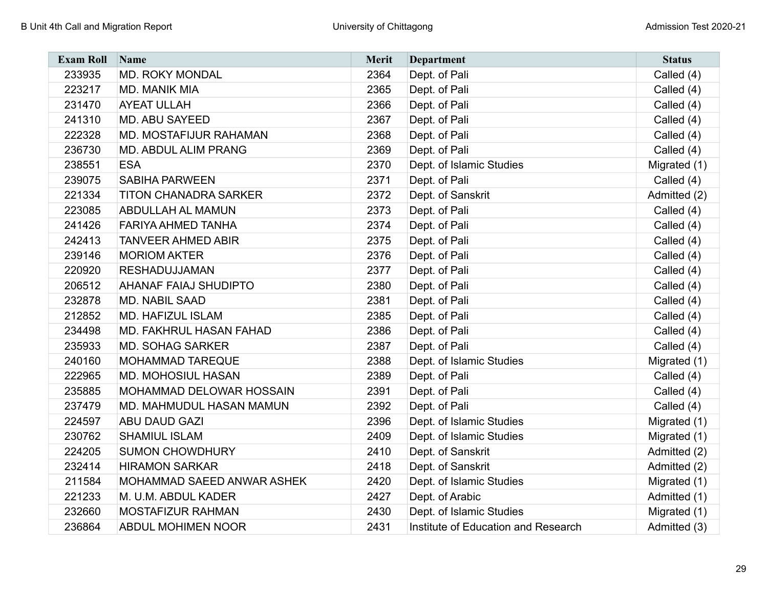| <b>Exam Roll</b> | Name                         | <b>Merit</b> | Department                          | <b>Status</b> |
|------------------|------------------------------|--------------|-------------------------------------|---------------|
| 233935           | <b>MD. ROKY MONDAL</b>       | 2364         | Dept. of Pali                       | Called (4)    |
| 223217           | MD. MANIK MIA                | 2365         | Dept. of Pali                       | Called (4)    |
| 231470           | <b>AYEAT ULLAH</b>           | 2366         | Dept. of Pali                       | Called (4)    |
| 241310           | MD. ABU SAYEED               | 2367         | Dept. of Pali                       | Called (4)    |
| 222328           | MD. MOSTAFIJUR RAHAMAN       | 2368         | Dept. of Pali                       | Called (4)    |
| 236730           | MD. ABDUL ALIM PRANG         | 2369         | Dept. of Pali                       | Called (4)    |
| 238551           | <b>ESA</b>                   | 2370         | Dept. of Islamic Studies            | Migrated (1)  |
| 239075           | <b>SABIHA PARWEEN</b>        | 2371         | Dept. of Pali                       | Called (4)    |
| 221334           | <b>TITON CHANADRA SARKER</b> | 2372         | Dept. of Sanskrit                   | Admitted (2)  |
| 223085           | ABDULLAH AL MAMUN            | 2373         | Dept. of Pali                       | Called (4)    |
| 241426           | <b>FARIYA AHMED TANHA</b>    | 2374         | Dept. of Pali                       | Called (4)    |
| 242413           | <b>TANVEER AHMED ABIR</b>    | 2375         | Dept. of Pali                       | Called (4)    |
| 239146           | <b>MORIOM AKTER</b>          | 2376         | Dept. of Pali                       | Called (4)    |
| 220920           | <b>RESHADUJJAMAN</b>         | 2377         | Dept. of Pali                       | Called (4)    |
| 206512           | AHANAF FAIAJ SHUDIPTO        | 2380         | Dept. of Pali                       | Called (4)    |
| 232878           | MD. NABIL SAAD               | 2381         | Dept. of Pali                       | Called (4)    |
| 212852           | <b>MD. HAFIZUL ISLAM</b>     | 2385         | Dept. of Pali                       | Called (4)    |
| 234498           | MD. FAKHRUL HASAN FAHAD      | 2386         | Dept. of Pali                       | Called (4)    |
| 235933           | <b>MD. SOHAG SARKER</b>      | 2387         | Dept. of Pali                       | Called (4)    |
| 240160           | <b>MOHAMMAD TAREQUE</b>      | 2388         | Dept. of Islamic Studies            | Migrated (1)  |
| 222965           | MD. MOHOSIUL HASAN           | 2389         | Dept. of Pali                       | Called (4)    |
| 235885           | MOHAMMAD DELOWAR HOSSAIN     | 2391         | Dept. of Pali                       | Called (4)    |
| 237479           | MD. MAHMUDUL HASAN MAMUN     | 2392         | Dept. of Pali                       | Called (4)    |
| 224597           | <b>ABU DAUD GAZI</b>         | 2396         | Dept. of Islamic Studies            | Migrated (1)  |
| 230762           | <b>SHAMIUL ISLAM</b>         | 2409         | Dept. of Islamic Studies            | Migrated (1)  |
| 224205           | <b>SUMON CHOWDHURY</b>       | 2410         | Dept. of Sanskrit                   | Admitted (2)  |
| 232414           | <b>HIRAMON SARKAR</b>        | 2418         | Dept. of Sanskrit                   | Admitted (2)  |
| 211584           | MOHAMMAD SAEED ANWAR ASHEK   | 2420         | Dept. of Islamic Studies            | Migrated (1)  |
| 221233           | M. U.M. ABDUL KADER          | 2427         | Dept. of Arabic                     | Admitted (1)  |
| 232660           | MOSTAFIZUR RAHMAN            | 2430         | Dept. of Islamic Studies            | Migrated (1)  |
| 236864           | ABDUL MOHIMEN NOOR           | 2431         | Institute of Education and Research | Admitted (3)  |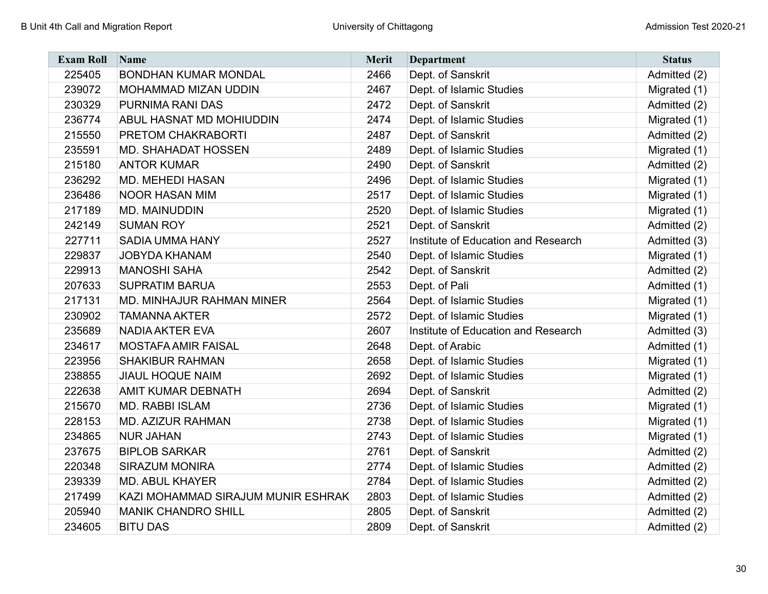| <b>Exam Roll</b> | Name                               | <b>Merit</b> | <b>Department</b>                   | <b>Status</b> |
|------------------|------------------------------------|--------------|-------------------------------------|---------------|
| 225405           | <b>BONDHAN KUMAR MONDAL</b>        | 2466         | Dept. of Sanskrit                   | Admitted (2)  |
| 239072           | <b>MOHAMMAD MIZAN UDDIN</b>        | 2467         | Dept. of Islamic Studies            | Migrated (1)  |
| 230329           | PURNIMA RANI DAS                   | 2472         | Dept. of Sanskrit                   | Admitted (2)  |
| 236774           | ABUL HASNAT MD MOHIUDDIN           | 2474         | Dept. of Islamic Studies            | Migrated (1)  |
| 215550           | PRETOM CHAKRABORTI                 | 2487         | Dept. of Sanskrit                   | Admitted (2)  |
| 235591           | <b>MD. SHAHADAT HOSSEN</b>         | 2489         | Dept. of Islamic Studies            | Migrated (1)  |
| 215180           | <b>ANTOR KUMAR</b>                 | 2490         | Dept. of Sanskrit                   | Admitted (2)  |
| 236292           | <b>MD. MEHEDI HASAN</b>            | 2496         | Dept. of Islamic Studies            | Migrated (1)  |
| 236486           | NOOR HASAN MIM                     | 2517         | Dept. of Islamic Studies            | Migrated (1)  |
| 217189           | <b>MD. MAINUDDIN</b>               | 2520         | Dept. of Islamic Studies            | Migrated (1)  |
| 242149           | <b>SUMAN ROY</b>                   | 2521         | Dept. of Sanskrit                   | Admitted (2)  |
| 227711           | <b>SADIA UMMA HANY</b>             | 2527         | Institute of Education and Research | Admitted (3)  |
| 229837           | <b>JOBYDA KHANAM</b>               | 2540         | Dept. of Islamic Studies            | Migrated (1)  |
| 229913           | <b>MANOSHI SAHA</b>                | 2542         | Dept. of Sanskrit                   | Admitted (2)  |
| 207633           | <b>SUPRATIM BARUA</b>              | 2553         | Dept. of Pali                       | Admitted (1)  |
| 217131           | MD. MINHAJUR RAHMAN MINER          | 2564         | Dept. of Islamic Studies            | Migrated (1)  |
| 230902           | <b>TAMANNA AKTER</b>               | 2572         | Dept. of Islamic Studies            | Migrated (1)  |
| 235689           | <b>NADIA AKTER EVA</b>             | 2607         | Institute of Education and Research | Admitted (3)  |
| 234617           | <b>MOSTAFA AMIR FAISAL</b>         | 2648         | Dept. of Arabic                     | Admitted (1)  |
| 223956           | <b>SHAKIBUR RAHMAN</b>             | 2658         | Dept. of Islamic Studies            | Migrated (1)  |
| 238855           | <b>JIAUL HOQUE NAIM</b>            | 2692         | Dept. of Islamic Studies            | Migrated (1)  |
| 222638           | AMIT KUMAR DEBNATH                 | 2694         | Dept. of Sanskrit                   | Admitted (2)  |
| 215670           | <b>MD. RABBI ISLAM</b>             | 2736         | Dept. of Islamic Studies            | Migrated (1)  |
| 228153           | <b>MD. AZIZUR RAHMAN</b>           | 2738         | Dept. of Islamic Studies            | Migrated (1)  |
| 234865           | <b>NUR JAHAN</b>                   | 2743         | Dept. of Islamic Studies            | Migrated (1)  |
| 237675           | <b>BIPLOB SARKAR</b>               | 2761         | Dept. of Sanskrit                   | Admitted (2)  |
| 220348           | <b>SIRAZUM MONIRA</b>              | 2774         | Dept. of Islamic Studies            | Admitted (2)  |
| 239339           | <b>MD. ABUL KHAYER</b>             | 2784         | Dept. of Islamic Studies            | Admitted (2)  |
| 217499           | KAZI MOHAMMAD SIRAJUM MUNIR ESHRAK | 2803         | Dept. of Islamic Studies            | Admitted (2)  |
| 205940           | <b>MANIK CHANDRO SHILL</b>         | 2805         | Dept. of Sanskrit                   | Admitted (2)  |
| 234605           | <b>BITU DAS</b>                    | 2809         | Dept. of Sanskrit                   | Admitted (2)  |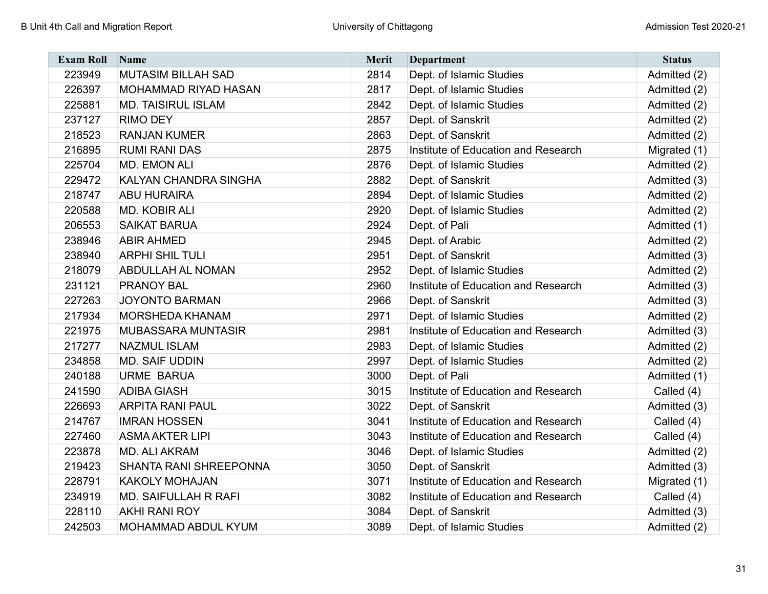| <b>Exam Roll</b> | Name                        | <b>Merit</b> | <b>Department</b>                   | <b>Status</b> |
|------------------|-----------------------------|--------------|-------------------------------------|---------------|
| 223949           | <b>MUTASIM BILLAH SAD</b>   | 2814         | Dept. of Islamic Studies            | Admitted (2)  |
| 226397           | MOHAMMAD RIYAD HASAN        | 2817         | Dept. of Islamic Studies            | Admitted (2)  |
| 225881           | <b>MD. TAISIRUL ISLAM</b>   | 2842         | Dept. of Islamic Studies            | Admitted (2)  |
| 237127           | <b>RIMO DEY</b>             | 2857         | Dept. of Sanskrit                   | Admitted (2)  |
| 218523           | <b>RANJAN KUMER</b>         | 2863         | Dept. of Sanskrit                   | Admitted (2)  |
| 216895           | <b>RUMI RANI DAS</b>        | 2875         | Institute of Education and Research | Migrated (1)  |
| 225704           | <b>MD. EMON ALI</b>         | 2876         | Dept. of Islamic Studies            | Admitted (2)  |
| 229472           | KALYAN CHANDRA SINGHA       | 2882         | Dept. of Sanskrit                   | Admitted (3)  |
| 218747           | <b>ABU HURAIRA</b>          | 2894         | Dept. of Islamic Studies            | Admitted (2)  |
| 220588           | <b>MD. KOBIR ALI</b>        | 2920         | Dept. of Islamic Studies            | Admitted (2)  |
| 206553           | <b>SAIKAT BARUA</b>         | 2924         | Dept. of Pali                       | Admitted (1)  |
| 238946           | <b>ABIR AHMED</b>           | 2945         | Dept. of Arabic                     | Admitted (2)  |
| 238940           | <b>ARPHI SHIL TULI</b>      | 2951         | Dept. of Sanskrit                   | Admitted (3)  |
| 218079           | <b>ABDULLAH AL NOMAN</b>    | 2952         | Dept. of Islamic Studies            | Admitted (2)  |
| 231121           | <b>PRANOY BAL</b>           | 2960         | Institute of Education and Research | Admitted (3)  |
| 227263           | <b>JOYONTO BARMAN</b>       | 2966         | Dept. of Sanskrit                   | Admitted (3)  |
| 217934           | <b>MORSHEDA KHANAM</b>      | 2971         | Dept. of Islamic Studies            | Admitted (2)  |
| 221975           | <b>MUBASSARA MUNTASIR</b>   | 2981         | Institute of Education and Research | Admitted (3)  |
| 217277           | <b>NAZMUL ISLAM</b>         | 2983         | Dept. of Islamic Studies            | Admitted (2)  |
| 234858           | <b>MD. SAIF UDDIN</b>       | 2997         | Dept. of Islamic Studies            | Admitted (2)  |
| 240188           | <b>URME BARUA</b>           | 3000         | Dept. of Pali                       | Admitted (1)  |
| 241590           | <b>ADIBA GIASH</b>          | 3015         | Institute of Education and Research | Called (4)    |
| 226693           | <b>ARPITA RANI PAUL</b>     | 3022         | Dept. of Sanskrit                   | Admitted (3)  |
| 214767           | <b>IMRAN HOSSEN</b>         | 3041         | Institute of Education and Research | Called (4)    |
| 227460           | <b>ASMA AKTER LIPI</b>      | 3043         | Institute of Education and Research | Called (4)    |
| 223878           | <b>MD. ALI AKRAM</b>        | 3046         | Dept. of Islamic Studies            | Admitted (2)  |
| 219423           | SHANTA RANI SHREEPONNA      | 3050         | Dept. of Sanskrit                   | Admitted (3)  |
| 228791           | <b>KAKOLY MOHAJAN</b>       | 3071         | Institute of Education and Research | Migrated (1)  |
| 234919           | <b>MD. SAIFULLAH R RAFI</b> | 3082         | Institute of Education and Research | Called (4)    |
| 228110           | <b>AKHI RANI ROY</b>        | 3084         | Dept. of Sanskrit                   | Admitted (3)  |
| 242503           | MOHAMMAD ABDUL KYUM         | 3089         | Dept. of Islamic Studies            | Admitted (2)  |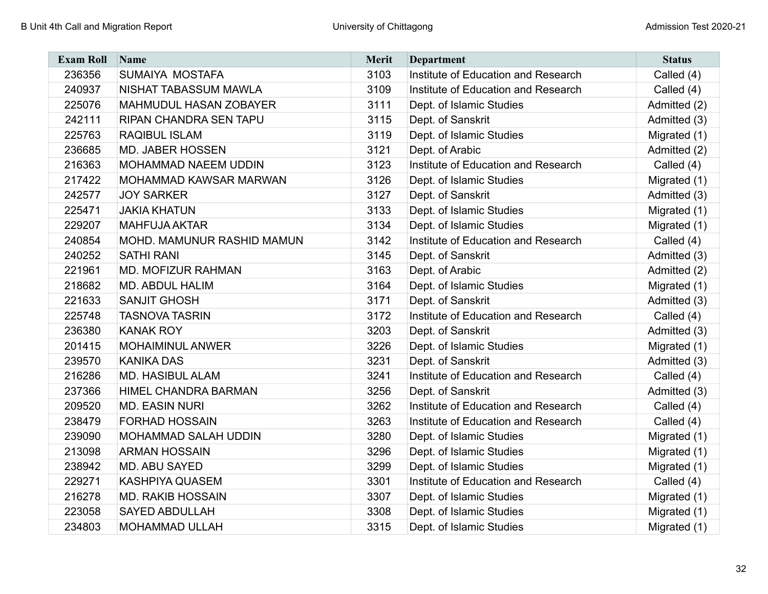| <b>Exam Roll</b> | Name                          | <b>Merit</b> | <b>Department</b>                   | <b>Status</b> |
|------------------|-------------------------------|--------------|-------------------------------------|---------------|
| 236356           | SUMAIYA MOSTAFA               | 3103         | Institute of Education and Research | Called (4)    |
| 240937           | NISHAT TABASSUM MAWLA         | 3109         | Institute of Education and Research | Called (4)    |
| 225076           | MAHMUDUL HASAN ZOBAYER        | 3111         | Dept. of Islamic Studies            | Admitted (2)  |
| 242111           | <b>RIPAN CHANDRA SEN TAPU</b> | 3115         | Dept. of Sanskrit                   | Admitted (3)  |
| 225763           | <b>RAQIBUL ISLAM</b>          | 3119         | Dept. of Islamic Studies            | Migrated (1)  |
| 236685           | <b>MD. JABER HOSSEN</b>       | 3121         | Dept. of Arabic                     | Admitted (2)  |
| 216363           | <b>MOHAMMAD NAEEM UDDIN</b>   | 3123         | Institute of Education and Research | Called $(4)$  |
| 217422           | <b>MOHAMMAD KAWSAR MARWAN</b> | 3126         | Dept. of Islamic Studies            | Migrated (1)  |
| 242577           | <b>JOY SARKER</b>             | 3127         | Dept. of Sanskrit                   | Admitted (3)  |
| 225471           | <b>JAKIA KHATUN</b>           | 3133         | Dept. of Islamic Studies            | Migrated (1)  |
| 229207           | <b>MAHFUJA AKTAR</b>          | 3134         | Dept. of Islamic Studies            | Migrated (1)  |
| 240854           | MOHD. MAMUNUR RASHID MAMUN    | 3142         | Institute of Education and Research | Called (4)    |
| 240252           | <b>SATHI RANI</b>             | 3145         | Dept. of Sanskrit                   | Admitted (3)  |
| 221961           | <b>MD. MOFIZUR RAHMAN</b>     | 3163         | Dept. of Arabic                     | Admitted (2)  |
| 218682           | MD. ABDUL HALIM               | 3164         | Dept. of Islamic Studies            | Migrated (1)  |
| 221633           | <b>SANJIT GHOSH</b>           | 3171         | Dept. of Sanskrit                   | Admitted (3)  |
| 225748           | <b>TASNOVA TASRIN</b>         | 3172         | Institute of Education and Research | Called (4)    |
| 236380           | <b>KANAK ROY</b>              | 3203         | Dept. of Sanskrit                   | Admitted (3)  |
| 201415           | <b>MOHAIMINUL ANWER</b>       | 3226         | Dept. of Islamic Studies            | Migrated (1)  |
| 239570           | <b>KANIKA DAS</b>             | 3231         | Dept. of Sanskrit                   | Admitted (3)  |
| 216286           | <b>MD. HASIBUL ALAM</b>       | 3241         | Institute of Education and Research | Called (4)    |
| 237366           | <b>HIMEL CHANDRA BARMAN</b>   | 3256         | Dept. of Sanskrit                   | Admitted (3)  |
| 209520           | <b>MD. EASIN NURI</b>         | 3262         | Institute of Education and Research | Called (4)    |
| 238479           | <b>FORHAD HOSSAIN</b>         | 3263         | Institute of Education and Research | Called (4)    |
| 239090           | <b>MOHAMMAD SALAH UDDIN</b>   | 3280         | Dept. of Islamic Studies            | Migrated (1)  |
| 213098           | <b>ARMAN HOSSAIN</b>          | 3296         | Dept. of Islamic Studies            | Migrated (1)  |
| 238942           | MD. ABU SAYED                 | 3299         | Dept. of Islamic Studies            | Migrated (1)  |
| 229271           | KASHPIYA QUASEM               | 3301         | Institute of Education and Research | Called (4)    |
| 216278           | <b>MD. RAKIB HOSSAIN</b>      | 3307         | Dept. of Islamic Studies            | Migrated (1)  |
| 223058           | <b>SAYED ABDULLAH</b>         | 3308         | Dept. of Islamic Studies            | Migrated (1)  |
| 234803           | <b>MOHAMMAD ULLAH</b>         | 3315         | Dept. of Islamic Studies            | Migrated (1)  |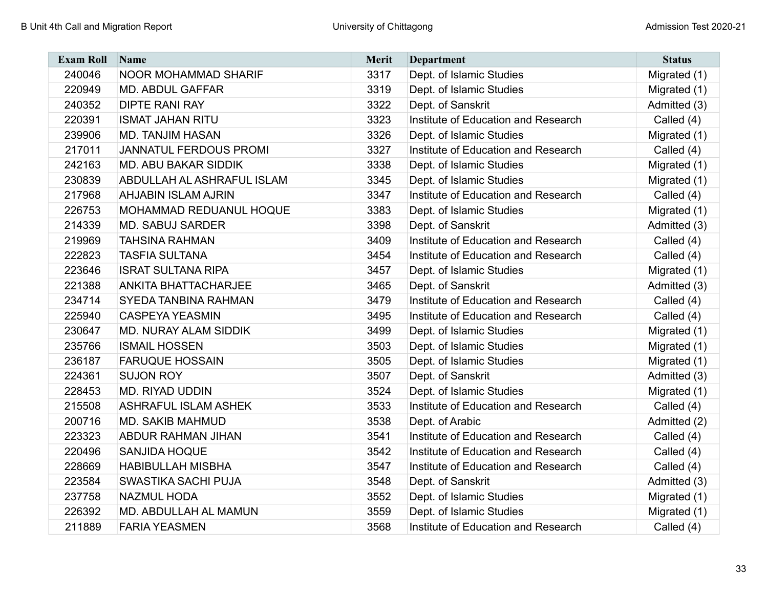| <b>Exam Roll</b> | Name                         | <b>Merit</b> | <b>Department</b>                   | <b>Status</b> |
|------------------|------------------------------|--------------|-------------------------------------|---------------|
| 240046           | <b>NOOR MOHAMMAD SHARIF</b>  | 3317         | Dept. of Islamic Studies            | Migrated (1)  |
| 220949           | <b>MD. ABDUL GAFFAR</b>      | 3319         | Dept. of Islamic Studies            | Migrated (1)  |
| 240352           | <b>DIPTE RANI RAY</b>        | 3322         | Dept. of Sanskrit                   | Admitted (3)  |
| 220391           | <b>ISMAT JAHAN RITU</b>      | 3323         | Institute of Education and Research | Called (4)    |
| 239906           | <b>MD. TANJIM HASAN</b>      | 3326         | Dept. of Islamic Studies            | Migrated (1)  |
| 217011           | JANNATUL FERDOUS PROMI       | 3327         | Institute of Education and Research | Called (4)    |
| 242163           | <b>MD. ABU BAKAR SIDDIK</b>  | 3338         | Dept. of Islamic Studies            | Migrated (1)  |
| 230839           | ABDULLAH AL ASHRAFUL ISLAM   | 3345         | Dept. of Islamic Studies            | Migrated (1)  |
| 217968           | <b>AHJABIN ISLAM AJRIN</b>   | 3347         | Institute of Education and Research | Called (4)    |
| 226753           | MOHAMMAD REDUANUL HOQUE      | 3383         | Dept. of Islamic Studies            | Migrated (1)  |
| 214339           | <b>MD. SABUJ SARDER</b>      | 3398         | Dept. of Sanskrit                   | Admitted (3)  |
| 219969           | <b>TAHSINA RAHMAN</b>        | 3409         | Institute of Education and Research | Called (4)    |
| 222823           | <b>TASFIA SULTANA</b>        | 3454         | Institute of Education and Research | Called (4)    |
| 223646           | <b>ISRAT SULTANA RIPA</b>    | 3457         | Dept. of Islamic Studies            | Migrated (1)  |
| 221388           | <b>ANKITA BHATTACHARJEE</b>  | 3465         | Dept. of Sanskrit                   | Admitted (3)  |
| 234714           | <b>SYEDA TANBINA RAHMAN</b>  | 3479         | Institute of Education and Research | Called (4)    |
| 225940           | <b>CASPEYA YEASMIN</b>       | 3495         | Institute of Education and Research | Called (4)    |
| 230647           | <b>MD. NURAY ALAM SIDDIK</b> | 3499         | Dept. of Islamic Studies            | Migrated (1)  |
| 235766           | <b>ISMAIL HOSSEN</b>         | 3503         | Dept. of Islamic Studies            | Migrated (1)  |
| 236187           | <b>FARUQUE HOSSAIN</b>       | 3505         | Dept. of Islamic Studies            | Migrated (1)  |
| 224361           | <b>SUJON ROY</b>             | 3507         | Dept. of Sanskrit                   | Admitted (3)  |
| 228453           | <b>MD. RIYAD UDDIN</b>       | 3524         | Dept. of Islamic Studies            | Migrated (1)  |
| 215508           | <b>ASHRAFUL ISLAM ASHEK</b>  | 3533         | Institute of Education and Research | Called (4)    |
| 200716           | <b>MD. SAKIB MAHMUD</b>      | 3538         | Dept. of Arabic                     | Admitted (2)  |
| 223323           | <b>ABDUR RAHMAN JIHAN</b>    | 3541         | Institute of Education and Research | Called (4)    |
| 220496           | <b>SANJIDA HOQUE</b>         | 3542         | Institute of Education and Research | Called (4)    |
| 228669           | <b>HABIBULLAH MISBHA</b>     | 3547         | Institute of Education and Research | Called (4)    |
| 223584           | SWASTIKA SACHI PUJA          | 3548         | Dept. of Sanskrit                   | Admitted (3)  |
| 237758           | <b>NAZMUL HODA</b>           | 3552         | Dept. of Islamic Studies            | Migrated (1)  |
| 226392           | MD. ABDULLAH AL MAMUN        | 3559         | Dept. of Islamic Studies            | Migrated (1)  |
| 211889           | <b>FARIA YEASMEN</b>         | 3568         | Institute of Education and Research | Called (4)    |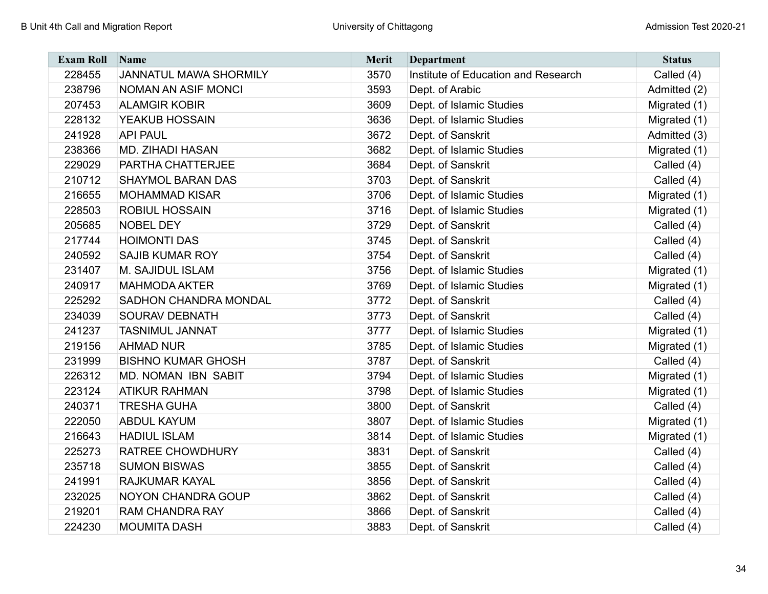| <b>Exam Roll</b> | Name                         | <b>Merit</b> | Department                          | <b>Status</b> |
|------------------|------------------------------|--------------|-------------------------------------|---------------|
| 228455           | JANNATUL MAWA SHORMILY       | 3570         | Institute of Education and Research | Called (4)    |
| 238796           | NOMAN AN ASIF MONCI          | 3593         | Dept. of Arabic                     | Admitted (2)  |
| 207453           | <b>ALAMGIR KOBIR</b>         | 3609         | Dept. of Islamic Studies            | Migrated (1)  |
| 228132           | YEAKUB HOSSAIN               | 3636         | Dept. of Islamic Studies            | Migrated (1)  |
| 241928           | <b>API PAUL</b>              | 3672         | Dept. of Sanskrit                   | Admitted (3)  |
| 238366           | <b>MD. ZIHADI HASAN</b>      | 3682         | Dept. of Islamic Studies            | Migrated (1)  |
| 229029           | PARTHA CHATTERJEE            | 3684         | Dept. of Sanskrit                   | Called (4)    |
| 210712           | <b>SHAYMOL BARAN DAS</b>     | 3703         | Dept. of Sanskrit                   | Called (4)    |
| 216655           | <b>MOHAMMAD KISAR</b>        | 3706         | Dept. of Islamic Studies            | Migrated (1)  |
| 228503           | <b>ROBIUL HOSSAIN</b>        | 3716         | Dept. of Islamic Studies            | Migrated (1)  |
| 205685           | <b>NOBEL DEY</b>             | 3729         | Dept. of Sanskrit                   | Called (4)    |
| 217744           | <b>HOIMONTI DAS</b>          | 3745         | Dept. of Sanskrit                   | Called (4)    |
| 240592           | <b>SAJIB KUMAR ROY</b>       | 3754         | Dept. of Sanskrit                   | Called (4)    |
| 231407           | M. SAJIDUL ISLAM             | 3756         | Dept. of Islamic Studies            | Migrated (1)  |
| 240917           | <b>MAHMODA AKTER</b>         | 3769         | Dept. of Islamic Studies            | Migrated (1)  |
| 225292           | <b>SADHON CHANDRA MONDAL</b> | 3772         | Dept. of Sanskrit                   | Called (4)    |
| 234039           | <b>SOURAV DEBNATH</b>        | 3773         | Dept. of Sanskrit                   | Called (4)    |
| 241237           | <b>TASNIMUL JANNAT</b>       | 3777         | Dept. of Islamic Studies            | Migrated (1)  |
| 219156           | <b>AHMAD NUR</b>             | 3785         | Dept. of Islamic Studies            | Migrated (1)  |
| 231999           | <b>BISHNO KUMAR GHOSH</b>    | 3787         | Dept. of Sanskrit                   | Called (4)    |
| 226312           | MD. NOMAN IBN SABIT          | 3794         | Dept. of Islamic Studies            | Migrated (1)  |
| 223124           | <b>ATIKUR RAHMAN</b>         | 3798         | Dept. of Islamic Studies            | Migrated (1)  |
| 240371           | <b>TRESHA GUHA</b>           | 3800         | Dept. of Sanskrit                   | Called (4)    |
| 222050           | <b>ABDUL KAYUM</b>           | 3807         | Dept. of Islamic Studies            | Migrated (1)  |
| 216643           | <b>HADIUL ISLAM</b>          | 3814         | Dept. of Islamic Studies            | Migrated (1)  |
| 225273           | RATREE CHOWDHURY             | 3831         | Dept. of Sanskrit                   | Called (4)    |
| 235718           | <b>SUMON BISWAS</b>          | 3855         | Dept. of Sanskrit                   | Called (4)    |
| 241991           | <b>RAJKUMAR KAYAL</b>        | 3856         | Dept. of Sanskrit                   | Called (4)    |
| 232025           | NOYON CHANDRA GOUP           | 3862         | Dept. of Sanskrit                   | Called (4)    |
| 219201           | <b>RAM CHANDRA RAY</b>       | 3866         | Dept. of Sanskrit                   | Called (4)    |
| 224230           | <b>MOUMITA DASH</b>          | 3883         | Dept. of Sanskrit                   | Called (4)    |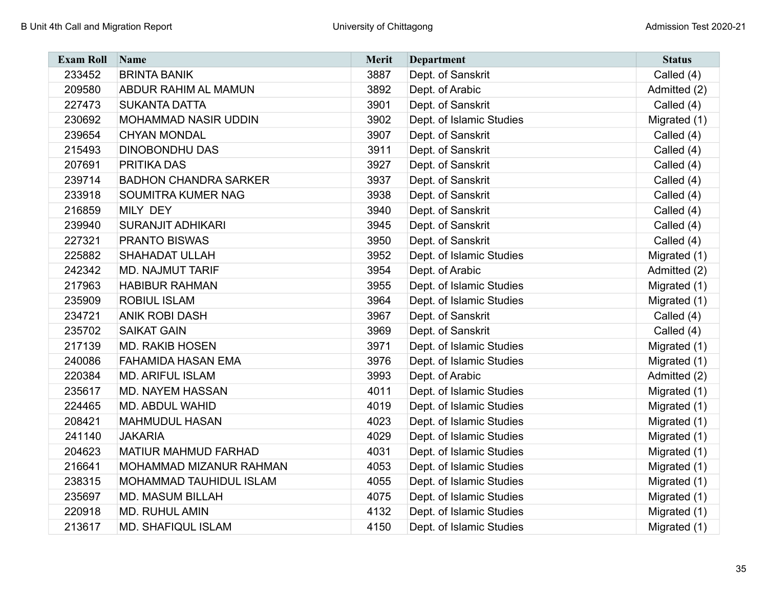| <b>Exam Roll</b> | Name                         | <b>Merit</b> | <b>Department</b>        | <b>Status</b> |
|------------------|------------------------------|--------------|--------------------------|---------------|
| 233452           | <b>BRINTA BANIK</b>          | 3887         | Dept. of Sanskrit        | Called (4)    |
| 209580           | <b>ABDUR RAHIM AL MAMUN</b>  | 3892         | Dept. of Arabic          | Admitted (2)  |
| 227473           | <b>SUKANTA DATTA</b>         | 3901         | Dept. of Sanskrit        | Called (4)    |
| 230692           | <b>MOHAMMAD NASIR UDDIN</b>  | 3902         | Dept. of Islamic Studies | Migrated (1)  |
| 239654           | <b>CHYAN MONDAL</b>          | 3907         | Dept. of Sanskrit        | Called (4)    |
| 215493           | <b>DINOBONDHU DAS</b>        | 3911         | Dept. of Sanskrit        | Called (4)    |
| 207691           | PRITIKA DAS                  | 3927         | Dept. of Sanskrit        | Called (4)    |
| 239714           | <b>BADHON CHANDRA SARKER</b> | 3937         | Dept. of Sanskrit        | Called (4)    |
| 233918           | SOUMITRA KUMER NAG           | 3938         | Dept. of Sanskrit        | Called (4)    |
| 216859           | <b>MILY DEY</b>              | 3940         | Dept. of Sanskrit        | Called (4)    |
| 239940           | <b>SURANJIT ADHIKARI</b>     | 3945         | Dept. of Sanskrit        | Called (4)    |
| 227321           | <b>PRANTO BISWAS</b>         | 3950         | Dept. of Sanskrit        | Called (4)    |
| 225882           | <b>SHAHADAT ULLAH</b>        | 3952         | Dept. of Islamic Studies | Migrated (1)  |
| 242342           | <b>MD. NAJMUT TARIF</b>      | 3954         | Dept. of Arabic          | Admitted (2)  |
| 217963           | <b>HABIBUR RAHMAN</b>        | 3955         | Dept. of Islamic Studies | Migrated (1)  |
| 235909           | <b>ROBIUL ISLAM</b>          | 3964         | Dept. of Islamic Studies | Migrated (1)  |
| 234721           | <b>ANIK ROBI DASH</b>        | 3967         | Dept. of Sanskrit        | Called (4)    |
| 235702           | <b>SAIKAT GAIN</b>           | 3969         | Dept. of Sanskrit        | Called (4)    |
| 217139           | <b>MD. RAKIB HOSEN</b>       | 3971         | Dept. of Islamic Studies | Migrated (1)  |
| 240086           | <b>FAHAMIDA HASAN EMA</b>    | 3976         | Dept. of Islamic Studies | Migrated (1)  |
| 220384           | <b>MD. ARIFUL ISLAM</b>      | 3993         | Dept. of Arabic          | Admitted (2)  |
| 235617           | <b>MD. NAYEM HASSAN</b>      | 4011         | Dept. of Islamic Studies | Migrated (1)  |
| 224465           | <b>MD. ABDUL WAHID</b>       | 4019         | Dept. of Islamic Studies | Migrated (1)  |
| 208421           | <b>MAHMUDUL HASAN</b>        | 4023         | Dept. of Islamic Studies | Migrated (1)  |
| 241140           | <b>JAKARIA</b>               | 4029         | Dept. of Islamic Studies | Migrated (1)  |
| 204623           | MATIUR MAHMUD FARHAD         | 4031         | Dept. of Islamic Studies | Migrated (1)  |
| 216641           | MOHAMMAD MIZANUR RAHMAN      | 4053         | Dept. of Islamic Studies | Migrated (1)  |
| 238315           | MOHAMMAD TAUHIDUL ISLAM      | 4055         | Dept. of Islamic Studies | Migrated (1)  |
| 235697           | <b>MD. MASUM BILLAH</b>      | 4075         | Dept. of Islamic Studies | Migrated (1)  |
| 220918           | MD. RUHUL AMIN               | 4132         | Dept. of Islamic Studies | Migrated (1)  |
| 213617           | <b>MD. SHAFIQUL ISLAM</b>    | 4150         | Dept. of Islamic Studies | Migrated (1)  |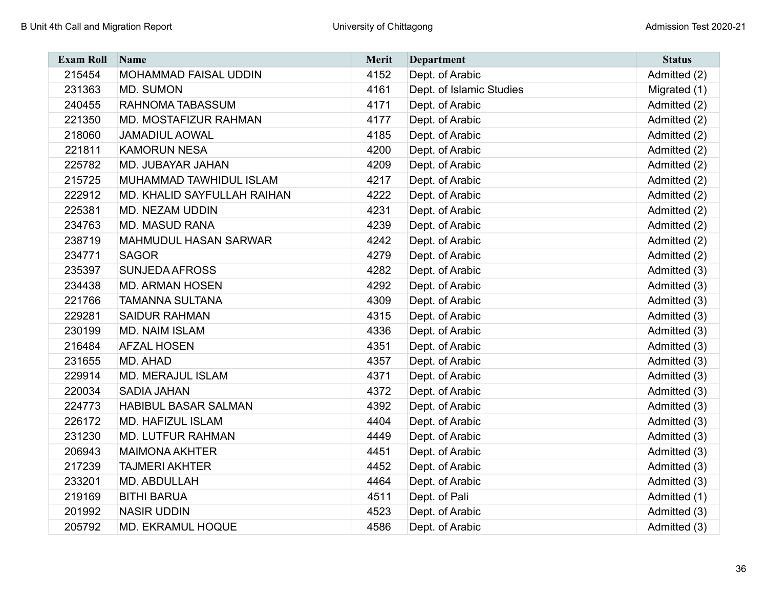| <b>Exam Roll</b> | Name                         | Merit | <b>Department</b>        | <b>Status</b> |
|------------------|------------------------------|-------|--------------------------|---------------|
| 215454           | MOHAMMAD FAISAL UDDIN        | 4152  | Dept. of Arabic          | Admitted (2)  |
| 231363           | MD. SUMON                    | 4161  | Dept. of Islamic Studies | Migrated (1)  |
| 240455           | RAHNOMA TABASSUM             | 4171  | Dept. of Arabic          | Admitted (2)  |
| 221350           | MD. MOSTAFIZUR RAHMAN        | 4177  | Dept. of Arabic          | Admitted (2)  |
| 218060           | <b>JAMADIUL AOWAL</b>        | 4185  | Dept. of Arabic          | Admitted (2)  |
| 221811           | <b>KAMORUN NESA</b>          | 4200  | Dept. of Arabic          | Admitted (2)  |
| 225782           | MD. JUBAYAR JAHAN            | 4209  | Dept. of Arabic          | Admitted (2)  |
| 215725           | MUHAMMAD TAWHIDUL ISLAM      | 4217  | Dept. of Arabic          | Admitted (2)  |
| 222912           | MD. KHALID SAYFULLAH RAIHAN  | 4222  | Dept. of Arabic          | Admitted (2)  |
| 225381           | MD. NEZAM UDDIN              | 4231  | Dept. of Arabic          | Admitted (2)  |
| 234763           | <b>MD. MASUD RANA</b>        | 4239  | Dept. of Arabic          | Admitted (2)  |
| 238719           | <b>MAHMUDUL HASAN SARWAR</b> | 4242  | Dept. of Arabic          | Admitted (2)  |
| 234771           | <b>SAGOR</b>                 | 4279  | Dept. of Arabic          | Admitted (2)  |
| 235397           | <b>SUNJEDA AFROSS</b>        | 4282  | Dept. of Arabic          | Admitted (3)  |
| 234438           | <b>MD. ARMAN HOSEN</b>       | 4292  | Dept. of Arabic          | Admitted (3)  |
| 221766           | <b>TAMANNA SULTANA</b>       | 4309  | Dept. of Arabic          | Admitted (3)  |
| 229281           | <b>SAIDUR RAHMAN</b>         | 4315  | Dept. of Arabic          | Admitted (3)  |
| 230199           | <b>MD. NAIM ISLAM</b>        | 4336  | Dept. of Arabic          | Admitted (3)  |
| 216484           | <b>AFZAL HOSEN</b>           | 4351  | Dept. of Arabic          | Admitted (3)  |
| 231655           | MD. AHAD                     | 4357  | Dept. of Arabic          | Admitted (3)  |
| 229914           | <b>MD. MERAJUL ISLAM</b>     | 4371  | Dept. of Arabic          | Admitted (3)  |
| 220034           | <b>SADIA JAHAN</b>           | 4372  | Dept. of Arabic          | Admitted (3)  |
| 224773           | HABIBUL BASAR SALMAN         | 4392  | Dept. of Arabic          | Admitted (3)  |
| 226172           | MD. HAFIZUL ISLAM            | 4404  | Dept. of Arabic          | Admitted (3)  |
| 231230           | <b>MD. LUTFUR RAHMAN</b>     | 4449  | Dept. of Arabic          | Admitted (3)  |
| 206943           | <b>MAIMONA AKHTER</b>        | 4451  | Dept. of Arabic          | Admitted (3)  |
| 217239           | <b>TAJMERI AKHTER</b>        | 4452  | Dept. of Arabic          | Admitted (3)  |
| 233201           | MD. ABDULLAH                 | 4464  | Dept. of Arabic          | Admitted (3)  |
| 219169           | <b>BITHI BARUA</b>           | 4511  | Dept. of Pali            | Admitted (1)  |
| 201992           | <b>NASIR UDDIN</b>           | 4523  | Dept. of Arabic          | Admitted (3)  |
| 205792           | <b>MD. EKRAMUL HOQUE</b>     | 4586  | Dept. of Arabic          | Admitted (3)  |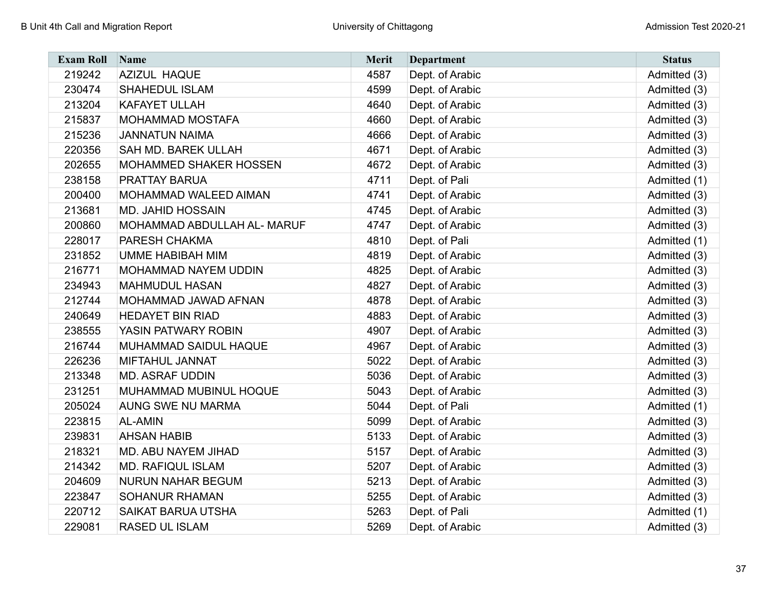| <b>Exam Roll</b> | Name                          | <b>Merit</b> | <b>Department</b> | <b>Status</b> |
|------------------|-------------------------------|--------------|-------------------|---------------|
| 219242           | <b>AZIZUL HAQUE</b>           | 4587         | Dept. of Arabic   | Admitted (3)  |
| 230474           | <b>SHAHEDUL ISLAM</b>         | 4599         | Dept. of Arabic   | Admitted (3)  |
| 213204           | <b>KAFAYET ULLAH</b>          | 4640         | Dept. of Arabic   | Admitted (3)  |
| 215837           | MOHAMMAD MOSTAFA              | 4660         | Dept. of Arabic   | Admitted (3)  |
| 215236           | <b>JANNATUN NAIMA</b>         | 4666         | Dept. of Arabic   | Admitted (3)  |
| 220356           | SAH MD. BAREK ULLAH           | 4671         | Dept. of Arabic   | Admitted (3)  |
| 202655           | <b>MOHAMMED SHAKER HOSSEN</b> | 4672         | Dept. of Arabic   | Admitted (3)  |
| 238158           | PRATTAY BARUA                 | 4711         | Dept. of Pali     | Admitted (1)  |
| 200400           | MOHAMMAD WALEED AIMAN         | 4741         | Dept. of Arabic   | Admitted (3)  |
| 213681           | <b>MD. JAHID HOSSAIN</b>      | 4745         | Dept. of Arabic   | Admitted (3)  |
| 200860           | MOHAMMAD ABDULLAH AL- MARUF   | 4747         | Dept. of Arabic   | Admitted (3)  |
| 228017           | PARESH CHAKMA                 | 4810         | Dept. of Pali     | Admitted (1)  |
| 231852           | UMME HABIBAH MIM              | 4819         | Dept. of Arabic   | Admitted (3)  |
| 216771           | MOHAMMAD NAYEM UDDIN          | 4825         | Dept. of Arabic   | Admitted (3)  |
| 234943           | <b>MAHMUDUL HASAN</b>         | 4827         | Dept. of Arabic   | Admitted (3)  |
| 212744           | MOHAMMAD JAWAD AFNAN          | 4878         | Dept. of Arabic   | Admitted (3)  |
| 240649           | <b>HEDAYET BIN RIAD</b>       | 4883         | Dept. of Arabic   | Admitted (3)  |
| 238555           | YASIN PATWARY ROBIN           | 4907         | Dept. of Arabic   | Admitted (3)  |
| 216744           | MUHAMMAD SAIDUL HAQUE         | 4967         | Dept. of Arabic   | Admitted (3)  |
| 226236           | <b>MIFTAHUL JANNAT</b>        | 5022         | Dept. of Arabic   | Admitted (3)  |
| 213348           | <b>MD. ASRAF UDDIN</b>        | 5036         | Dept. of Arabic   | Admitted (3)  |
| 231251           | MUHAMMAD MUBINUL HOQUE        | 5043         | Dept. of Arabic   | Admitted (3)  |
| 205024           | <b>AUNG SWE NU MARMA</b>      | 5044         | Dept. of Pali     | Admitted (1)  |
| 223815           | <b>AL-AMIN</b>                | 5099         | Dept. of Arabic   | Admitted (3)  |
| 239831           | <b>AHSAN HABIB</b>            | 5133         | Dept. of Arabic   | Admitted (3)  |
| 218321           | MD. ABU NAYEM JIHAD           | 5157         | Dept. of Arabic   | Admitted (3)  |
| 214342           | <b>MD. RAFIQUL ISLAM</b>      | 5207         | Dept. of Arabic   | Admitted (3)  |
| 204609           | <b>NURUN NAHAR BEGUM</b>      | 5213         | Dept. of Arabic   | Admitted (3)  |
| 223847           | <b>SOHANUR RHAMAN</b>         | 5255         | Dept. of Arabic   | Admitted (3)  |
| 220712           | <b>SAIKAT BARUA UTSHA</b>     | 5263         | Dept. of Pali     | Admitted (1)  |
| 229081           | RASED UL ISLAM                | 5269         | Dept. of Arabic   | Admitted (3)  |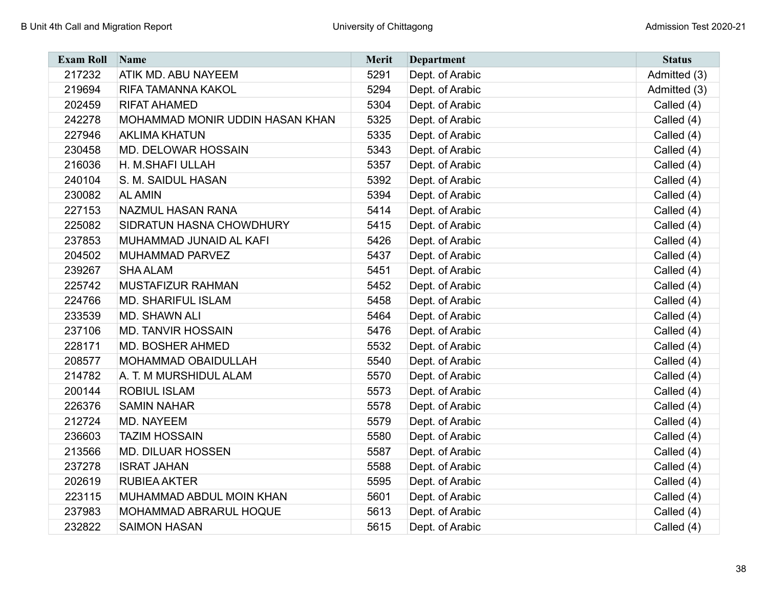| <b>Exam Roll</b> | Name                            | Merit | <b>Department</b> | <b>Status</b> |
|------------------|---------------------------------|-------|-------------------|---------------|
| 217232           | ATIK MD. ABU NAYEEM             | 5291  | Dept. of Arabic   | Admitted (3)  |
| 219694           | RIFA TAMANNA KAKOL              | 5294  | Dept. of Arabic   | Admitted (3)  |
| 202459           | <b>RIFAT AHAMED</b>             | 5304  | Dept. of Arabic   | Called (4)    |
| 242278           | MOHAMMAD MONIR UDDIN HASAN KHAN | 5325  | Dept. of Arabic   | Called (4)    |
| 227946           | <b>AKLIMA KHATUN</b>            | 5335  | Dept. of Arabic   | Called (4)    |
| 230458           | MD. DELOWAR HOSSAIN             | 5343  | Dept. of Arabic   | Called (4)    |
| 216036           | H. M.SHAFI ULLAH                | 5357  | Dept. of Arabic   | Called (4)    |
| 240104           | S. M. SAIDUL HASAN              | 5392  | Dept. of Arabic   | Called (4)    |
| 230082           | <b>AL AMIN</b>                  | 5394  | Dept. of Arabic   | Called (4)    |
| 227153           | NAZMUL HASAN RANA               | 5414  | Dept. of Arabic   | Called (4)    |
| 225082           | SIDRATUN HASNA CHOWDHURY        | 5415  | Dept. of Arabic   | Called (4)    |
| 237853           | MUHAMMAD JUNAID AL KAFI         | 5426  | Dept. of Arabic   | Called (4)    |
| 204502           | MUHAMMAD PARVEZ                 | 5437  | Dept. of Arabic   | Called (4)    |
| 239267           | <b>SHA ALAM</b>                 | 5451  | Dept. of Arabic   | Called (4)    |
| 225742           | <b>MUSTAFIZUR RAHMAN</b>        | 5452  | Dept. of Arabic   | Called (4)    |
| 224766           | <b>MD. SHARIFUL ISLAM</b>       | 5458  | Dept. of Arabic   | Called (4)    |
| 233539           | <b>MD. SHAWN ALI</b>            | 5464  | Dept. of Arabic   | Called (4)    |
| 237106           | <b>MD. TANVIR HOSSAIN</b>       | 5476  | Dept. of Arabic   | Called (4)    |
| 228171           | <b>MD. BOSHER AHMED</b>         | 5532  | Dept. of Arabic   | Called (4)    |
| 208577           | MOHAMMAD OBAIDULLAH             | 5540  | Dept. of Arabic   | Called (4)    |
| 214782           | A. T. M MURSHIDUL ALAM          | 5570  | Dept. of Arabic   | Called (4)    |
| 200144           | <b>ROBIUL ISLAM</b>             | 5573  | Dept. of Arabic   | Called (4)    |
| 226376           | <b>SAMIN NAHAR</b>              | 5578  | Dept. of Arabic   | Called (4)    |
| 212724           | MD. NAYEEM                      | 5579  | Dept. of Arabic   | Called (4)    |
| 236603           | <b>TAZIM HOSSAIN</b>            | 5580  | Dept. of Arabic   | Called (4)    |
| 213566           | <b>MD. DILUAR HOSSEN</b>        | 5587  | Dept. of Arabic   | Called (4)    |
| 237278           | <b>ISRAT JAHAN</b>              | 5588  | Dept. of Arabic   | Called (4)    |
| 202619           | <b>RUBIEA AKTER</b>             | 5595  | Dept. of Arabic   | Called (4)    |
| 223115           | MUHAMMAD ABDUL MOIN KHAN        | 5601  | Dept. of Arabic   | Called (4)    |
| 237983           | MOHAMMAD ABRARUL HOQUE          | 5613  | Dept. of Arabic   | Called (4)    |
| 232822           | <b>SAIMON HASAN</b>             | 5615  | Dept. of Arabic   | Called (4)    |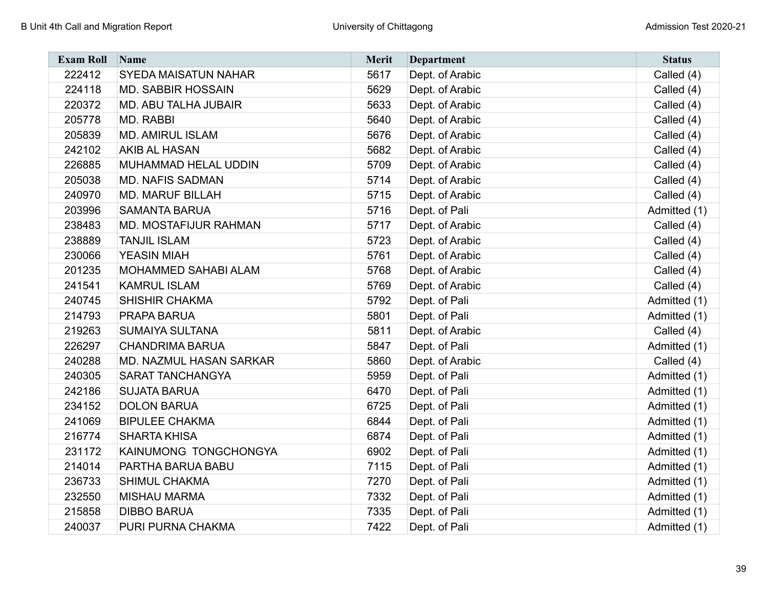| <b>Exam Roll</b> | Name                        | <b>Merit</b> | <b>Department</b> | <b>Status</b> |
|------------------|-----------------------------|--------------|-------------------|---------------|
| 222412           | SYEDA MAISATUN NAHAR        | 5617         | Dept. of Arabic   | Called (4)    |
| 224118           | <b>MD. SABBIR HOSSAIN</b>   | 5629         | Dept. of Arabic   | Called (4)    |
| 220372           | <b>MD. ABU TALHA JUBAIR</b> | 5633         | Dept. of Arabic   | Called (4)    |
| 205778           | MD. RABBI                   | 5640         | Dept. of Arabic   | Called (4)    |
| 205839           | <b>MD. AMIRUL ISLAM</b>     | 5676         | Dept. of Arabic   | Called (4)    |
| 242102           | AKIB AL HASAN               | 5682         | Dept. of Arabic   | Called (4)    |
| 226885           | MUHAMMAD HELAL UDDIN        | 5709         | Dept. of Arabic   | Called (4)    |
| 205038           | <b>MD. NAFIS SADMAN</b>     | 5714         | Dept. of Arabic   | Called (4)    |
| 240970           | <b>MD. MARUF BILLAH</b>     | 5715         | Dept. of Arabic   | Called (4)    |
| 203996           | <b>SAMANTA BARUA</b>        | 5716         | Dept. of Pali     | Admitted (1)  |
| 238483           | MD. MOSTAFIJUR RAHMAN       | 5717         | Dept. of Arabic   | Called (4)    |
| 238889           | <b>TANJIL ISLAM</b>         | 5723         | Dept. of Arabic   | Called (4)    |
| 230066           | <b>YEASIN MIAH</b>          | 5761         | Dept. of Arabic   | Called (4)    |
| 201235           | MOHAMMED SAHABI ALAM        | 5768         | Dept. of Arabic   | Called (4)    |
| 241541           | <b>KAMRUL ISLAM</b>         | 5769         | Dept. of Arabic   | Called (4)    |
| 240745           | <b>SHISHIR CHAKMA</b>       | 5792         | Dept. of Pali     | Admitted (1)  |
| 214793           | PRAPA BARUA                 | 5801         | Dept. of Pali     | Admitted (1)  |
| 219263           | SUMAIYA SULTANA             | 5811         | Dept. of Arabic   | Called (4)    |
| 226297           | <b>CHANDRIMA BARUA</b>      | 5847         | Dept. of Pali     | Admitted (1)  |
| 240288           | MD. NAZMUL HASAN SARKAR     | 5860         | Dept. of Arabic   | Called (4)    |
| 240305           | SARAT TANCHANGYA            | 5959         | Dept. of Pali     | Admitted (1)  |
| 242186           | <b>SUJATA BARUA</b>         | 6470         | Dept. of Pali     | Admitted (1)  |
| 234152           | <b>DOLON BARUA</b>          | 6725         | Dept. of Pali     | Admitted (1)  |
| 241069           | <b>BIPULEE CHAKMA</b>       | 6844         | Dept. of Pali     | Admitted (1)  |
| 216774           | <b>SHARTA KHISA</b>         | 6874         | Dept. of Pali     | Admitted (1)  |
| 231172           | KAINUMONG TONGCHONGYA       | 6902         | Dept. of Pali     | Admitted (1)  |
| 214014           | PARTHA BARUA BABU           | 7115         | Dept. of Pali     | Admitted (1)  |
| 236733           | SHIMUL CHAKMA               | 7270         | Dept. of Pali     | Admitted (1)  |
| 232550           | <b>MISHAU MARMA</b>         | 7332         | Dept. of Pali     | Admitted (1)  |
| 215858           | <b>DIBBO BARUA</b>          | 7335         | Dept. of Pali     | Admitted (1)  |
| 240037           | PURI PURNA CHAKMA           | 7422         | Dept. of Pali     | Admitted (1)  |